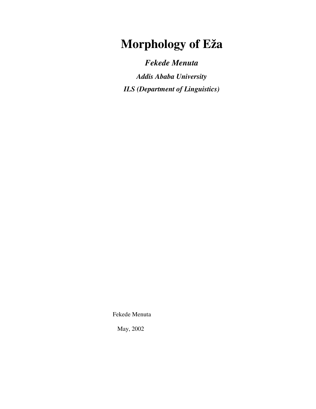# **Morphology of Eža**

*Fekede Menuta* 

*Addis Ababa University ILS (Department of Linguistics)*

Fekede Menuta

May, 2002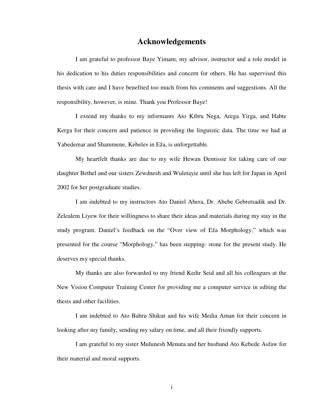## **Acknowledgements**

 I am grateful to professor Baye Yimam, my advisor, instructor and a role model in his dedication to his duties responsibilities and concern for others. He has supervised this thesis with care and I have benefited too much from his comments and suggestions. All the responsibility, however, is mine. Thank you Professor Baye!

 I extend my thanks to my informants Ato Kibru Nega, Arega Yirga, and Habte Kerga for their concern and patience in providing the linguistic data. The time we had at Yabedemar and Shammene, Kebeles in Eža, is unforgettable.

 My heartfelt thanks are due to my wife Hewan Demissie for taking care of our daughter Bethel and our sisters Zewdnesh and Wuletayie until she has left for Japan in April 2002 for her postgraduate studies.

 I am indebted to my instructors Ato Daniel Abera, Dr. Abebe Gebretsadik and Dr. Zelealem Liyew for their willingness to share their ideas and materials during my stay in the study program. Daniel's feedback on the "Over view of Eža Morphology," which was presented for the course "Morphology," has been stepping- stone for the present study. He deserves my special thanks.

 My thanks are also forwarded to my friend Kedir Seid and all his colleagues at the New Vision Computer Training Center for providing me a computer service in editing the thesis and other facilities.

 I am indebted to Ato Bahru Shikur and his wife Media Aman for their concern in looking after my family, sending my salary on time, and all their friendly supports.

 I am grateful to my sister Mulunesh Menuta and her husband Ato Kebede Asfaw for their material and moral supports.

i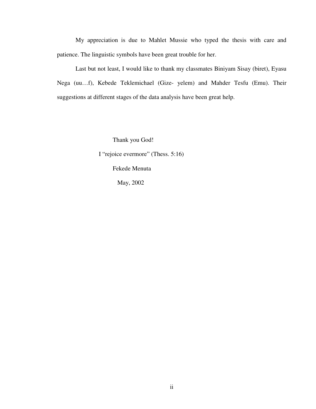My appreciation is due to Mahlet Mussie who typed the thesis with care and patience. The linguistic symbols have been great trouble for her.

 Last but not least, I would like to thank my classmates Biniyam Sisay (biret), Eyasu Nega (uu…f), Kebede Teklemichael (Gize- yelem) and Mahder Tesfu (Emu). Their suggestions at different stages of the data analysis have been great help.

Thank you God!

I "rejoice evermore" (Thess. 5:16)

Fekede Menuta

May, 2002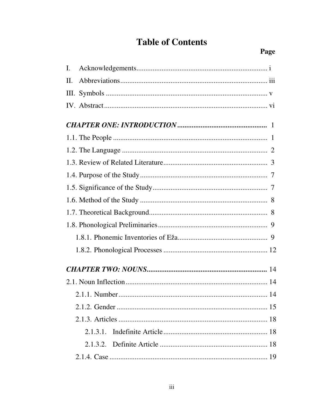## **Table of Contents**

| Ι. |    |
|----|----|
| П. |    |
|    |    |
|    |    |
|    |    |
|    |    |
|    |    |
|    |    |
|    |    |
|    |    |
|    |    |
|    |    |
|    |    |
|    |    |
|    |    |
|    |    |
|    |    |
|    | 14 |
|    |    |
|    |    |
|    |    |
|    |    |
|    |    |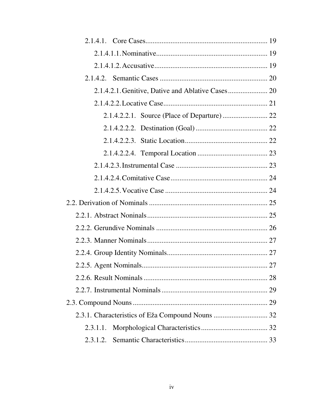| 2.3.1.1. |  |
|----------|--|
| 2.3.1.2. |  |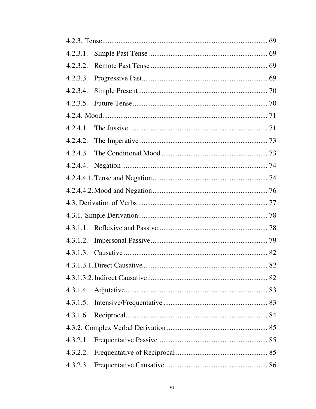| 4.2.3.2. |  |
|----------|--|
|          |  |
|          |  |
|          |  |
|          |  |
|          |  |
|          |  |
|          |  |
|          |  |
|          |  |
|          |  |
|          |  |
|          |  |
|          |  |
| 4.3.1.2. |  |
|          |  |
|          |  |
|          |  |
|          |  |
| 4.3.1.5. |  |
| 4.3.1.6. |  |
|          |  |
| 4.3.2.1. |  |
| 4.3.2.2. |  |
| 4.3.2.3. |  |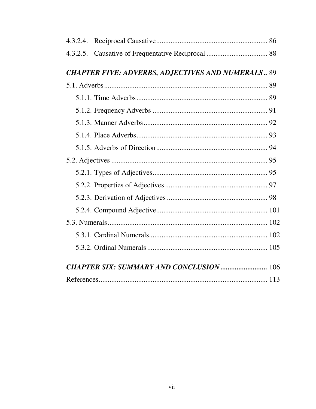| 4.3.2.5.                                                 |  |
|----------------------------------------------------------|--|
| <b>CHAPTER FIVE: ADVERBS, ADJECTIVES AND NUMERALS 89</b> |  |
|                                                          |  |
|                                                          |  |
|                                                          |  |
|                                                          |  |
|                                                          |  |
|                                                          |  |
|                                                          |  |
|                                                          |  |
|                                                          |  |
|                                                          |  |
|                                                          |  |
|                                                          |  |
|                                                          |  |
|                                                          |  |
| <b>CHAPTER SIX: SUMMARY AND CONCLUSION </b> 106          |  |
|                                                          |  |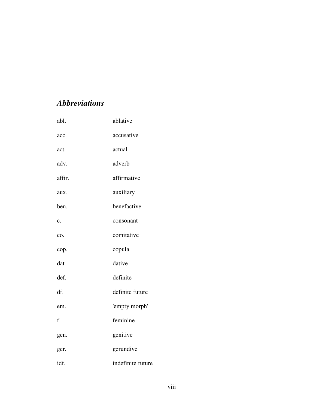## *Abbreviations*

| abl.   | ablative          |
|--------|-------------------|
| acc.   | accusative        |
| act.   | actual            |
| adv.   | adverb            |
| affir. | affirmative       |
| aux.   | auxiliary         |
| ben.   | benefactive       |
| c.     | consonant         |
| co.    | comitative        |
| cop.   | copula            |
| dat    | dative            |
| def.   | definite          |
| df.    | definite future   |
| em.    | 'empty morph'     |
| f.     | feminine          |
| gen.   | genitive          |
| ger.   | gerundive         |
| idf.   | indefinite future |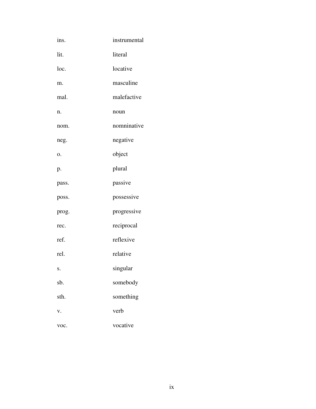| ins.  | instrumental |
|-------|--------------|
| lit.  | literal      |
| loc.  | locative     |
| m.    | masculine    |
| mal.  | malefactive  |
| n.    | noun         |
| nom.  | nomninative  |
| neg.  | negative     |
| 0.    | object       |
| p.    | plural       |
| pass. | passive      |
| poss. | possessive   |
| prog. | progressive  |
| rec.  | reciprocal   |
| ref.  | reflexive    |
| rel.  | relative     |
| S.    | singular     |
| sb.   | somebody     |
| sth.  | something    |
| v.    | verb         |
| voc.  | vocative     |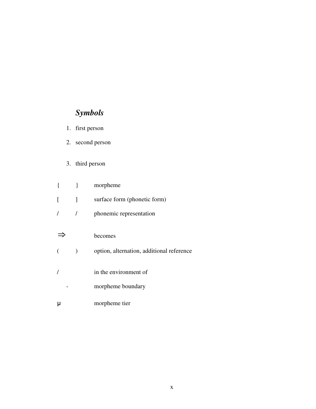## *Symbols*

- 1. first person
- 2. second person
- 3. third person

|          | ∤ | morpheme                                  |
|----------|---|-------------------------------------------|
| $\lceil$ | 1 | surface form (phonetic form)              |
|          |   | phonemic representation                   |
|          |   |                                           |
|          |   | becomes                                   |
|          |   | option, alternation, additional reference |
|          |   |                                           |
|          |   | in the environment of                     |
|          |   | morpheme boundary                         |
|          |   | morpheme tier                             |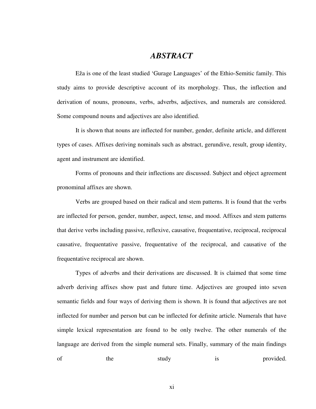## *ABSTRACT*

 Eža is one of the least studied 'Gurage Languages' of the Ethio-Semitic family. This study aims to provide descriptive account of its morphology. Thus, the inflection and derivation of nouns, pronouns, verbs, adverbs, adjectives, and numerals are considered. Some compound nouns and adjectives are also identified.

 It is shown that nouns are inflected for number, gender, definite article, and different types of cases. Affixes deriving nominals such as abstract, gerundive, result, group identity, agent and instrument are identified.

 Forms of pronouns and their inflections are discussed. Subject and object agreement pronominal affixes are shown.

 Verbs are grouped based on their radical and stem patterns. It is found that the verbs are inflected for person, gender, number, aspect, tense, and mood. Affixes and stem patterns that derive verbs including passive, reflexive, causative, frequentative, reciprocal, reciprocal causative, frequentative passive, frequentative of the reciprocal, and causative of the frequentative reciprocal are shown.

 Types of adverbs and their derivations are discussed. It is claimed that some time adverb deriving affixes show past and future time. Adjectives are grouped into seven semantic fields and four ways of deriving them is shown. It is found that adjectives are not inflected for number and person but can be inflected for definite article. Numerals that have simple lexical representation are found to be only twelve. The other numerals of the language are derived from the simple numeral sets. Finally, summary of the main findings of the study is provided.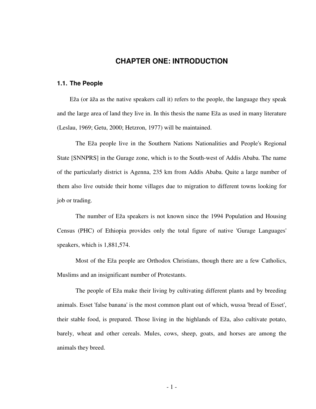## **CHAPTER ONE: INTRODUCTION**

#### **1.1. The People**

Eža (or äža as the native speakers call it) refers to the people, the language they speak and the large area of land they live in. In this thesis the name Eža as used in many literature (Leslau, 1969; Getu, 2000; Hetzron, 1977) will be maintained.

 The Eža people live in the Southern Nations Nationalities and People's Regional State [SNNPRS] in the Gurage zone, which is to the South-west of Addis Ababa. The name of the particularly district is Agenna, 235 km from Addis Ababa. Quite a large number of them also live outside their home villages due to migration to different towns looking for job or trading.

 The number of Eža speakers is not known since the 1994 Population and Housing Census (PHC) of Ethiopia provides only the total figure of native 'Gurage Languages' speakers, which is 1,881,574.

 Most of the Eža people are Orthodox Christians, though there are a few Catholics, Muslims and an insignificant number of Protestants.

 The people of Eža make their living by cultivating different plants and by breeding animals. Esset 'false banana' is the most common plant out of which, wussa 'bread of Esset', their stable food, is prepared. Those living in the highlands of Eža, also cultivate potato, barely, wheat and other cereals. Mules, cows, sheep, goats, and horses are among the animals they breed.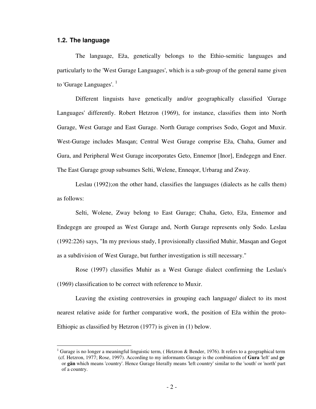#### **1.2. The language**

 $\overline{a}$ 

 The language, Eža, genetically belongs to the Ethio-semitic languages and particularly to the 'West Gurage Languages', which is a sub-group of the general name given to 'Gurage Languages'.  $^1$ 

 Different linguists have genetically and/or geographically classified 'Gurage Languages' differently. Robert Hetzron (1969), for instance, classifies them into North Gurage, West Gurage and East Gurage. North Gurage comprises Sodo, Gogot and Muxir. West-Gurage includes Masqan; Central West Gurage comprise Eža, Chaha, Gumer and Gura, and Peripheral West Gurage incorporates Geto, Ennemor [Inor], Endegegn and Ener. The East Gurage group subsumes Selti, Welene, Enneqor, Urbarag and Zway.

 Leslau (1992);on the other hand, classifies the languages (dialects as he calls them) as follows:

 Selti, Wolene, Zway belong to East Gurage; Chaha, Geto, Eža, Ennemor and Endegegn are grouped as West Gurage and, North Gurage represents only Sodo. Leslau (1992:226) says, "In my previous study, I provisionally classified Muhir, Masqan and Gogot as a subdivision of West Gurage, but further investigation is still necessary."

 Rose (1997) classifies Muhir as a West Gurage dialect confirming the Leslau's (1969) classification to be correct with reference to Muxir.

 Leaving the existing controversies in grouping each language/ dialect to its most nearest relative aside for further comparative work, the position of Eža within the proto-Ethiopic as classified by Hetzron (1977) is given in (1) below.

<sup>&</sup>lt;sup>1</sup> Gurage is no longer a meaningful linguistic term, (Hetzron & Bender, 1976). It refers to a geographical term (cf. Hetzron, 1977; Rose, 1997). According to my informants Gurage is the combination of **Gura** 'left' and **ge**  or **gän** which means 'country'. Hence Gurage literally means 'left country' similar to the 'south' or 'north' part of a country.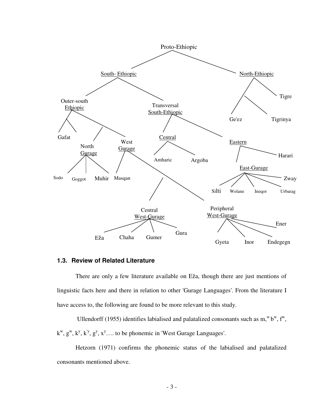

## 1.3. Review of Related Literature

There are only a few literature available on Eža, though there are just mentions of linguistic facts here and there in relation to other 'Gurage Languages'. From the literature I have access to, the following are found to be more relevant to this study.

Ullendorff (1955) identifies labialised and palatalized consonants such as  $m$ , " $b$ ",  $f$ ",  $k^w$ ,  $g^w$ ,  $k^y$ ,  $k^y$ ,  $g^y$ ,  $x^y$ .... to be phonemic in 'West Gurage Languages'.

Hetzorn (1971) confirms the phonemic status of the labialised and palatalized consonants mentioned above.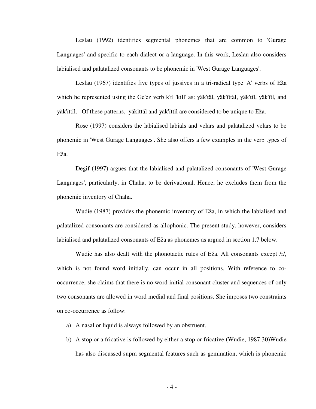Leslau (1992) identifies segmental phonemes that are common to 'Gurage Languages' and specific to each dialect or a language. In this work, Leslau also considers labialised and palatalized consonants to be phonemic in 'West Gurage Languages'.

Leslau (1967) identifies five types of jussives in a tri-radical type 'A' verbs of Eža which he represented using the Ge'ez verb k'tl 'kill' as: yäk'täl, yäk'ïttäl, yäk'tïl, yäk'ïtl, and yäk'ïttïl. Of these patterns, yäkïttäl and yäk'ïttïl are considered to be unique to Eža.

Rose (1997) considers the labialised labials and velars and palatalized velars to be phonemic in 'West Gurage Languages'. She also offers a few examples in the verb types of Eža.

 Degif (1997) argues that the labialised and palatalized consonants of 'West Gurage Languages', particularly, in Chaha, to be derivational. Hence, he excludes them from the phonemic inventory of Chaha.

 Wudie (1987) provides the phonemic inventory of Eža, in which the labialised and palatalized consonants are considered as allophonic. The present study, however, considers labialised and palatalized consonants of Eža as phonemes as argued in section 1.7 below.

 Wudie has also dealt with the phonotactic rules of Eža. All consonants except /r/, which is not found word initially, can occur in all positions. With reference to cooccurrence, she claims that there is no word initial consonant cluster and sequences of only two consonants are allowed in word medial and final positions. She imposes two constraints on co-occurrence as follow:

- a) A nasal or liquid is always followed by an obstruent.
- b) A stop or a fricative is followed by either a stop or fricative (Wudie, 1987:30)Wudie has also discussed supra segmental features such as gemination, which is phonemic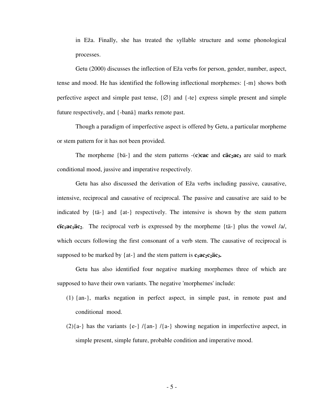in Eža. Finally, she has treated the syllable structure and some phonological processes.

 Getu (2000) discusses the inflection of Eža verbs for person, gender, number, aspect, tense and mood. He has identified the following inflectional morphemes: {-m} shows both perfective aspect and simple past tense,  $\{Ø\}$  and  $\{ -te\}$  express simple present and simple future respectively, and {-banä} marks remote past.

 Though a paradigm of imperfective aspect is offered by Getu, a particular morpheme or stem pattern for it has not been provided.

The morpheme  $\{b\ddot{a} - \}\}$  and the stem patterns  $-(c)$ **cac** and **cäc<sub>2</sub>ac**<sub>3</sub> are said to mark conditional mood, jussive and imperative respectively.

 Getu has also discussed the derivation of Eža verbs including passive, causative, intensive, reciprocal and causative of reciprocal. The passive and causative are said to be indicated by {tä-} and {at-} respectively. The intensive is shown by the stem pattern **cïc**<sub>1</sub>**ac**<sub>1</sub>**a**c<sub>2</sub>. The reciprocal verb is expressed by the morpheme {tä-} plus the vowel /a/, which occurs following the first consonant of a verb stem. The causative of reciprocal is supposed to be marked by  $\{at-\}$  and the stem pattern is  $c_1ac_2c_2\ddot{a}c_3$ .

 Getu has also identified four negative marking morphemes three of which are supposed to have their own variants. The negative 'morphemes' include:

- (1) {an-}, marks negation in perfect aspect, in simple past, in remote past and conditional mood.
- $(2){a-}$  has the variants  ${e-}$  / ${\{an-}\}$  / ${a-}$  showing negation in imperfective aspect, in simple present, simple future, probable condition and imperative mood.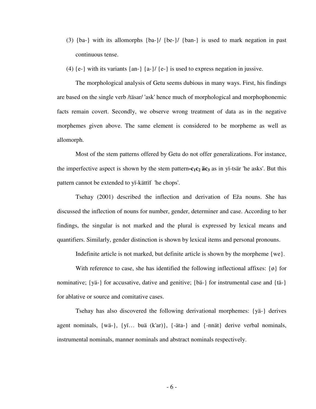- (3) {ba-} with its allomorphs {ba-}/ {be-}/ {ban-} is used to mark negation in past continuous tense.
- (4)  $\{e\}$  with its variants  $\{an-\}\{a-\}/\{e\}$  is used to express negation in jussive.

 The morphological analysis of Getu seems dubious in many ways. First, his findings are based on the single verb /täsar/ 'ask' hence much of morphological and morphophonemic facts remain covert. Secondly, we observe wrong treatment of data as in the negative morphemes given above. The same element is considered to be morpheme as well as allomorph.

 Most of the stem patterns offered by Getu do not offer generalizations. For instance, the imperfective aspect is shown by the stem pattern- $c_1c_2$  **äc**<sub>3</sub> as in yi-tsär 'he asks'. But this pattern cannot be extended to yï-kättïf 'he chops'.

 Tsehay (2001) described the inflection and derivation of Eža nouns. She has discussed the inflection of nouns for number, gender, determiner and case. According to her findings, the singular is not marked and the plural is expressed by lexical means and quantifiers. Similarly, gender distinction is shown by lexical items and personal pronouns.

Indefinite article is not marked, but definite article is shown by the morpheme {we}.

With reference to case, she has identified the following inflectional affixes:  $\{\phi\}$  for nominative; {yä-} for accusative, dative and genitive; {bä-} for instrumental case and {tä-} for ablative or source and comitative cases.

 Tsehay has also discovered the following derivational morphemes: {yä-} derives agent nominals, {wä-}, {yï… buä (k'ar)}, {-äta-} and {-nnät} derive verbal nominals, instrumental nominals, manner nominals and abstract nominals respectively.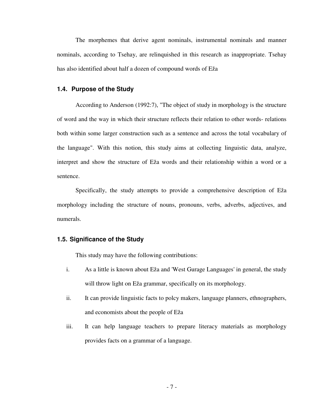The morphemes that derive agent nominals, instrumental nominals and manner nominals, according to Tsehay, are relinquished in this research as inappropriate. Tsehay has also identified about half a dozen of compound words of Eža

## **1.4. Purpose of the Study**

 According to Anderson (1992:7), "The object of study in morphology is the structure of word and the way in which their structure reflects their relation to other words- relations both within some larger construction such as a sentence and across the total vocabulary of the language". With this notion, this study aims at collecting linguistic data, analyze, interpret and show the structure of Eža words and their relationship within a word or a sentence.

 Specifically, the study attempts to provide a comprehensive description of Eža morphology including the structure of nouns, pronouns, verbs, adverbs, adjectives, and numerals.

#### **1.5. Significance of the Study**

This study may have the following contributions:

- i. As a little is known about Eža and 'West Gurage Languages' in general, the study will throw light on Eža grammar, specifically on its morphology.
- ii. It can provide linguistic facts to polcy makers, language planners, ethnographers, and economists about the people of Eža
- iii. It can help language teachers to prepare literacy materials as morphology provides facts on a grammar of a language.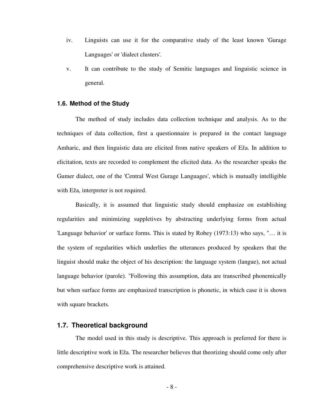- iv. Linguists can use it for the comparative study of the least known 'Gurage Languages' or 'dialect clusters'.
- v. It can contribute to the study of Semitic languages and linguistic science in general.

#### **1.6. Method of the Study**

 The method of study includes data collection technique and analysis. As to the techniques of data collection, first a questionnaire is prepared in the contact language Amharic, and then linguistic data are elicited from native speakers of Eža. In addition to elicitation, texts are recorded to complement the elicited data. As the researcher speaks the Gumer dialect, one of the 'Central West Gurage Languages', which is mutually intelligible with Eža, interpreter is not required.

 Basically, it is assumed that linguistic study should emphasize on establishing regularities and minimizing suppletives by abstracting underlying forms from actual 'Language behavior' or surface forms. This is stated by Robey (1973:13) who says, "… it is the system of regularities which underlies the utterances produced by speakers that the linguist should make the object of his description: the language system (langue), not actual language behavior (parole). "Following this assumption, data are transcribed phonemically but when surface forms are emphasized transcription is phonetic, in which case it is shown with square brackets.

## **1.7. Theoretical background**

 The model used in this study is descriptive. This approach is preferred for there is little descriptive work in Eža. The researcher believes that theorizing should come only after comprehensive descriptive work is attained.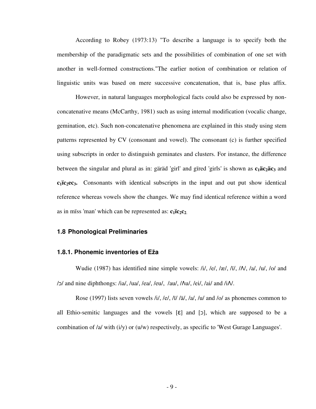According to Robey (1973:13) "To describe a language is to specify both the membership of the paradigmatic sets and the possibilities of combination of one set with another in well-formed constructions."The earlier notion of combination or relation of linguistic units was based on mere successive concatenation, that is, base plus affix.

 However, in natural languages morphological facts could also be expressed by nonconcatenative means (McCarthy, 1981) such as using internal modification (vocalic change, gemination, etc). Such non-concatenative phenomena are explained in this study using stem patterns represented by CV (consonant and vowel). The consonant (c) is further specified using subscripts in order to distinguish geminates and clusters. For instance, the difference between the singular and plural as in: gäräd 'girl' and gïred 'girls' is shown as **c1äc2äc3** and **c1ïc2ec3.** Consonants with identical subscripts in the input and out put show identical reference whereas vowels show the changes. We may find identical reference within a word as in mïss 'man' which can be represented as: **c1ïc2c<sup>2</sup>**.

#### **1.8 Phonological Preliminaries**

#### **1.8.1. Phonemic inventories of Eža**

Wudie (1987) has identified nine simple vowels: /i/, /e/, /æ/, /ï/, /N/, /a/, /u/, /o/ and /כ/ and nine diphthongs: /ia/, /ua/, /ea/, /eu/, /au/, /٨u/, /ei/, /ai/ and /i٨/.

 Rose (1997) lists seven vowels /i/, /e/, /ï/ /ä/, /a/, /u/ and /o/ as phonemes common to all Ethio-semitic languages and the vowels  $\lceil \varepsilon \rceil$  and  $\lceil 5 \rceil$ , which are supposed to be a combination of /a/ with (i/y) or (u/w) respectively, as specific to 'West Gurage Languages'.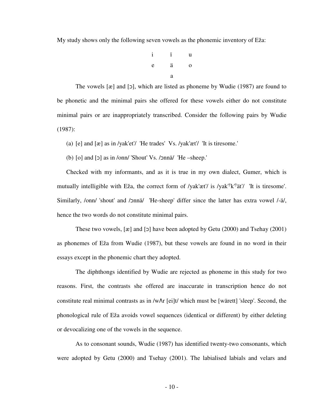My study shows only the following seven vowels as the phonemic inventory of Eža:

i ï u e ä o a

The vowels  $[\mathcal{R}]$  and  $[\mathcal{D}]$ , which are listed as phoneme by Wudie (1987) are found to be phonetic and the minimal pairs she offered for these vowels either do not constitute minimal pairs or are inappropriately transcribed. Consider the following pairs by Wudie (1987):

(a) [e] and [æ] as in /yak'et'/ 'He trades' Vs. /yak'æt'/ 'It is tiresome.'

(b)  $\lceil o \rceil$  and  $\lceil o \rceil$  as in /onn/ 'Shout' Vs. / $\lceil o \rceil$  The –sheep.'

Checked with my informants, and as it is true in my own dialect, Gumer, which is mutually intelligible with Eža, the correct form of /yak'æt'/ is /yak<sup>'y</sup>k'<sup>y</sup>ät'/ 'It is tiresome'. Similarly, /onn/ 'shout' and /ɔnnä/ 'He-sheep' differ since the latter has extra vowel /-ä/, hence the two words do not constitute minimal pairs.

These two vowels,  $[\mathfrak{g}]$  and  $[\mathfrak{g}]$  have been adopted by Getu (2000) and Tsehay (2001) as phonemes of Eža from Wudie (1987), but these vowels are found in no word in their essays except in the phonemic chart they adopted.

 The diphthongs identified by Wudie are rejected as phoneme in this study for two reasons. First, the contrasts she offered are inaccurate in transcription hence do not constitute real minimal contrasts as in /w٨r [ei]t/ which must be [wärett] 'sleep'. Second, the phonological rule of Eža avoids vowel sequences (identical or different) by either deleting or devocalizing one of the vowels in the sequence.

 As to consonant sounds, Wudie (1987) has identified twenty-two consonants, which were adopted by Getu (2000) and Tsehay (2001). The labialised labials and velars and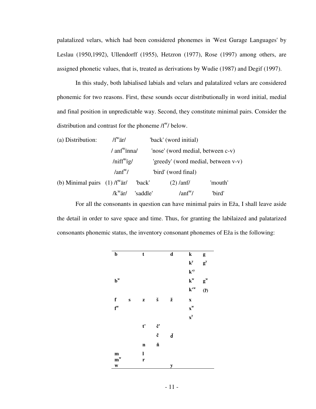palatalized velars, which had been considered phonemes in 'West Gurage Languages' by Leslau (1950,1992), Ullendorff (1955), Hetzron (1977), Rose (1997) among others, are assigned phonetic values, that is, treated as derivations by Wudie (1987) and Degif (1997).

 In this study, both labialised labials and velars and palatalized velars are considered phonemic for two reasons. First, these sounds occur distributionally in word initial, medial and final position in unpredictable way. Second, they constitute minimal pairs. Consider the distribution and contrast for the phoneme  $/f^w$  below.

| (a) Distribution:                           | $/f^{\rm w}$ är/<br>'back' (word initial) |          |                                     |         |  |
|---------------------------------------------|-------------------------------------------|----------|-------------------------------------|---------|--|
|                                             | $/$ anf <sup>w</sup> inna/                |          | 'nose' (word medial, between c-v)   |         |  |
|                                             | $/$ niff <sup>w</sup> ig/                 |          | 'greedy' (word medial, between v-v) |         |  |
|                                             | $\text{tanf}^{\mathrm{w}}$ /              |          | 'bird' (word final)                 |         |  |
| (b) Minimal pairs $(1)$ /f <sup>w</sup> ar/ |                                           | 'back'   | $(2)$ /anf/                         | 'mouth' |  |
|                                             | $\sqrt{k}$ är $\sqrt{k}$                  | 'saddle' | $\text{tanf}^{\mathrm{w}}$ /        | 'bird'  |  |

 For all the consonants in question can have minimal pairs in Eža, I shall leave aside the detail in order to save space and time. Thus, for granting the labilaized and palatarized consonants phonemic status, the inventory consonant phonemes of Eža is the following:

| $\mathbf b$             |          | t            |                      | $\overline{\mathbf{d}}$ | ${\bf k}$                  | g                       |
|-------------------------|----------|--------------|----------------------|-------------------------|----------------------------|-------------------------|
|                         |          |              |                      |                         | $\mathbf{k}^{\mathbf{y}}$  | $g^{y}$                 |
|                         |          |              |                      |                         | $k^{\prime y}$             |                         |
| $\mathbf{b}^{\text{w}}$ |          |              |                      |                         | $\mathbf{k}^{\mathrm{w}}$  | $\mathbf{g}^{\text{w}}$ |
|                         |          |              |                      |                         | $\mathbf{k}^{\mathbf{tw}}$ | (7)                     |
| f                       | $\bf{s}$ | $\mathbf{Z}$ | $\check{\mathbf{s}}$ | ž                       | $\boldsymbol{\mathrm{X}}$  |                         |
| $f^w$                   |          |              |                      |                         | $\mathbf{x}^{\mathbf{w}}$  |                         |
|                         |          |              |                      |                         | $\mathbf{x}^{\mathbf{y}}$  |                         |
|                         |          | t'           | č'                   |                         |                            |                         |
|                         |          |              | č                    | ď                       |                            |                         |
|                         |          | $\mathbf n$  | ň                    |                         |                            |                         |
| ${\bf m}$               |          | $\mathbf{l}$ |                      |                         |                            |                         |
| $m^w$                   |          | r            |                      |                         |                            |                         |
| $\mathbf{W}$            |          |              |                      | y                       |                            |                         |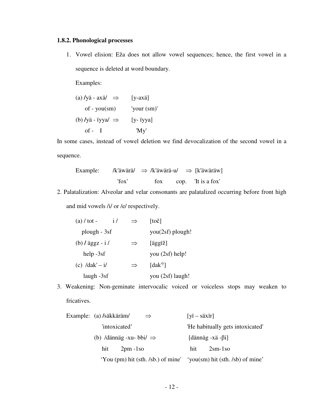## **1.8.2. Phonological processes**

1. Vowel elision: Eža does not allow vowel sequences; hence, the first vowel in a sequence is deleted at word boundary.

Examples:

(a) 
$$
/y\ddot{a} - ax\ddot{a}/
$$
  $\Rightarrow$  [y-ax\ddot{a}]  
of - you(sm) 'your (sm)'  
(b)  $/y\ddot{a} - iyya/ \Rightarrow$  [y- iyya]  
of - I 'My'

In some cases, instead of vowel deletion we find devocalization of the second vowel in a sequence.

Example: 
$$
\text{/k'äwärä/} \Rightarrow \text{/k'äwärä-u/} \Rightarrow \text{[k'äwäräw]}
$$

\n'fox

\ncop. 'It is a fox'

2. Palatalization: Alveolar and velar consonants are palatalized occurring before front high

and mid vowels /i/ or /e/ respectively.

| $(a) / tot -$                   | $\frac{1}{2}$ |               | toč              |
|---------------------------------|---------------|---------------|------------------|
| plough - 3sf                    |               |               | you(2sf) plough! |
| (b) $\frac{\log z - i}{\log z}$ |               | $\Rightarrow$ | [äggïž]          |
| $help -3sf$                     |               |               | you (2sf) help!  |
| (c) $/dak' - i/$                |               | $\Rightarrow$ | $[dak^y]$        |
| laugh $-3sf$                    |               |               | you (2sf) laugh! |

3. Weakening: Non-geminate intervocalic voiced or voiceless stops may weaken to fricatives.

| Example: (a) /säkkäräm/ |                                     |                                  | $\Rightarrow$ | [ <i>y</i> ï – <i>s</i> äxïr] |                                                                     |
|-------------------------|-------------------------------------|----------------------------------|---------------|-------------------------------|---------------------------------------------------------------------|
| 'intoxicated'           |                                     | 'He habitually gets intoxicated' |               |                               |                                                                     |
|                         | (b) /dännäg -xu- bbi/ $\Rightarrow$ |                                  |               | [dännäg -xä - $\beta$ i]      |                                                                     |
| $2pm -1so$<br>hit       |                                     | hit                              | $2\rm sm-1so$ |                               |                                                                     |
|                         |                                     |                                  |               |                               | 'You (pm) hit (sth. /sb.) of mine' 'you(sm) hit (sth. /sb) of mine' |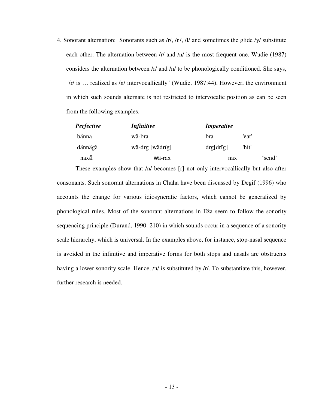4. Sonorant alternation: Sonorants such as /r/, /n/, /l/ and sometimes the glide /y/ substitute each other. The alternation between /r/ and /n/ is the most frequent one. Wudie (1987) considers the alternation between /r/ and /n/ to be phonologically conditioned. She says, "/r/ is … realized as /n/ intervocallically" (Wudie, 1987:44). However, the environment in which such sounds alternate is not restricted to intervocalic position as can be seen from the following examples.

| <b>Perfective</b> | <i>Infinitive</i> | <i>Imperative</i> |       |        |
|-------------------|-------------------|-------------------|-------|--------|
| bänna             | wä-bra            | bra               | 'eat' |        |
| dännägä           | wä-drg [wädrig]   | drg[drig]         | 'hit' |        |
| naxä              | wä-rax            | nax               |       | 'send' |

These examples show that /n/ becomes [r] not only intervocallically but also after consonants. Such sonorant alternations in Chaha have been discussed by Degif (1996) who accounts the change for various idiosyncratic factors, which cannot be generalized by phonological rules. Most of the sonorant alternations in Eža seem to follow the sonority sequencing principle (Durand, 1990: 210) in which sounds occur in a sequence of a sonority scale hierarchy, which is universal. In the examples above, for instance, stop-nasal sequence is avoided in the infinitive and imperative forms for both stops and nasals are obstruents having a lower sonority scale. Hence,  $/n/$  is substituted by  $/r/$ . To substantiate this, however, further research is needed.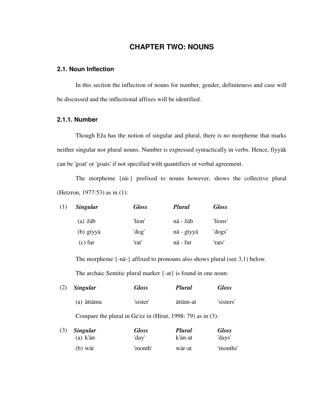## **CHAPTER TWO: NOUNS**

## **2.1. Noun Inflection**

 In this section the inflection of nouns for number, gender, definiteness and case will be discussed and the inflectional affixes will be identified.

## **2.1.1. Number**

(b) wär

 Though Eža has the notion of singular and plural, there is no morpheme that marks neither singular nor plural nouns. Number is expressed syntactically in verbs. Hence, fïyyäk can be 'goat' or 'goats' if not specified with quantifiers or verbal agreement.

 The morpheme {nä-} prefixed to nouns however, shows the collective plural (Hetzron, 1977:53) as in (1):

| (1) | <b>Singular</b> | <b>Gloss</b> | <b>Plural</b> | <b>Gloss</b> |
|-----|-----------------|--------------|---------------|--------------|
|     | $(a)$ žäb       | 'lion'       | nä - žäb      | 'lions'      |
|     | (b) giyyä       | 'dog'        | nä - gïyyä    | 'dogs'       |
|     | (c) fur         | 'rat'        | nä - fur      | 'rats'       |

The morpheme {-nä-} affixed to pronouns also shows plural (see 3.1) below. The archaic Semitic plural marker {-at} is found in one noun:

wär-at

'months'

| (2)                                                            | <b>Singular</b>               | <b>Gloss</b>          | <b>Plural</b>     | <b>Gloss</b>           |
|----------------------------------------------------------------|-------------------------------|-----------------------|-------------------|------------------------|
|                                                                | (a) ättämu                    | 'sister'              | ättäm-at          | 'sisters'              |
| Compare the plural in Ge'ez in (Hirut, 1998: 79) as in $(3)$ : |                               |                       |                   |                        |
| (3)                                                            | <b>Singular</b><br>$(a)$ k'än | <b>Gloss</b><br>'day' | Plural<br>k'än-at | <b>Gloss</b><br>'days' |

'month'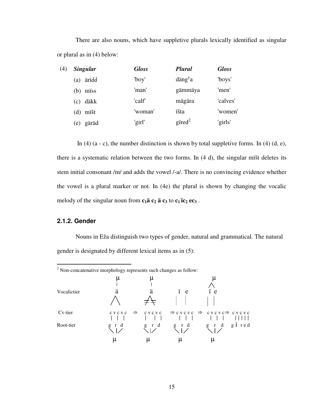There are also nouns, which have suppletive plurals lexically identified as singular or plural as in (4) below:

| (4) | <b>Singular</b> | <b>Gloss</b> | Plural                                  | <b>Gloss</b> |
|-----|-----------------|--------------|-----------------------------------------|--------------|
|     | ärïďď<br>(a)    | 'boy'        | $\text{d}\text{ang}^{\text{y}}\text{a}$ | 'boys'       |
|     | miss<br>(b)     | 'man'        | gämmäya                                 | 'men'        |
|     | däkk<br>(c)     | 'calf'       | mägära                                  | 'calves'     |
|     | mïšt<br>(d)     | 'woman'      | <i>išta</i>                             | 'women'      |
|     | gäräd<br>(e)    | 'girl'       | gired <sup>2</sup>                      | 'girls'      |

In (4)  $(a - c)$ , the number distinction is shown by total suppletive forms. In (4)  $(d, e)$ , there is a systematic relation between the two forms. In (4 d), the singular mïšt deletes its stem initial consonant /m/ and adds the vowel /-a/. There is no convincing evidence whether the vowel is a plural marker or not. In (4e) the plural is shown by changing the vocalic melody of the singular noun from  $c_1$ **ä**  $c_2$  **ä**  $c_3$  **to**  $c_1$  **ic<sub>2</sub>**  $ec_3$ **.** 

## **2.1.2. Gender**

Nouns in Eža distinguish two types of gender, natural and grammatical. The natural gender is designated by different lexical items as in (5):

|             | $2$ Non-concatenative morphology represents such changes as follow: |                                                          |                                                                                 |                                            |  |
|-------------|---------------------------------------------------------------------|----------------------------------------------------------|---------------------------------------------------------------------------------|--------------------------------------------|--|
| Vocalictier | μ<br>ä                                                              | μ<br>ä                                                   | i e                                                                             | μ<br>ï e                                   |  |
| Cv-tier     | c v c v c                                                           |                                                          | $\Rightarrow$ cycyc $\Rightarrow$ cycyc $\Rightarrow$ cycyc $\Rightarrow$ cycyc |                                            |  |
| Root-tier   | $\begin{array}{c} g \text{r} \ d \end{array}$                       | $\begin{array}{c} g \uparrow d \\ \diagdown \end{array}$ | $\begin{array}{c} g \text{r} d \\ \searrow \text{r} \end{array}$                | $g \uparrow d \quad g \uparrow \text{red}$ |  |
|             | μ                                                                   |                                                          | μ                                                                               | μ                                          |  |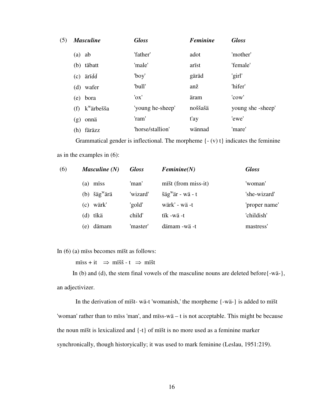| (5) | <b>Masculine</b>              | <b>Gloss</b>     | <b>Feminine</b> | <b>Gloss</b>      |
|-----|-------------------------------|------------------|-----------------|-------------------|
|     | ab<br>(a)                     | 'father'         | adot            | 'mother'          |
|     | (b) täbatt                    | 'male'           | arist           | 'female'          |
|     | ärïďď<br>(c)                  | 'boy'            | gäräd           | 'girl'            |
|     | (d) wafer                     | 'bull'           | anž             | 'hifer'           |
|     | (e) bora                      | 'ox'             | äram            | 'cow'             |
|     | k <sup>w</sup> ärbešša<br>(f) | 'young he-sheep' | noššašä         | young she -sheep' |
|     | onnä<br>(g)                   | 'ram'            | t'ay            | 'ewe'             |
|     | färäzz<br>(h)                 | 'horse/stallion' | wännad          | 'mare'            |
|     |                               |                  |                 |                   |

Grammatical gender is inflectional. The morpheme  $\{- (v) t\}$  indicates the feminine as in the examples in (6):

| (6) | Masculine $(N)$             | <b>Gloss</b> | Feminine(N)                                               | <b>Gloss</b>  |
|-----|-----------------------------|--------------|-----------------------------------------------------------|---------------|
|     | miss<br>(a)                 | 'man'        | mišt (from miss-it)                                       | 'woman'       |
|     | šäg <sup>w</sup> ärä<br>(b) | 'wizard'     | $\check{\text{sig}}^{\text{w}}\check{\text{ar}}$ - wä - t | 'she-wizard'  |
|     | wärk'<br>(c)                | 'gold'       | wärk' - wä -t                                             | 'proper name' |
|     | tïkä<br>(d)                 | child'       | tïk -wä -t                                                | 'childish'    |
|     | dämam<br>e)                 | 'master'     | dämam -wä -t                                              | mastress'     |

In (6) (a) mïss becomes mïšt as follows:

mïss + it  $\Rightarrow$  mïšš - t  $\Rightarrow$  mïšt

 In (b) and (d), the stem final vowels of the masculine nouns are deleted before{-wä-}, an adjectivizer.

 In the derivation of mïšt- wä-t 'womanish,' the morpheme {-wä-} is added to mïšt 'woman' rather than to mïss 'man', and mïss-wä – t is not acceptable. This might be because the noun mïšt is lexicalized and {-t} of mïšt is no more used as a feminine marker synchronically, though historyically; it was used to mark feminine (Leslau, 1951:219).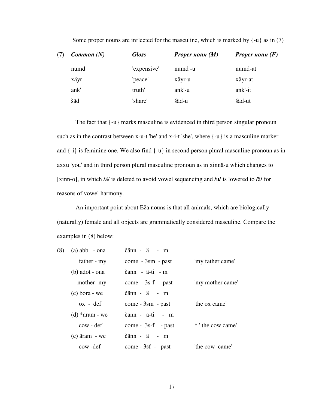| (7) | Common(N) | <b>Gloss</b> | <b>Proper noun <math>(M)</math></b> | <b>Proper noun</b> $(F)$ |
|-----|-----------|--------------|-------------------------------------|--------------------------|
|     | numd      | 'expensive'  | numd -u                             | numd-at                  |
|     | xäyr      | 'peace'      | xäyr-u                              | xäyr-at                  |
|     | ank'      | truth'       | ank'-u                              | ank'-it                  |
|     | šäd       | 'share'      | šäd-u                               | šäd-ut                   |

Some proper nouns are inflected for the masculine, which is marked by  $\{-u\}$  as in (7)

The fact that {-u} marks masculine is evidenced in third person singular pronoun such as in the contrast between x-u-t 'he' and x-i-t 'she', where {-u} is a masculine marker and {-i} is feminine one. We also find {-u} in second person plural masculine pronoun as in axxu 'you' and in third person plural masculine pronoun as in xinnä-u which changes to [xinn-o], in which **/**ä/ is deleted to avoid vowel sequencing and **/**u**/** is lowered to **/**ä**/** for reasons of vowel harmony.

 An important point about Eža nouns is that all animals, which are biologically (naturally) female and all objects are grammatically considered masculine. Compare the examples in (8) below:

| (8) | $(a)$ abb - ona    | čänn - ä - m            |                   |
|-----|--------------------|-------------------------|-------------------|
|     | father - my        | $come - 3sm - past$     | 'my father came'  |
|     | $(b)$ adot - ona   | čann - ä-ti - m         |                   |
|     | mother -my         | $come - 3s-f - past$    | 'my mother came'  |
|     | $(c)$ bora - we    | $\check{c}$ änn - ä - m |                   |
|     | $\alpha x - d e f$ | $come - 3sm - past$     | 'the ox came'     |
|     | $(d)$ *äram - we   | čänn - ä-ti - m         |                   |
|     | cow - def          | $come - 3s-f - past$    | * ' the cow came' |
|     | $(e)$ äram - we    | $\check{c}$ änn - ä - m |                   |
|     | cow-def            | $come - 3sf - past$     | 'the cow came'    |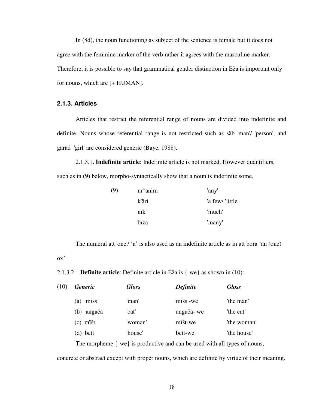In (8d), the noun functioning as subject of the sentence is female but it does not agree with the feminine marker of the verb rather it agrees with the masculine marker. Therefore, it is possible to say that grammatical gender distinction in Eža is important only for nouns, which are [+ HUMAN].

## **2.1.3. Articles**

 Articles that restrict the referential range of nouns are divided into indefinite and definite. Nouns whose referential range is not restricted such as säb 'man'/ 'person', and gäräd 'girl' are considered generic (Baye, 1988).

2.1.3.1. **Indefinite article**: Indefinite article is not marked. However quantifiers,

such as in (9) below, morpho-syntactically show that a noun is indefinite some.

| (9) | $m^w$ anim | 'any'            |
|-----|------------|------------------|
|     | k'äri      | 'a few/ 'little' |
|     | nïk'       | 'much'           |
|     | bïzä       | 'many'           |

The numeral att 'one'/ 'a' is also used as an indefinite article as in att bora 'an (one)

ox'

2.1.3.2. **Definite article**: Definite article in Eža is {-we} as shown in (10):

| (10) | <b>Generic</b> | <b>Gloss</b> | <b>Definite</b> | <b>Gloss</b> |
|------|----------------|--------------|-----------------|--------------|
|      | miss<br>(a)    | 'man'        | miss -we        | 'the man'    |
|      | angača<br>(b)  | 'cat'        | angača-we       | 'the cat'    |
|      | (c) mišt       | 'woman'      | mišt-we         | 'the woman'  |
|      | (d) bett       | 'house'      | bett-we         | 'the house'  |
|      |                |              |                 |              |

The morpheme {-we} is productive and can be used with all types of nouns,

concrete or abstract except with proper nouns, which are definite by virtue of their meaning.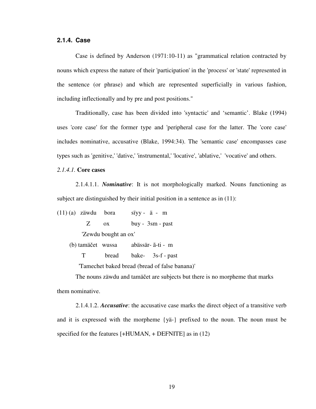## **2.1.4. Case**

Case is defined by Anderson (1971:10-11) as "grammatical relation contracted by nouns which express the nature of their 'participation' in the 'process' or 'state' represented in the sentence (or phrase) and which are represented superficially in various fashion, including inflectionally and by pre and post positions."

 Traditionally, case has been divided into 'syntactic' and 'semantic'. Blake (1994) uses 'core case' for the former type and 'peripheral case for the latter. The 'core case' includes nominative, accusative (Blake, 1994:34). The 'semantic case' encompasses case types such as 'genitive,' 'dative,' 'instrumental,' 'locative', 'ablative,' 'vocative' and others.

#### *2.1.4.1.* **Core cases**

2.1.4.1.1. *Nominative*: It is not morphologically marked. Nouns functioning as subject are distinguished by their initial position in a sentence as in  $(11)$ :

(11) (a) zäwdu bora sïyy - ä - m Z ox buy - 3sm - past 'Zewdu bought an ox' (b) tamäčet wussa abässär- ã-ti - m T bread bake- 3s-f - past

'Tamechet baked bread (bread of false banana)'

The nouns zäwdu and tamäčet are subjects but there is no morpheme that marks them nominative.

2.1.4.1.2. *Accusative*: the accusative case marks the direct object of a transitive verb and it is expressed with the morpheme {yä-} prefixed to the noun. The noun must be specified for the features [+HUMAN, + DEFNITE] as in (12)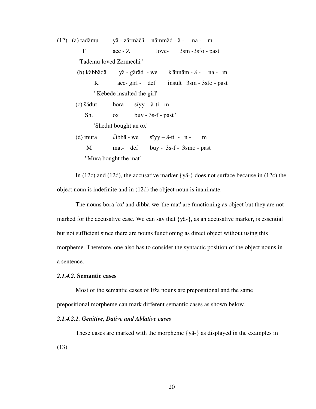(12) (a) tadämu yä - zärmäč'i nämmäd - ä - na - m T acc - Z love- 3sm -3sfo - past 'Tademu loved Zermechi ' (b) käbbädä yä - gäräd - we k'ännäm - ä - na - m K acc- girl - def insult 3sm - 3sfo - past ' Kebede insulted the girl' (c) šädut bora sïyy – ä-ti- m Sh. ox buy - 3s-f - past ' 'Shedut bought an ox' (d) mura dibbä - we sïyy – ä-ti - n - m M mat- def buy - 3s-f - 3smo - past ' Mura bought the mat'

In (12c) and (12d), the accusative marker  $\{y\ddot{a} - \}$  does not surface because in (12c) the object noun is indefinite and in (12d) the object noun is inanimate.

The nouns bora 'ox' and dibbä-we 'the mat' are functioning as object but they are not marked for the accusative case. We can say that {yä-}, as an accusative marker, is essential but not sufficient since there are nouns functioning as direct object without using this morpheme. Therefore, one also has to consider the syntactic position of the object nouns in a sentence.

## *2.1.4.2.* **Semantic cases**

 Most of the semantic cases of Eža nouns are prepositional and the same prepositional morpheme can mark different semantic cases as shown below.

### *2.1.4.2.1. Genitive, Dative and Ablative cases*

 These cases are marked with the morpheme {yä-} as displayed in the examples in (13)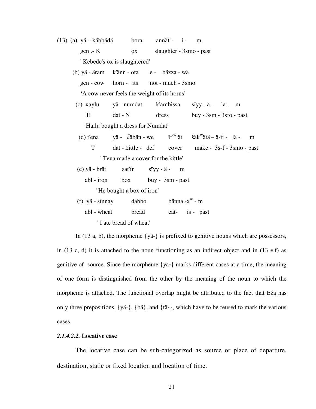| (13) (a) yä – käbbädä bora annät' - i - m |                                             |                         |                                                                                                      |
|-------------------------------------------|---------------------------------------------|-------------------------|------------------------------------------------------------------------------------------------------|
| $gen - K$                                 | OX                                          | slaughter - 3smo - past |                                                                                                      |
|                                           | 'Kebede's ox is slaughtered'                |                         |                                                                                                      |
| (b) yä - äram k'änn - ota e - bäzza - wä  |                                             |                         |                                                                                                      |
|                                           | gen - cow horn - its not - much - 3smo      |                         |                                                                                                      |
|                                           | 'A cow never feels the weight of its horns' |                         |                                                                                                      |
|                                           |                                             |                         | (c) xaylu yä-numdat k'ambissa siyy-ä- la-m                                                           |
| H                                         | $dat - N$ dress                             |                         | buy - $3\text{sm}$ - $3\text{sfo}$ - $\text{past}$                                                   |
|                                           | 'Hailu bought a dress for Numdat'           |                         |                                                                                                      |
|                                           |                                             |                         | (d) t'ena yä - däbän - we $\int$ if <sup>'w</sup> ät $\delta$ äk <sup>w</sup> ätä – ä-ti - lä -<br>m |
| T                                         |                                             |                         | dat - kittle - def cover make - 3s-f - 3smo - past                                                   |
|                                           | 'Tena made a cover for the kittle'          |                         |                                                                                                      |
|                                           | (e) yä - brät sat'in siyy - ä - m           |                         |                                                                                                      |
|                                           | abl - iron box buy - 3sm - past             |                         |                                                                                                      |
|                                           | 'He bought a box of iron'                   |                         |                                                                                                      |
|                                           | (f) yä - sïnnay $dabbo$ bänna - $x^w$ - m   |                         |                                                                                                      |
| abl - wheat                               | bread                                       | eat- is - past          |                                                                                                      |
|                                           | 'I ate bread of wheat'                      |                         |                                                                                                      |

In (13 a, b), the morpheme {yä-} is prefixed to genitive nouns which are possessors,

in  $(13 \text{ c}, d)$  it is attached to the noun functioning as an indirect object and in  $(13 \text{ e}, f)$  as genitive of source. Since the morpheme {yä**-**} marks different cases at a time, the meaning of one form is distinguished from the other by the meaning of the noun to which the morpheme is attached. The functional overlap might be attributed to the fact that Eža has only three prepositions, {yä-}, {bä}, and {tä**-**}, which have to be reused to mark the various cases.

## *2.1.4.2.2.* **Locative case**

 The locative case can be sub-categorized as source or place of departure, destination, static or fixed location and location of time.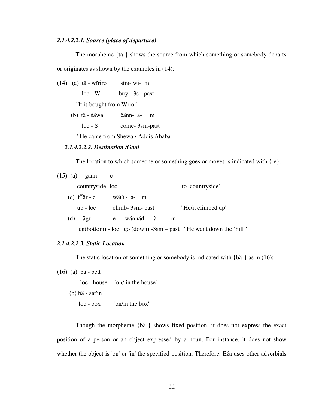#### *2.1.4.2.2.1. Source (place of departure)*

 The morpheme {tä-} shows the source from which something or somebody departs or originates as shown by the examples in (14):

- (14) (a) tä wïriro sïra- wi- m loc - W buy- 3s- past ' It is bought from Wrior' (b)tä - šäwa čänn- ä- m
	- loc S come- 3sm-past

' He came from Shewa / Addis Ababa'

## *2.1.4.2.2.2. Destination /Goal*

The location to which someone or something goes or moves is indicated with  $\{-e\}$ .

| $(15)$ $(a)$ gänn - e           |                  |                                                                        |
|---------------------------------|------------------|------------------------------------------------------------------------|
|                                 | countryside-loc  | ' to countryside'                                                      |
| (c) $f^{\text{w}}\text{ar} - e$ | wät't'- a- m     |                                                                        |
| $up$ - $loc$                    | $climb-3sm-past$ | 'He/it climbed up'                                                     |
| (d)<br>ägr                      | - e wännäd - ä - | m                                                                      |
|                                 |                  | $leg(bottom) - loc$ go $(down) - 3sm - past$ 'He went down the 'hill'' |

## *2.1.4.2.2.3. Static Location*

The static location of something or somebody is indicated with {bä-} as in (16):

(16) (a) bä - bett

loc - house 'on/ in the house'

(b) bä - sat'in

loc - box 'on/in the box'

 Though the morpheme {bä-} shows fixed position, it does not express the exact position of a person or an object expressed by a noun. For instance, it does not show whether the object is 'on' or 'in' the specified position. Therefore, Eža uses other adverbials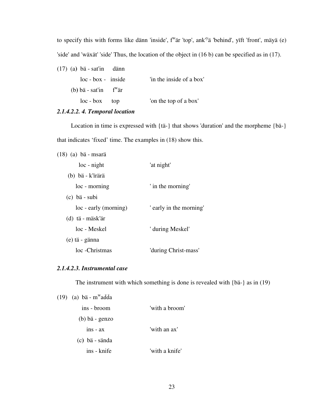to specify this with forms like dänn 'inside', f<sup>w</sup>är 'top', ank'<sup>y</sup>ä 'behind', yïft 'front', mäyä (e) 'side' and 'wäxät' 'side' Thus, the location of the object in (16 b) can be specified as in (17).

(17) (a**)** bä - sat'in dänn loc - box - inside 'in the inside of a box' (b**)** bä - sat'in f<sup>w</sup> är loc - box top 'on the top of a box'

## *2.1.4.2.2. 4. Temporal location*

 Location in time is expressed with {tä-} that shows 'duration' and the morpheme {bä-} that indicates 'fixed' time. The examples in (18) show this.

| (18) (a) bä - msarä   |                         |
|-----------------------|-------------------------|
| loc - night           | 'at night'              |
| (b) bä - k'irärä      |                         |
| loc - morning         | ' in the morning'       |
| $(c)$ bä - subi       |                         |
| loc - early (morning) | ' early in the morning' |
| (d) tä - mäsk'är      |                         |
| loc - Meskel          | ' during Meskel'        |
| (e) tä - gänna        |                         |
| loc -Christmas        | 'during Christ-mass'    |

## *2.1.4.2.3. Instrumental case*

The instrument with which something is done is revealed with {bä-} as in (19)

| $(19)$ (a) bä - m <sup>w</sup> adda |                |
|-------------------------------------|----------------|
| ins - broom                         | 'with a broom' |
| $(b)$ bä - genzo                    |                |
| $ins - ax$                          | 'with an ax'   |
| (c) bä - sända                      |                |
| ins - knife                         | 'with a knife' |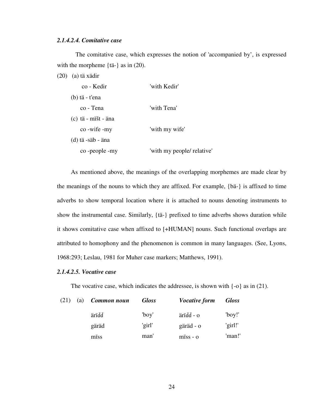## *2.1.4.2.4. Comitative case*

 The comitative case, which expresses the notion of 'accompanied by', is expressed with the morpheme {tä-} as in (20).

(20) (a) tä xädir

| co - Kedir            | 'with Kedir'               |
|-----------------------|----------------------------|
| $(b)$ tä - t'ena      |                            |
| co - Tena             | 'with Tena'                |
| $(c)$ tä - mišt - äna |                            |
| co -wife -my          | 'with my wife'             |
| $(d)$ tä -säb - äna   |                            |
| co-people-my          | 'with my people/ relative' |

 As mentioned above, the meanings of the overlapping morphemes are made clear by the meanings of the nouns to which they are affixed. For example, {bä-} is affixed to time adverbs to show temporal location where it is attached to nouns denoting instruments to show the instrumental case. Similarly, {tä-} prefixed to time adverbs shows duration while it shows comitative case when affixed to [+HUMAN] nouns. Such functional overlaps are attributed to homophony and the phenomenon is common in many languages. (See, Lyons, 1968:293; Leslau, 1981 for Muher case markers; Matthews, 1991).

#### *2.1.4.2.5. Vocative case*

The vocative case, which indicates the addressee, is shown with  $\{-o\}$  as in (21).

| (21) | (a)  | Common noun | <b>Gloss</b> | <i>Vocative form</i> | <b>Gloss</b> |
|------|------|-------------|--------------|----------------------|--------------|
|      |      | ärïďď       | 'boy'        | ärïďď - o            | $'$ boy!'    |
|      |      | gäräd       | 'girl'       | gäräd - o            | 'girl!'      |
|      | miss | man'        | $miss - o$   | 'man!'               |              |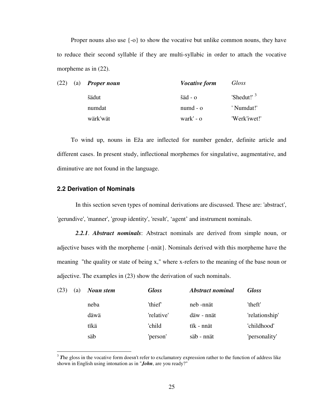Proper nouns also use {-o} to show the vocative but unlike common nouns, they have to reduce their second syllable if they are multi-syllabic in order to attach the vocative morpheme as in  $(22)$ .

| (22) | (a) | <b>Proper noun</b> | <i>Vocative form</i>                                 | Gloss         |
|------|-----|--------------------|------------------------------------------------------|---------------|
|      |     | šädut              | $\ddot{\text{}3} \text{ \dot{a}}$ - $\dot{\text{0}}$ | 'Shedut!' $3$ |
|      |     | numdat             | $numd - o$                                           | ' Numdat!'    |
|      |     | wärk'wät           | wark' - o                                            | 'Werk'iwet!'  |

 To wind up, nouns in Eža are inflected for number gender, definite article and different cases. In present study, inflectional morphemes for singulative, augmentative, and diminutive are not found in the language.

## **2.2 Derivation of Nominals**

 $\overline{a}$ 

 In this section seven types of nominal derivations are discussed. These are: 'abstract', 'gerundive', 'manner', 'group identity', 'result', 'agent' and instrument nominals.

*2.2.1*. *Abstract nominals*: Abstract nominals are derived from simple noun, or adjective bases with the morpheme {-nnät}. Nominals derived with this morpheme have the meaning "the quality or state of being x," where x-refers to the meaning of the base noun or adjective. The examples in (23) show the derivation of such nominals.

| (23) | (a) | Noun stem | <b>Gloss</b> | <b>Abstract nominal</b> | <b>Gloss</b>   |
|------|-----|-----------|--------------|-------------------------|----------------|
|      |     | neba      | 'thief'      | neb -nnät               | 'theft'        |
|      |     | däwä      | 'relative'   | däw - nnät              | 'relationship' |
|      |     | tikä      | 'child       | tik - nnät              | 'childhood'    |
|      |     | säb       | 'person'     | säb - nnät              | 'personality'  |

<sup>&</sup>lt;sup>3</sup> The gloss in the vocative form doesn't refer to exclamatory expression rather to the function of address like shown in English using intonation as in "*John*, are you ready?"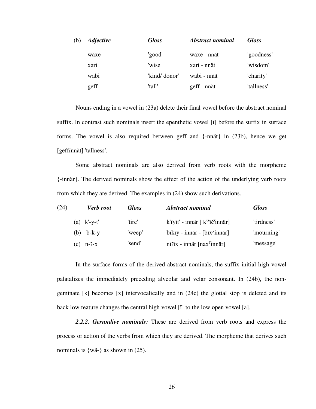| (b) | <i><b>Adjective</b></i> | <b>Gloss</b>  | <i><b>Abstract nominal</b></i> | <b>Gloss</b> |
|-----|-------------------------|---------------|--------------------------------|--------------|
|     | wäxe                    | 'good'        | wäxe - nnät                    | 'goodness'   |
|     | xari                    | 'wise'        | xari - nnät                    | 'wisdom'     |
|     | wabi                    | 'kind/ donor' | wabi - nnät                    | 'charity'    |
|     | geff                    | 'tall'        | geff - nnät                    | 'tallness'   |

 Nouns ending in a vowel in (23a) delete their final vowel before the abstract nominal suffix. In contrast such nominals insert the epenthetic vowel [ï] before the suffix in surface forms. The vowel is also required between geff and {-nnät} in (23b), hence we get [geffïnnät] 'tallness'.

 Some abstract nominals are also derived from verb roots with the morpheme {-innär}. The derived nominals show the effect of the action of the underlying verb roots from which they are derived. The examples in (24) show such derivations.

| (24) |                | <b>Verb</b> root | <b>Gloss</b> | <b>Abstract nominal</b>                                    | <b>Gloss</b> |
|------|----------------|------------------|--------------|------------------------------------------------------------|--------------|
|      | (a) $k'$ -y-t' |                  | 'tire'       | k'iyit' - innär $\left[ k^{y}$ ič'innär $\right]$          | 'tirdness'   |
|      | $(b)$ b-k-y    |                  | 'weep'       | bïkïy - innär - $\left[\text{bix}^{\text{y}}\right]$ innär | 'mourning'   |
|      | $(c)$ n- $2-x$ |                  | 'send'       | ni'ix - innär $\left[$ nax $\frac{y}{x}$ innär $\right]$   | 'message'    |

 In the surface forms of the derived abstract nominals, the suffix initial high vowel palatalizes the immediately preceding alveolar and velar consonant. In (24b), the nongeminate [k] becomes [x] intervocalically and in (24c) the glottal stop is deleted and its back low feature changes the central high vowel [ï] to the low open vowel [a].

*2.2.2. Gerundive nominals:* These are derived from verb roots and express the process or action of the verbs from which they are derived. The morpheme that derives such nominals is {wä-} as shown in (25).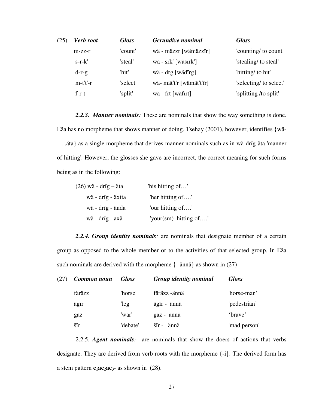| (25) | Verb root  | <b>Gloss</b> | Gerundive nominal        | <b>Gloss</b>           |
|------|------------|--------------|--------------------------|------------------------|
|      | $m-zz-r$   | 'count'      | wä - mäzzr [wämäzzïr]    | 'counting/ to count'   |
|      | $s-r-k'$   | 'steal'      | wä - srk' [wäsirk']      | 'stealing/ to steal'   |
|      | $d-r-g$    | 'hit'        | wä - drg [wädirg]        | 'hitting/ to hit'      |
|      | $m-t't'-r$ | 'select'     | wä- mät't'r [wämät't'ïr] | 'selecting/ to select' |
|      | $f-r-t$    | 'split'      | wä - frt [wäfirt]        | 'splitting /to split'  |

*2.2.3. Manner nominals:* These are nominals that show the way something is done. Eža has no morpheme that shows manner of doing. Tsehay (2001), however, identifies {wä- …..äta} as a single morpheme that derives manner nominals such as in wä-drïg-äta 'manner of hitting'. However, the glosses she gave are incorrect, the correct meaning for such forms being as in the following:

| $(26)$ wä - drig – äta | 'his hitting of'      |
|------------------------|-----------------------|
| wä - drig - äxita      | "her hitting of"      |
| wä - drïg - ända       | 'our hitting of'      |
| wä - drïg - axä        | 'your(sm) hitting of' |

 *2.2.4. Group identity nominals:* are nominals that designate member of a certain group as opposed to the whole member or to the activities of that selected group. In Eža such nominals are derived with the morpheme  $\{-\text{änn}\}\$ as shown in (27)

| (27) | Common noun | <b>Gloss</b> | <b>Group identity nominal</b> | <b>Gloss</b> |
|------|-------------|--------------|-------------------------------|--------------|
|      | färäzz      | 'horse'      | färäzz -ännä                  | 'horse-man'  |
|      | ägir        | 'leg'        | ägïr - ännä                   | 'pedestrian' |
|      | gaz         | 'war'        | gaz - ännä                    | 'brave'      |
|      | šir         | 'debate'     | šir - ännä                    | 'mad person' |

 2.2.5. *Agent nominals:* are nominals that show the doers of actions that verbs designate. They are derived from verb roots with the morpheme {-i}. The derived form has a stem pattern  $c_1ac_2ac_3$ - as shown in (28).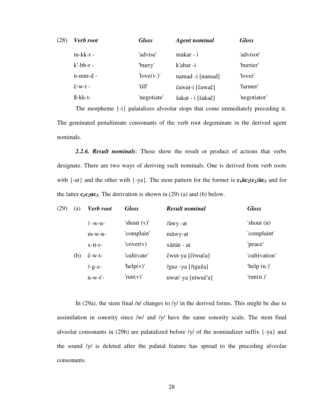| (28) | <b>Verb</b> root            | <b>Gloss</b> | <b>Agent nominal</b> | <b>Gloss</b> |
|------|-----------------------------|--------------|----------------------|--------------|
|      | $m-kk-r-$                   | 'advise'     | makar - i            | 'advisor'    |
|      | $k'$ -bb- $r$ -             | 'burry'      | k'abar-i             | 'burrier'    |
|      | $n$ -mm-d -                 | [love(v.)]   | namad -i [namaď]     | 'lover'      |
|      | $\check{C}$ -W-t -          | 'till'       | čawat-i [čawač]      | 'farmer'     |
|      | $\check{\mathrm{s}}$ -kk-t- | 'negotiate'  | šakat - i [šakač]    | 'negotiator' |

 The morpheme {-i} palatalizes alveolar stops that come immediately preceding it. The geminated penultimate consonants of the verb root degeminate in the derived agent nominals.

*2.2.6. Result nominals:* These show the result or product of actions that verbs designate. There are two ways of deriving such nominals. One is derived from verb roots with  $\{-at\}$  and the other with  $\{-ya\}$ . The stem pattern for the former is  $c_1\ddot{a}c_2(c_2)\ddot{a}c_3$  and for the latter  $c_1c_2uc_3$ . The derivation is shown in (29) (a) and (b) below.

| (29) | (a) | <b>Verb</b> root  | <b>Gloss</b>      | <b>Result nominal</b> | <b>Gloss</b>  |
|------|-----|-------------------|-------------------|-----------------------|---------------|
|      |     | $7 - w - n -$     | 'shout $(v)$ '    | ?äwy -at              | 'shout $(n)$  |
|      |     | $m-w-n-$          | 'complain'        | mäwy-at               | 'complaint'   |
|      |     | $x-tt-r-$         | $\text{cover}(v)$ | xättär - at           | 'peace'       |
|      | (b) | $\check{c}$ -w-t- | 'cultivate'       | čwut-ya [čiwuča]      | 'cultivation' |
|      |     | $7 - g - Z -$     | 'help(v)'         | ?guz -ya [?ïguža]     | 'help $(n.)'$ |
|      |     | $n-w-t'$ -        | ' $run(v)$ '      | nwut'-ya [nïwuč'a]    | ' $run(n.)'$  |

In (29a), the stem final /n/ changes to /y/ in the derived forms. This might be due to assimilation in sonority since /w/ and /y/ have the same sonority scale. The stem final alveolar consonants in (29b) are palatalized before /y/ of the nominalizer suffix {-ya} and the sound /y/ is deleted after the palatal feature has spread to the preceding alveolar consonants.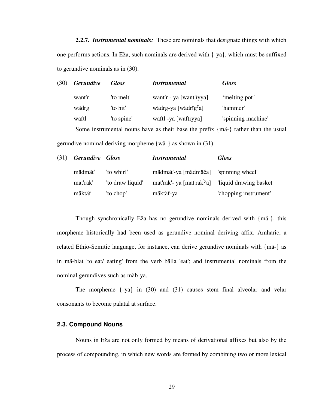**2.2.7.** *Instrumental nominals:* These are nominals that designate things with which one performs actions. In Eža, such nominals are derived with  $\{-ya\}$ , which must be suffixed to gerundive nominals as in (30).

| (30) | <b>Gerundive</b> | <b>Gloss</b> | <i>Instrumental</i>                                                               | <b>Gloss</b>       |
|------|------------------|--------------|-----------------------------------------------------------------------------------|--------------------|
|      | want'r           | 'to melt'    | want'r - ya [want'iyya]                                                           | 'melting pot'      |
|      | wädrg            | 'to hit'     | wädrg-ya [wädrïg <sup>y</sup> a]                                                  | 'hammer'           |
|      | wäftl            | 'to spine'   | wäftl -ya [wäftïyya]                                                              | 'spinning machine' |
|      |                  |              | Some instrumental nouns have as their base the prefix {ma-} rather than the usual |                    |
|      |                  |              |                                                                                   |                    |

gerundive nominal deriving morpheme {wä-} as shown in (31).

| (31) Gerundive Gloss |                  | <i>Instrumental</i>                                            | <b>Gloss</b>          |
|----------------------|------------------|----------------------------------------------------------------|-----------------------|
| mädmät'              | 'to whirl'       | mädmät'-ya [mädmäča] 'spinning wheel'                          |                       |
| mät'räk'             | 'to draw liquid' | mät'räk'- ya [mat'räk <sup>'y</sup> a] 'liquid drawing basket' |                       |
| mäktäf               | 'to chop'        | mäktäf-ya                                                      | 'chopping instrument' |

Though synchronically Eža has no gerundive nominals derived with {mä-}, this morpheme historically had been used as gerundive nominal deriving affix. Amharic, a related Ethio-Semitic language, for instance, can derive gerundive nominals with {mä-} as in mä-blat 'to eat/ eating' from the verb bälla 'eat'; and instrumental nominals from the nominal gerundives such as mäb-ya.

 The morpheme {-ya} in (30) and (31) causes stem final alveolar and velar consonants to become palatal at surface.

## **2.3. Compound Nouns**

 Nouns in Eža are not only formed by means of derivational affixes but also by the process of compounding, in which new words are formed by combining two or more lexical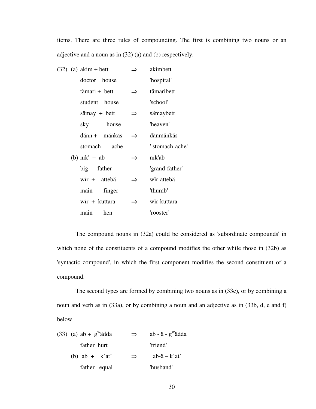items. There are three rules of compounding. The first is combining two nouns or an adjective and a noun as in (32) (a) and (b) respectively.

| $(32)$ (a) akim + bett     |               | akimbett        |
|----------------------------|---------------|-----------------|
| doctor house               |               | 'hospital'      |
| tämari + bett              | $\Rightarrow$ | tämaribett      |
| student house              |               | 'school'        |
| $s\ddot{a}$ and $s$ + bett | ⇒             | sämaybett       |
| house<br>sky               |               | 'heaven'        |
| $d$ änn + mänkäs           |               | dänmänkäs       |
| stomach ache               |               | ' stomach-ache' |
| (b) $n\ddot{x}$ + ab       | $\Rightarrow$ | nïk'ab          |
| big father                 |               | 'grand-father'  |
| wir + attebä               |               | wir-attebä      |
| main<br>finger             |               | 'thumb'         |
| wir + kuttara              |               | wir-kuttara     |
| hen<br>main                |               | 'rooster'       |

 The compound nouns in (32a) could be considered as 'subordinate compounds' in which none of the constituents of a compound modifies the other while those in (32b) as 'syntactic compound', in which the first component modifies the second constituent of a compound.

 The second types are formed by combining two nouns as in (33c), or by combining a noun and verb as in (33a), or by combining a noun and an adjective as in (33b, d, e and f) below.

| $(33)$ (a) ab + g <sup>w</sup> adda | $\Rightarrow$ | $ab - \ddot{a} - g^{\rm w} \ddot{a} dda$ |
|-------------------------------------|---------------|------------------------------------------|
| father hurt                         |               | 'friend'                                 |
| (b) ab + $k'at'$                    | $\Rightarrow$ | $ab - \ddot{a} - \dot{k}$ at             |
| father equal                        |               | 'husband'                                |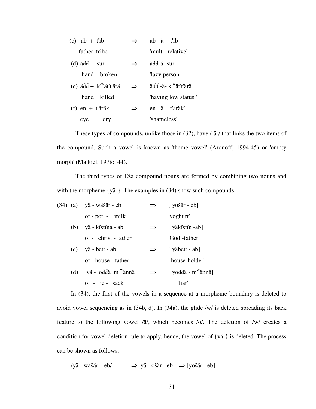| $(c)$ ab + t'ib                                                          |               | $ab - \ddot{a} - t'$ ib          |
|--------------------------------------------------------------------------|---------------|----------------------------------|
| father tribe                                                             |               | 'multi-relative'                 |
| $(d)$ ädd + sur                                                          | $\Rightarrow$ | ädd-ä- sur                       |
| hand broken                                                              |               | 'lazy person'                    |
| (e) $\ddot{a}\text{d}\dot{d} + k^{\text{w}}\ddot{a}t^{\text{r}}\ddot{a}$ | $\Rightarrow$ | ädd -ä- k' <sup>w</sup> ät't'ärä |
| hand killed                                                              |               | "having low status"              |
| $(f)$ en + t'äräk'                                                       | $\Rightarrow$ | en -ä - t'äräk'                  |
| dry<br>eye                                                               |               | 'shameless'                      |

 These types of compounds, unlike those in (32), have /-ä-/ that links the two items of the compound. Such a vowel is known as 'theme vowel' (Aronoff, 1994:45) or 'empty morph' (Malkiel, 1978:144).

 The third types of Eža compound nouns are formed by combining two nouns and with the morpheme {yä-}. The examples in (34) show such compounds.

|  | (34) (a) yä - wäšär - eb            | $\Rightarrow$ | $[$ yošär - eb]                |
|--|-------------------------------------|---------------|--------------------------------|
|  | $of - pot - milk$                   |               | 'yoghurt'                      |
|  | (b) yä - kistina - ab               | $\Rightarrow$ | [ yäkistin -ab]                |
|  | of - christ - father                |               | 'God -father'                  |
|  | $(c)$ yä - bett - ab                | $\Rightarrow$ | [ yäbett - ab]                 |
|  | of - house - father                 |               | 'house-holder'                 |
|  | $(d)$ yä - odda m <sup>w</sup> ännä | $\Rightarrow$ | [ yodda - m <sup>w</sup> ännä] |
|  | of - lie - sack                     |               | 'liar'                         |

 In (34), the first of the vowels in a sequence at a morpheme boundary is deleted to avoid vowel sequencing as in (34b, d). In (34a), the glide /w/ is deleted spreading its back feature to the following vowel /ä/, which becomes /o/. The deletion of **/**w/ creates a condition for vowel deletion rule to apply, hence, the vowel of {yä-} is deleted. The process can be shown as follows:

/yä - wäšär – eb/  $\implies$  yä - ošär - eb  $\implies$  [yošär - eb]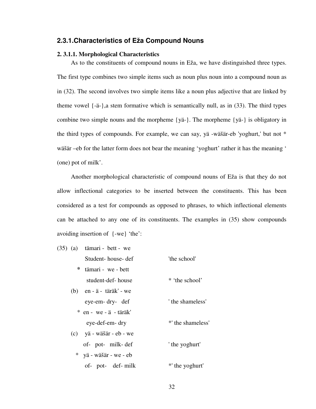## **2.3.1.Characteristics of Eža Compound Nouns**

#### **2. 3.1.1. Morphological Characteristics**

 As to the constituents of compound nouns in Eža, we have distinguished three types. The first type combines two simple items such as noun plus noun into a compound noun as in (32). The second involves two simple items like a noun plus adjective that are linked by theme vowel  $\{-\ddot{a}-\}\$ , a stem formative which is semantically null, as in (33). The third types combine two simple nouns and the morpheme {yä-}. The morpheme {yä-} is obligatory in the third types of compounds. For example, we can say, yä -wäšär-eb 'yoghurt,' but not \* wäšär –eb for the latter form does not bear the meaning 'yoghurt' rather it has the meaning ' (one) pot of milk'.

 Another morphological characteristic of compound nouns of Eža is that they do not allow inflectional categories to be inserted between the constituents. This has been considered as a test for compounds as opposed to phrases, to which inflectional elements can be attached to any one of its constituents. The examples in (35) show compounds avoiding insertion of {-we} 'the':

|     | $(35)$ (a) tämari - bett - we |                |
|-----|-------------------------------|----------------|
|     | Student- house- def           | 'the school'   |
|     | * tämari - we - bett          |                |
|     | student-def-house             | * 'the school' |
| (b) | en - ä -  täräk' - we         |                |

| eye-em- dry- def                  | the shameless'    |
|-----------------------------------|-------------------|
| $*$ en - we - $\ddot{a}$ - täräk' |                   |
| eye-def-em-dry                    | *' the shameless' |

 (c) yä - wäšär - eb - we of- pot- milk- def ' the yoghurt' \* yä - wäšär - we - eb of- pot- def- milk \*' the yoghurt'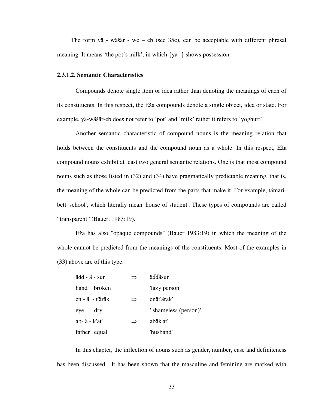The form yä - wäšär - we – eb (see  $35c$ ), can be acceptable with different phrasal meaning. It means 'the pot's milk', in which {yä -} shows possession.

#### **2.3.1.2. Semantic Characteristics**

Compounds denote single item or idea rather than denoting the meanings of each of its constituents. In this respect, the Eža compounds denote a single object, idea or state. For example, yä-wäšär-eb does not refer to 'pot' and 'milk' rather it refers to 'yoghurt'.

 Another semantic characteristic of compound nouns is the meaning relation that holds between the constituents and the compound noun as a whole. In this respect, Eža compound nouns exhibit at least two general semantic relations. One is that most compound nouns such as those listed in (32) and (34) have pragmatically predictable meaning, that is, the meaning of the whole can be predicted from the parts that make it. For example, tämaribett 'school', which literally mean 'house of student'. These types of compounds are called "transparent" (Bauer, 1983:19).

 Eža has also "opaque compounds" (Bauer 1983:19) in which the meaning of the whole cannot be predicted from the meanings of the constituents. Most of the examples in (33) above are of this type.

| ädd - ä - sur           |               | äďdäsur               |
|-------------------------|---------------|-----------------------|
| hand broken             |               | 'lazy person'         |
| en - ä - t'äräk'        | $\Rightarrow$ | enät'ärak'            |
| dry<br>eve              |               | ' shameless (person)' |
| $ab - \ddot{a} - k'at'$ | $\Rightarrow$ | abäk'at'              |
| father equal            |               | 'husband'             |

 In this chapter, the inflection of nouns such as gender, number, case and definiteness has been discussed. It has been shown that the masculine and feminine are marked with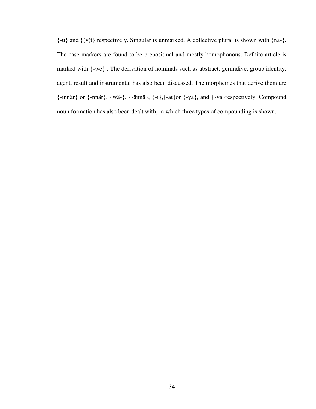{-u} and {(v)t} respectively. Singular is unmarked. A collective plural is shown with {nä-}. The case markers are found to be prepositinal and mostly homophonous. Defnite article is marked with {-we} . The derivation of nominals such as abstract, gerundive, group identity, agent, result and instrumental has also been discussed. The morphemes that derive them are {-innär} or {-nnär}, {wä-}, {-ännä}, {-i},{-at}or {-ya}, and {-ya}respectively. Compound noun formation has also been dealt with, in which three types of compounding is shown.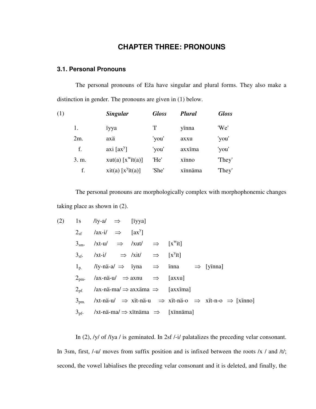# **CHAPTER THREE: PRONOUNS**

## **3.1. Personal Pronouns**

 The personal pronouns of Eža have singular and plural forms. They also make a distinction in gender. The pronouns are given in (1) below.

| (1) |       | <b>Singular</b>                     | <b>Gloss</b> | <b>Plural</b> | <b>Gloss</b> |
|-----|-------|-------------------------------------|--------------|---------------|--------------|
|     | 1.    | iyya                                | 'T'          | yinna         | 'We'         |
|     | 2m.   | axä                                 | 'you'        | axxu          | 'you'        |
|     | f.    | $axi$ [ $axy$ ]                     | 'you'        | axxima        | 'you'        |
|     | 3. m. | xut(a) $[x^{\text{w}}\text{it}(a)]$ | 'He'         | xinno         | "They"       |
|     | f.    | xit(a) $[x^y$ it(a)]                | 'She'        | xïnnäma       | 'They'       |
|     |       |                                     |              |               |              |

The personal pronouns are morphologically complex with morphophonemic changes taking place as shown in (2).

$$
(2) \quad 1s \quad 7sy-a \quad \Rightarrow \quad [iyya]
$$
\n
$$
2_{sf} \quad 7ax-i \quad \Rightarrow \quad [ax^{y}]
$$
\n
$$
3_{sm} \quad 7xt-u \quad \Rightarrow \quad 7xut \quad \Rightarrow \quad [x^{w}it]
$$
\n
$$
3_{sf} \quad 7xt-i \quad \Rightarrow 7xit \quad \Rightarrow \quad [x^{y}it]
$$
\n
$$
1_{p} \quad 7iy-nä-a \quad \Rightarrow \quad 7yna \quad \Rightarrow \quad 7x+1 \quad \Rightarrow \quad [y^{y}in]
$$
\n
$$
2_{pm} \quad 7ax-nä-u \quad \Rightarrow \quad 7ax+1 \quad \Rightarrow \quad 7ax-u \quad \Rightarrow \quad 7ax-u
$$
\n
$$
2_{pf} \quad 7ax-nä-ma \quad \Rightarrow axx \quad \Rightarrow \quad 7ax \quad \Rightarrow \quad 7ax \quad \Rightarrow \quad 7ax \quad \Rightarrow \quad 7ax \quad \Rightarrow \quad 7ax \quad \Rightarrow \quad 7ax \quad \Rightarrow \quad 7ax \quad \Rightarrow \quad 7ax \quad \Rightarrow \quad 7ax \quad \Rightarrow \quad 7ax \quad \Rightarrow \quad 7ax \quad \Rightarrow \quad 7ax \quad \Rightarrow \quad 7ax \quad \Rightarrow \quad 7ax \quad \Rightarrow \quad 7ax \quad \Rightarrow \quad 7ax \quad \Rightarrow \quad 7ax \quad \Rightarrow \quad 7ax \quad \Rightarrow \quad 7ax \quad \Rightarrow \quad 7ax \quad \Rightarrow \quad 7ax \quad \Rightarrow \quad 7ax \quad \Rightarrow \quad 7ax \quad \Rightarrow \quad 7ax \quad \Rightarrow \quad 7ax \quad \Rightarrow \quad 7ax \quad \Rightarrow \quad 7ax \quad \Rightarrow \quad 7ax \quad \Rightarrow \quad 7ax \quad \Rightarrow \quad 7ax \quad \Rightarrow \quad 7ax \quad \Rightarrow \quad 7ax \quad \Rightarrow \quad 7ax \quad \Rightarrow \quad 7ax \quad \Rightarrow \quad 7ax \quad \Rightarrow \quad 7ax \quad \Rightarrow \quad 7ax \quad \Rightarrow \quad 7ax \quad \Rightarrow \quad 7ax \quad \Rightarrow \quad 7ax \quad \Rightarrow \quad 7ax \quad \Rightarrow \quad 7ax \quad \Rightarrow \quad 7ax \quad \Rightarrow \quad 7ax \quad \Rightarrow \quad 7ax \quad \Rightarrow \quad 7ax \quad \Rightarrow \quad 7ax \quad \Rightarrow \quad 7ax \quad \Rightarrow \quad 7ax \quad \Rightarrow \quad 7ax \quad \Rightarrow \quad 7ax \quad \Rightarrow \quad 7ax \quad \Rightarrow \quad 7ax \quad \Rightarrow \quad 7ax
$$

 In (2), /y/ of /ïya / is geminated. In 2sf /-i/ palatalizes the preceding velar consonant. In 3sm, first, /-u/ moves from suffix position and is infixed between the roots /x / and /t/; second, the vowel labialises the preceding velar consonant and it is deleted, and finally, the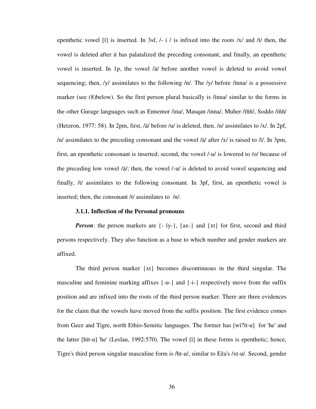epenthetic vowel [i] is inserted. In 3sf,  $/-\frac{1}{1}$  is infixed into the roots  $/x/$  and  $/t/$  then, the vowel is deleted after it has palatalized the preceding consonant, and finally, an epenthetic vowel is inserted. In 1p, the vowel /ä/ before another vowel is deleted to avoid vowel sequencing; then, /y/ assimilates to the following /n/. The /y/ before /inna/ is a possessive marker (see (8)below). So the first person plural basically is /ïnna/ similar to the forms in the other Gurage languages such as Ennemor /ina/, Masqan /inna/, Muher /ïňň/, Soddo /ïňň/ (Hetzron, 1977: 58). In 2pm, first, /ä/ before /u/ is deleted, then, /n/ assimilates to /x/. In 2pf, /n/ assimilates to the preceding consonant and the vowel /ä/ after /x/ is raised to /ï/. In 3pm, first, an epenthetic consonant is inserted; second, the vowel /-u/ is lowered to /o/ because of the preceding low vowel /ä/; then, the vowel /-u/ is deleted to avoid vowel sequencing and finally, /t/ assimilates to the following consonant. In 3pf, first, an epenthetic vowel is inserted; then, the consonant /t/ assimilates to /n/.

#### **3.1.1. Inflection of the Personal pronouns**

*Person*: the person markers are  $\{-i$ y- $\}$ ,  $\{ax-\}$  and  $\{xt\}$  for first, second and third persons respectively. They also function as a base to which number and gender markers are affixed.

 The third person marker {xt} becomes discontinuous in the third singular. The masculine and feminine marking affixes  $\{-u -\}$  and  $\{-i -\}$  respectively move from the suffix position and are infixed into the roots of the third person marker. There are three evidences for the claim that the vowels have moved from the suffix position. The first evidence comes from Geez and Tigre, north Ethio-Semitic languages. The former has [wï?ït-u] for 'he' and the latter [hït-u] 'he' (Leslau, 1992:570). The vowel [ï] in these forms is epenthetic; hence, Tigre's third person singular masculine form is /ht-u/, similar to Eža's /xt-u/. Second, gender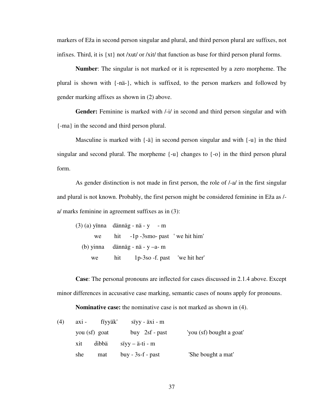markers of Eža in second person singular and plural, and third person plural are suffixes, not infixes. Third, it is  $\{xt\}$  not /xut/ or /xit/ that function as base for third person plural forms.

**Number**: The singular is not marked or it is represented by a zero morpheme. The plural is shown with {-nä-}, which is suffixed, to the person markers and followed by gender marking affixes as shown in (2) above.

**Gender:** Feminine is marked with /-i/ in second and third person singular and with {-ma} in the second and third person plural.

Masculine is marked with  $\{-\ddot{a}\}\$ in second person singular and with  $\{-\ddot{a}\}\$ in the third singular and second plural. The morpheme  $\{-u\}$  changes to  $\{-o\}$  in the third person plural form.

 As gender distinction is not made in first person, the role of /-a/ in the first singular and plural is not known. Probably, the first person might be considered feminine in Eža as / a/ marks feminine in agreement suffixes as in (3):

|    | $(3)$ (a) yinna dännäg - nä - y - m |
|----|-------------------------------------|
| we | hit $-1p - 3sm$ - past 'we hit him' |
|    | (b) yinna dännäg - nä - $y - a$ - m |
| we | hit 1p-3so -f. past 'we hit her'    |

**Case**: The personal pronouns are inflected for cases discussed in 2.1.4 above. Except minor differences in accusative case marking, semantic cases of nouns apply for pronouns.

**Nominative case:** the nominative case is not marked as shown in (4).

| (4) | $axi -$ | fiyyäk'       | $siyy - \ddot{a}xi - m$ |                          |
|-----|---------|---------------|-------------------------|--------------------------|
|     |         | you (sf) goat | buy $2sf$ - past        | 'you (sf) bought a goat' |
|     | xit     | dibbä         | $siyy - ai-ti - m$      |                          |
|     | she     | mat           | $buy - 3s-f - past$     | 'She bought a mat'       |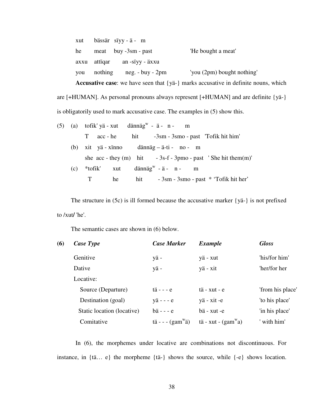|      |         |                          | <b>Accusative case:</b> we have seen that $\{y\ddot{a} - \}$ marks accusative in definite nouns, which |
|------|---------|--------------------------|--------------------------------------------------------------------------------------------------------|
| vou  | nothing | $neg. - buy - 2pm$       | 'you (2pm) bought nothing'                                                                             |
| axxu | attïqar | an -sïyy - äxxu          |                                                                                                        |
| he   |         | $meat$ buy $-3sm$ - past | 'He bought a meat'                                                                                     |
| xut  |         | bässär sïyy-ä- m         |                                                                                                        |

are [+HUMAN]. As personal pronouns always represent [+HUMAN] and are definite {yä-} is obligatorily used to mark accusative case. The examples in (5) show this.

|  | $(5)$ $(a)$ tofik'yä-xut dännäg <sup>w</sup> - ä- n- m                       |
|--|------------------------------------------------------------------------------|
|  | acc - he hit -3sm - 3sm - past 'Tofik hit him'<br>T.                         |
|  | (b) xit yä-xinno dännäg – ä-ti- no- m                                        |
|  | she $acc - they (m)$ hit $-3s-f - 3pmo - past 'She hit them (m)'$            |
|  | (c) $*$ tofik' xut dännäg <sup>w</sup> - ä - n - m                           |
|  | hit $-3\text{sm} - 3\text{sm}$ - $\text{past} * \text{Tofik hit her}'$<br>he |
|  |                                                                              |

 The structure in (5c) is ill formed because the accusative marker {yä-} is not prefixed to /xut**/** 'he'.

The semantic cases are shown in (6) below.

| (6) | Case Type                  | <b>Case Marker</b>                             | <b>Example</b>                            | <b>Gloss</b>     |
|-----|----------------------------|------------------------------------------------|-------------------------------------------|------------------|
|     | Genitive                   | yä-                                            | yä - xut                                  | 'his/for him'    |
|     | Dative                     | yä-                                            | yä - xit                                  | 'her/for her     |
|     | Locative:                  |                                                |                                           |                  |
|     | Source (Departure)         | $t\ddot{a}$ - - - $e$                          | $t\ddot{a}$ - $xut$ - $e$                 | 'from his place' |
|     | Destination (goal)         | $y\ddot{a}$ - - - $e$                          | yä - xit -e                               | 'to his place'   |
|     | Static location (locative) | $b$ ä - - - $e$                                | bä - xut -e                               | 'in his place'   |
|     | Comitative                 | $t\ddot{a}$ - - - $(gam^{\mathbf{w}}\ddot{a})$ | $t\ddot{a}$ - xut - $(gam^{\mathbf{w}}a)$ | ' with him'      |

In (6), the morphemes under locative are combinations not discontinuous. For instance, in {tä… e} the morpheme {tä-} shows the source, while {-e} shows location.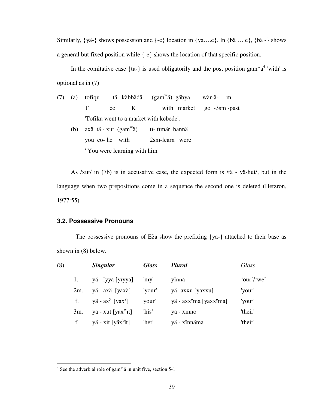Similarly,  $\{y\ddot{a} - \}\$  shows possession and  $\{-e\}$  location in  $\{ya...e\}$ . In  $\{\ddot{ba} ...\ e\}$ ,  $\{\ddot{ba} - \}\$  shows a general but fixed position while {-e} shows the location of that specific position.

In the comitative case  $\{\text{t\ddot{a}}\}$  is used obligatorily and the post position gam<sup>w</sup> $\ddot{a}^4$  'with' is optional as in (7)

(7) (a) tofiqu tä käbbädä ä) gäbya wär-ä- m T co K with market go -3sm -past 'Tofiku went to a market with kebede'. (b) axä tä - xut  $(gam^wa)$ ä) tï- tïmär bannä

 you co- he with 2sm-learn were ' You were learning with him'

 As /xut/ in (7b) is in accusative case, the expected form is /tä - yä-hut/, but in the language when two prepositions come in a sequence the second one is deleted (Hetzron, 1977:55).

### **3.2. Possessive Pronouns**

 The possessive pronouns of Eža show the prefixing {yä-} attached to their base as shown in (8) below.

| (8) |     | <b>Singular</b>                 | <b>Gloss</b> | <b>Plural</b>         | Gloss      |
|-----|-----|---------------------------------|--------------|-----------------------|------------|
|     |     | yä - ïyya [yïyya]               | 'my'         | yinna                 | 'our'/'we' |
|     | 2m. | yä - axä [yaxä]                 | 'your'       | yä-axxu [yaxxu]       | 'your'     |
|     | f.  | yä - $ax^y$ [yax <sup>y</sup> ] | your'        | yä - axxima [yaxxima] | 'your'     |
|     | 3m. | yä - xut [yäx <sup>w</sup> ït]  | 'his'        | yä - xïnno            | 'their'    |
|     | f.  | yä - xit [yäx <sup>y</sup> ït]  | 'her'        | yä - xïnnäma          | 'their'    |

 $\overline{a}$ 

 $4$  See the adverbial role of gam<sup>w</sup> a in unit five, section 5-1.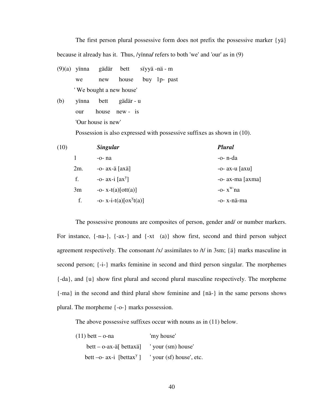The first person plural possessive form does not prefix the possessive marker {yä} because it already has it. Thus, /yïnna**/** refers to both 'we' and 'our' as in (9)

- (9)(a) yïnna gädär bett sïyyä -nä m we new house buy 1p- past ' We bought a new house'
- (b) yïnna bett gädär u our house new - is 'Our house is new'

Possession is also expressed with possessive suffixes as shown in (10).

| (10) |     | <b>Singular</b>                | Plural                             |
|------|-----|--------------------------------|------------------------------------|
|      |     | $-0-na$                        | -o- n-da                           |
|      | 2m. | -o- $ax$ -ä $\lceil axa\rceil$ | $-0$ - ax-u $\left[$ axu $\right]$ |
|      | f.  | -o- $ax-i$ [ $ax^y$ ]          | $-0-ax-ma$ [ $axma$ ]              |
|      | 3m  | $-0- x-t(a)[ott(a)]$           | $-0 - x^w$ na                      |
|      | f.  | $-0 - x - i - t(a)[ox^y t(a)]$ | -o- x-nä-ma                        |

The possessive pronouns are composites of person, gender and/ or number markers. For instance, {-na-}, {-ax-} and {-xt (a)} show first, second and third person subject agreement respectively. The consonant /x/ assimilates to /t/ in 3sm; {ä} marks masculine in second person; {-i-} marks feminine in second and third person singular. The morphemes {-da}, and {u} show first plural and second plural masculine respectively. The morpheme {-ma} in the second and third plural show feminine and {nä-} in the same persons shows plural. The morpheme {-o-} marks possession.

The above possessive suffixes occur with nouns as in (11) below.

| $(11)$ bett – o-na                                      | 'my house'               |
|---------------------------------------------------------|--------------------------|
| bett – o-ax-ä $\lceil$ bettaxä $\rceil$ vour (sm) house |                          |
| bett $-o-ax-i$ [bettax <sup>y</sup> ]                   | ' your (sf) house', etc. |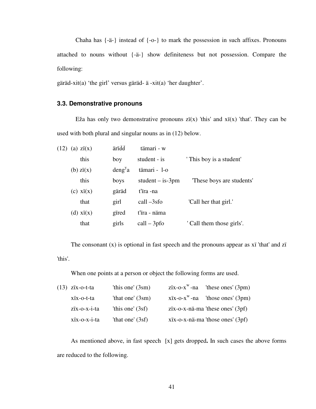Chaha has {-ä-} instead of {-o-} to mark the possession in such affixes. Pronouns attached to nouns without {-ä-} show definiteness but not possession. Compare the following:

gäräd-xit(a) 'the girl' versus gäräd- ä -xit(a) 'her daughter'.

## **3.3. Demonstrative pronouns**

Eža has only two demonstrative pronouns  $\overline{z}$  *i*(x) 'this' and  $\overline{x}$  *i*(x) 'that'. They can be used with both plural and singular nouns as in (12) below.

| (12) | (a) $zi(x)$    | ärïďď               | tämari - w         |                           |
|------|----------------|---------------------|--------------------|---------------------------|
|      | this           | boy                 | student - is       | ' This boy is a student'  |
|      | $(b)$ zi $(x)$ | deng <sup>y</sup> a | tämari - 1-o       |                           |
|      | this           | boys                | student $-$ is-3pm | These boys are students'  |
|      | $(c)$ xi $(x)$ | gäräd               | t'ira -na          |                           |
|      | that           | girl                | $call -3sfo$       | 'Call her that girl.'     |
|      | (d) $xi(x)$    | gired               | t'ira - näma       |                           |
|      | that           | girls               | $call - 3pfo$      | ' Call them those girls'. |

The consonant  $(x)$  is optional in fast speech and the pronouns appear as  $x$  'that' and  $z$  i 'this'.

When one points at a person or object the following forms are used.

| (13) zïx-o-t-ta | 'this one' $(3sm)$ | $\chi$ zix-o-x <sup>w</sup> -na 'these ones' (3pm)     |
|-----------------|--------------------|--------------------------------------------------------|
| xix-o-t-ta      | 'that one' $(3sm)$ | $\overline{X}$ x $\overline{X}$ -na 'those ones' (3pm) |
| zïx-o-x-i-ta    | 'this one' $(3sf)$ | $\overline{z}$ zix-o-x-nä-ma 'these ones' (3pf)        |
| xix-o-x-i-ta    | 'that one' $(3sf)$ | xix-o-x-nä-ma 'those ones' (3pf)                       |

 As mentioned above, in fast speech [x] gets dropped**.** In such cases the above forms are reduced to the following.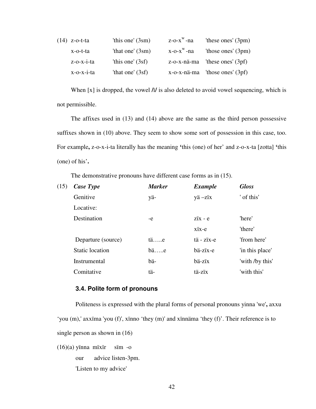| $(14)$ z-o-t-ta   | 'this one' $(3sm)$ | $Z-O-Xw$ -na      | 'these ones' $(3pm)$                  |
|-------------------|--------------------|-------------------|---------------------------------------|
| x-o-t-ta          | 'that one' $(3sm)$ | $x$ -o- $x^w$ -na | 'those ones' $(3pm)$                  |
| $z$ -o- $x$ -i-ta | 'this one' $(3sf)$ |                   | $z$ -o-x-nä-ma 'these ones' (3pf)     |
| $x$ -o- $x$ -i-ta | 'that one' $(3sf)$ |                   | $x$ -o- $x$ -nä-ma 'those ones' (3pf) |

 When [x] is dropped, the vowel **/**ï**/** is also deleted to avoid vowel sequencing, which is not permissible.

 The affixes used in (13) and (14) above are the same as the third person possessive suffixes shown in (10) above. They seem to show some sort of possession in this case, too. For example**,** z-o-x-i-ta literally has the meaning **'**this (one) of her' and z-o-x-ta [zotta] **'**this (one) of his'**.** 

The demonstrative pronouns have different case forms as in (15).

| (15) | Case Type              | <b>Marker</b> | <b>Example</b>                  | <b>Gloss</b>    |
|------|------------------------|---------------|---------------------------------|-----------------|
|      | Genitive               | yä-           | yä-zïx                          | ' of this'      |
|      | Locative:              |               |                                 |                 |
|      | Destination            | -e            | $\overline{z}$ ix - e           | 'here'          |
|      |                        |               | $xix-e$                         | 'there'         |
|      | Departure (source)     | $t$ äe        | $t\ddot{a}$ - $z\ddot{x}$ - $e$ | 'from here'     |
|      | <b>Static location</b> | $b$ ä $e$     | bä-zïx-e                        | 'in this place' |
|      | Instrumental           | bä-           | bä-zïx                          | 'with /by this' |
|      | Comitative             | tä-           | tä-zïx                          | 'with this'     |

#### **3.4. Polite form of pronouns**

 Politeness is expressed with the plural forms of personal pronouns yinna 'we'**,** axxu 'you (m),' axxïma 'you (f)', xïnno 'they (m)' and xïnnäma 'they (f)'. Their reference is to single person as shown in (16)

 $(16)(a)$  yïnna mïxïr sïm -o our advice listen-3pm. 'Listen to my advice'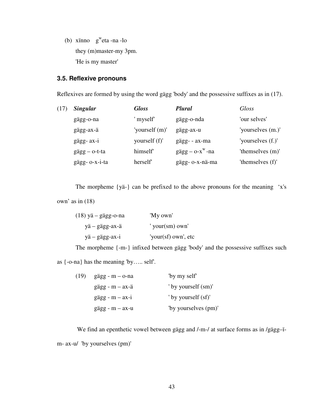(b) xïnno g<sup>w</sup> eta -na -lo they (m)master-my 3pm. 'He is my master'

## **3.5. Reflexive pronouns**

Reflexives are formed by using the word gägg 'body' and the possessive suffixes as in (17).

| (17) | <b>Singular</b>        | <b>Gloss</b>   | <b>Plural</b>                             | Gloss             |
|------|------------------------|----------------|-------------------------------------------|-------------------|
|      | gägg-o-na              | myself         | gägg-o-nda                                | 'our selves'      |
|      | gägg-ax-ä              | 'yourself (m)' | gägg-ax-u                                 | 'yourselves (m.)' |
|      | gägg- ax-i             | yourself (f)'  | gägg- - ax-ma                             | 'yourselves (f.)' |
|      | $g\ddot{a}gg - o-t-ta$ | himself        | $g\text{ägg} - \text{o-x}^{\text{w}}$ -na | 'themselves (m)'  |
|      | gägg- o-x-i-ta         | herself        | gägg- o-x-nä-ma                           | 'themselves (f)'  |

The morpheme {yä-} can be prefixed to the above pronouns for the meaning 'x's own' as in (18)

| $(18)$ yä – gägg-o-na | 'My own'                  |
|-----------------------|---------------------------|
| yä – gägg-ax-ä        | ' your $(\text{sm})$ own' |
| yä – gägg-ax-i        | 'your(sf) own', etc       |

 The morpheme {-m-} infixed between gägg 'body' and the possessive suffixes such as {-o-na} has the meaning 'by….. self'.

| (19) | $g\text{ägg - m - o-na}$          | "by my self"         |
|------|-----------------------------------|----------------------|
|      | $g\ddot{a}gg - m - ax - \ddot{a}$ | ' by yourself (sm)'  |
|      | $g\ddot{a}gg - m - ax - i$        | ' by yourself (sf)'  |
|      | $g\text{ägg} - m - ax-u$          | "by yourselves (pm)" |

 We find an epenthetic vowel between gägg and /-m-/ at surface forms as in /gägg–ïm- ax-u/ 'by yourselves (pm)'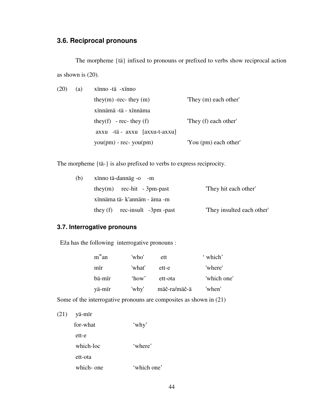# **3.6. Reciprocal pronouns**

The morpheme {tä} infixed to pronouns or prefixed to verbs show reciprocal action as shown is (20).

| (20) | (a) | xinno -tä -xinno                      |                       |
|------|-----|---------------------------------------|-----------------------|
|      |     | they(m) -rec- they $(m)$              | "They (m) each other" |
|      |     | xinnämä -tä - xinnäma                 |                       |
|      |     | they(f) - rec- they (f)               | "They (f) each other" |
|      |     | $axxu$ -tä - $axxu$ [ $axxu-t-axxu$ ] |                       |
|      |     | $you(pm)$ - rec- $you(pm)$            | 'You (pm) each other' |

The morpheme {tä-} is also prefixed to verbs to express reciprocity.

| (b) | xinno tä-dannäg -o -m            |                            |
|-----|----------------------------------|----------------------------|
|     | they $(m)$ rec-hit - 3pm-past    | "They hit each other"      |
|     | xinnäma tä- k'annäm - äma -m     |                            |
|     | they $(f)$ rec-insult -3pm -past | "They insulted each other" |

## **3.7. Interrogative pronouns**

Eža has the following interrogative pronouns :

| $m^w$ an | 'who'  | ett          | ' which'    |
|----------|--------|--------------|-------------|
| mir      | 'what' | ett-e        | 'where'     |
| bä-mir   | 'how'  | ett-ota      | 'which one' |
| yä-mir   | 'why'  | mäč-ra/mäč-ä | 'when'      |

Some of the interrogative pronouns are composites as shown in (21)

(21) yä-mïr

| for-what   | 'why'       |
|------------|-------------|
| ett-e      |             |
| which-loc  | 'where'     |
| ett-ota    |             |
| which- one | 'which one' |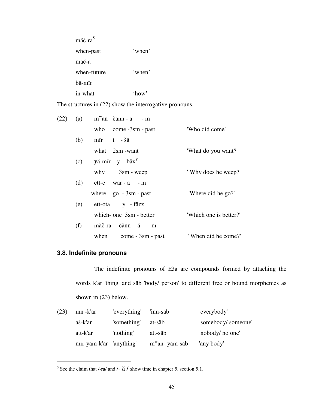| mäč-ra <sup>5</sup> |                 |
|---------------------|-----------------|
| when-past           | 'when'          |
| mäč-ä               |                 |
| when-future         | 'when'          |
| bä-mïr              |                 |
| in-what             | $^{\circ}$ how' |

The structures in  $(22)$  show the interrogative pronouns.

|     |     | 'Who did come'                                                                                                                                                                                                                                                                                          |
|-----|-----|---------------------------------------------------------------------------------------------------------------------------------------------------------------------------------------------------------------------------------------------------------------------------------------------------------|
| (b) |     |                                                                                                                                                                                                                                                                                                         |
|     |     | 'What do you want?'                                                                                                                                                                                                                                                                                     |
|     |     |                                                                                                                                                                                                                                                                                                         |
|     |     | 'Why does he weep?'                                                                                                                                                                                                                                                                                     |
|     |     |                                                                                                                                                                                                                                                                                                         |
|     |     | 'Where did he go?'                                                                                                                                                                                                                                                                                      |
|     |     |                                                                                                                                                                                                                                                                                                         |
|     |     | 'Which one is better?'                                                                                                                                                                                                                                                                                  |
| (f) |     |                                                                                                                                                                                                                                                                                                         |
|     |     | 'When did he come?'                                                                                                                                                                                                                                                                                     |
|     | (a) | $m^w$ an čänn-ä - m<br>who come -3sm - past<br>mir t-šä<br>what $2sm$ -want<br>$(c)$ yä-mir y - bäx <sup>y</sup><br>$why$ 3sm - weep<br>$(d)$ ett-e wär-ä - m<br>where $\qquad$ go $-3$ sm - past<br>(e) ett-ota y - fäzz<br>which- one 3sm - better<br>mäč-ra čänn - ä - m<br>when $come - 3sm - past$ |

# **3.8. Indefinite pronouns**

 $\overline{a}$ 

The indefinite pronouns of Eža are compounds formed by attaching the words k'ar 'thing' and säb 'body/ person' to different free or bound morphemes as shown in (23) below.

| (23) | inn -k'ar               | 'everything' | 'inn-säb          | 'everybody'        |
|------|-------------------------|--------------|-------------------|--------------------|
|      | aš-k'ar                 | 'something'  | at-säb            | 'somebody/someone' |
|      | att-k'ar                | 'nothing'    | att-säb           | 'nobody/ no one'   |
|      | mir-yäm-k'ar 'anything' |              | $m^w$ an- yäm-säb | 'any body'         |

<sup>&</sup>lt;sup>5</sup> See the claim that /-ra/ and /-  $\ddot{a}$  / show time in chapter 5, section 5.1.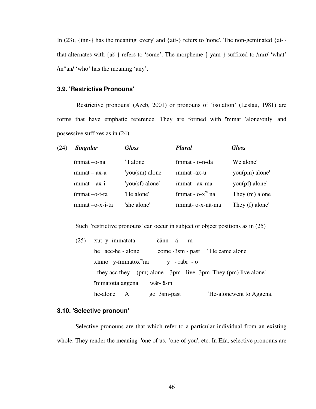In  $(23)$ ,  $\{\text{inn-}\}\$  has the meaning 'every' and  $\{\text{att-}\}\$  refers to 'none'. The non-geminated  $\{\text{at-}\}\$ that alternates with {aš-} refers to 'some'. The morpheme {-yäm-} suffixed to /mïr**/** 'what' /m<sup>w</sup>an/ 'who' has the meaning 'any'.

## **3.9. 'Restrictive Pronouns'**

 'Restrictive pronouns' (Azeb, 2001) or pronouns of 'isolation' (Leslau, 1981) are forms that have emphatic reference. They are formed with ïmmat 'alone/only' and possessive suffixes as in (24).

| (24) | <b>Singular</b>              | <b>Gloss</b>    | <b>Plural</b>      | <b>Gloss</b>     |
|------|------------------------------|-----------------|--------------------|------------------|
|      | immat -o-na                  | 'I alone'       | immat - o-n-da     | 'We alone'       |
|      | $immat - ax-ä$               | 'you(sm) alone' | immat -ax-u        | 'you(pm) alone'  |
|      | $\text{immat} - \text{ax-i}$ | 'you(sf) alone' | immat - ax-ma      | 'you(pf) alone'  |
|      | $immat -o-t-ta$              | 'He alone'      | $immat - o-x^w$ na | They $(m)$ alone |
|      | $immat -o-x-i-ta$            | 'she alone'     | ïmmat- o-x-nä-ma   | "They (f) alone" |

Such 'restrictive pronouns' can occur in subject or object positions as in  $(25)$ 

| (25) | xut y- immatota           | $\ddot{c}$ änn - ä - m                                           |  |
|------|---------------------------|------------------------------------------------------------------|--|
|      | he acc-he-alone           | come -3sm - past 'He came alone'                                 |  |
|      | xinno $y$ -immatox $w$ na | $y - r$ äbr - o                                                  |  |
|      |                           | they acc they $-(pm)$ alone 3pm - live -3pm They (pm) live alone |  |
|      | immatotta aggena          | wär- ä-m                                                         |  |
|      | he-alone A                | 'He-alonewent to Aggena.<br>go 3sm-past                          |  |

## **3.10. 'Selective pronoun'**

Selective pronouns are that which refer to a particular individual from an existing whole. They render the meaning 'one of us,' 'one of you', etc. In Eža, selective pronouns are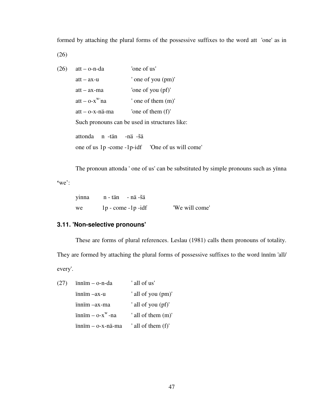formed by attaching the plural forms of the possessive suffixes to the word att 'one' as in

(26)

| (26) | $att - o-n-da$            | 'one of us'                                    |
|------|---------------------------|------------------------------------------------|
|      | $att - ax-u$              | ' one of you (pm)'                             |
|      | $att - ax-ma$             | 'one of you (pf)'                              |
|      | $att - o-x^{w}$ na        | ' one of them $(m)$ '                          |
|      | att - o-x-nä-ma           | 'one of them $(f)$ '                           |
|      |                           | Such pronouns can be used in structures like:  |
|      | n -tän -nä -šä<br>attonda |                                                |
|      |                           | one of us 1p -come -1p-idf Cne of us will come |
|      |                           |                                                |

The pronoun attonda ' one of us' can be substituted by simple pronouns such as yïnna

**'**we':

| vinna | n - tän - nä -šä     |                |
|-------|----------------------|----------------|
| we    | $1p$ - come -1p -idf | 'We will come' |

# **3.11. 'Non-selective pronouns'**

These are forms of plural references. Leslau (1981) calls them pronouns of totality.

They are formed by attaching the plural forms of possessive suffixes to the word ïnnïm 'all/ every'.

| (27) | innim - o-n-da                                    | ' all of us'       |
|------|---------------------------------------------------|--------------------|
|      | $i$ nnim $-ax$ -u                                 | ' all of you (pm)' |
|      | innim –ax-ma                                      | ' all of you (pf)' |
|      | $\text{in} - \text{o} - x^{\text{w}} - \text{na}$ | ' all of them (m)' |
|      | $i$ nnim $-$ o-x-nä-ma                            | ' all of them (f)' |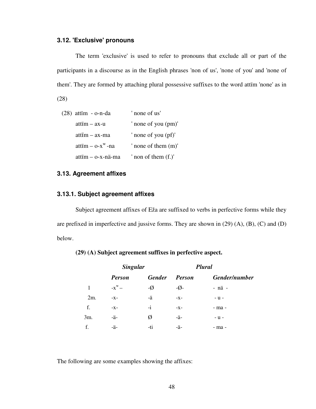#### **3.12. 'Exclusive' pronouns**

The term 'exclusive' is used to refer to pronouns that exclude all or part of the participants in a discourse as in the English phrases 'non of us', 'none of you' and 'none of them'. They are formed by attaching plural possessive suffixes to the word attïm 'none' as in

(28)

| $(28)$ attim - o-n-da      | ' none of us'          |
|----------------------------|------------------------|
| attïm – ax-u               | ' none of you (pm)'    |
| attim – ax-ma              | ' none of you (pf)'    |
| attim $ 0-x^w$ -na         | ' none of them $(m)$ ' |
| $\text{at}$ im – o-x-nä-ma | non of them $(f.)'$    |

## **3.13. Agreement affixes**

### **3.13.1. Subject agreement affixes**

 Subject agreement affixes of Eža are suffixed to verbs in perfective forms while they are prefixed in imperfective and jussive forms. They are shown in (29) (A), (B), (C) and (D) below.

|        | <b>Singular</b>     |                |                  | <b>Plural</b> |
|--------|---------------------|----------------|------------------|---------------|
|        | <b>Person</b>       | <b>Gender</b>  | <b>Person</b>    | Gender/number |
| 1      | $-X^{\mathrm{w}} -$ | $-\varnothing$ | $-\varnothing$ - | - nä -        |
| $2m$ . | $-X -$              | -ä             | $-X -$           | $- u -$       |
| f.     | $-X-$               | $-i$           | $-X -$           | - ma -        |
| 3m.    | -ä-                 | Ø              | -ä-              | $- u -$       |
| f.     | -ä-                 | -ti            | -ä-              | - ma -        |

### **(29) (A) Subject agreement suffixes in perfective aspect.**

The following are some examples showing the affixes: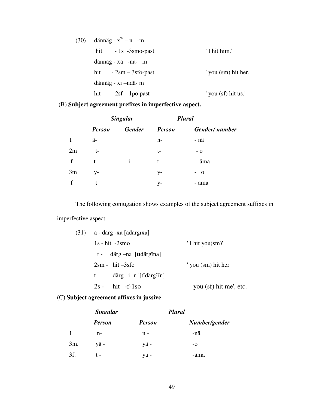| (30) | dännäg - $x^w - n$ -m  |                      |
|------|------------------------|----------------------|
|      | hit $-1s -3sm$ -past   | 'I hit him.'         |
|      | dännäg - xä -na- m     |                      |
|      | hit $-2sm - 3sfo-past$ | ' you (sm) hit her.' |
|      | dännäg - xi -ndä- m    |                      |
|      | hit $-2sf-1po$ past    | you (sf) hit us.'    |

# (B) **Subject agreement prefixes in imperfective aspect.**

|    | <b>Singular</b> |               |               | <b>Plural</b> |
|----|-----------------|---------------|---------------|---------------|
|    | <b>Person</b>   | <b>Gender</b> | <b>Person</b> | Gender/number |
| 1  | ä-              |               | n-            | - nä          |
| 2m | t-              |               | t-            | $-$ O         |
| f  | t-              | $-1$          | t-            | - äma         |
| 3m | V-              |               | y-            | $-$ 0         |
| f  |                 |               | y-            | - äma         |

The following conjugation shows examples of the subject agreement suffixes in imperfective aspect.

|  | $(31)$ ä - därg -xä [ädärgïxä]                   |                              |
|--|--------------------------------------------------|------------------------------|
|  | $1s - hit -2smo$                                 | $'$ I hit you $(\text{sm})'$ |
|  | t - därg – na [tïdärgïna]                        |                              |
|  | $2sm - hit -3sfo$                                | ' you (sm) hit her'          |
|  | därg $-i$ - n '[tïdärg <sup>y</sup> ïn]<br>$t -$ |                              |
|  | $2s - hit -f-1so$                                | ' you (sf) hit me', etc.     |
|  |                                                  |                              |

# (C) **Subject agreement affixes in jussive**

|     | <b>Singular</b> |               | <b>Plural</b> |
|-----|-----------------|---------------|---------------|
|     | <b>Person</b>   | <b>Person</b> | Number/gender |
|     | $n-$            | $n -$         | -nä           |
| 3m. | yä-             | yä-           | $-o$          |
| 3f. |                 | yä-           | -äma          |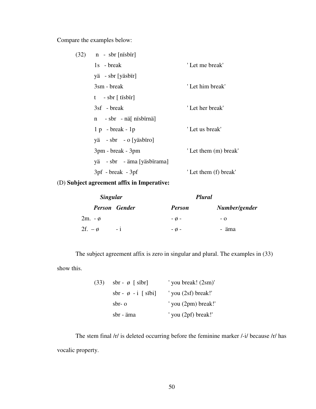Compare the examples below:

| (32) | $n - sbr$ [nisbir]         |                       |
|------|----------------------------|-----------------------|
|      | 1s - break                 | 'Let me break'        |
|      | yä - sbr [yäsbïr]          |                       |
|      | $3\text{sm}$ - break       | 'Let him break'       |
|      | $t - sbr$ [ tisbir]        |                       |
|      | 3sf - break                | 'Let her break'       |
|      | n - sbr - näl nisbirnäl    |                       |
|      | $1 p - break - 1 p$        | 'Let us break'        |
|      | yä - sbr - o [yäsbïro]     |                       |
|      | 3pm - break - 3pm          | ' Let them (m) break' |
|      | yä - sbr - äma [yäsbïrama] |                       |
|      | $3pf - break - 3pf$        | ' Let them (f) break' |
|      |                            |                       |

# (D) **Subject agreement affix in Imperative:**

| <b>Singular</b>   |                      | <b>Plural</b>  |               |
|-------------------|----------------------|----------------|---------------|
|                   | <b>Person</b> Gender | <b>Person</b>  | Number/gender |
| $2m. - \emptyset$ |                      | $ \emptyset$ - | - 0           |
| 2f. $-\phi$       | $-1$                 | $ \emptyset$ - | - äma         |

The subject agreement affix is zero in singular and plural. The examples in (33) show this.

> (33) sbr -  $\emptyset$  [ sïbr] ' you break!  $(2sm)'$ sbr -  $\emptyset$  - i [ sïbi] ' you (2sf) break!' sbr- o ' you (2pm) break!' sbr - äma ' you (2pf) break!'

The stem final /r/ is deleted occurring before the feminine marker /-i/ because /r/ has vocalic property.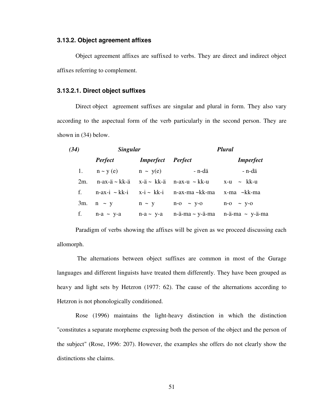#### **3.13.2. Object agreement affixes**

 Object agreement affixes are suffixed to verbs. They are direct and indirect object affixes referring to complement.

## **3.13.2.1. Direct object suffixes**

Direct object agreement suffixes are singular and plural in form. They also vary according to the aspectual form of the verb particularly in the second person. They are shown in (34) below.

| (34)   | <b>Singular</b>                |                  | <b>Plural</b>                  |                    |  |
|--------|--------------------------------|------------------|--------------------------------|--------------------|--|
|        | <b>Perfect</b>                 | <i>Imperfect</i> | <b>Perfect</b>                 | <b>Imperfect</b>   |  |
|        | 1. $n \sim y(e)$ $n \sim y(e)$ |                  | - n-dä                         | - n-dä             |  |
| $2m$ . | n-ax-ä∼kk-ä                    |                  | x-ä∼ kk-ä ⊔n-ax-u ∼ kk-u       | $x-u \sim kk-u$    |  |
| f.     | $n$ -ax-i ~ kk-i               |                  | $x-i \sim kk-i$ n-ax-ma ~kk-ma | x-ma ~kk-ma        |  |
|        | 3m. $n \sim y$                 | $n \sim y$       | $n - 0 \sim y - 0$             | $n - 0 \sim y - 0$ |  |
| f.     | $n-a \sim y-a$                 | $n-a \sim y-a$   | n-ä-ma ∼ y-ä-ma                | $n$ -ä-ma ~ y-ä-ma |  |

Paradigm of verbs showing the affixes will be given as we proceed discussing each allomorph.

 The alternations between object suffixes are common in most of the Gurage languages and different linguists have treated them differently. They have been grouped as heavy and light sets by Hetzron (1977: 62). The cause of the alternations according to Hetzron is not phonologically conditioned.

 Rose (1996) maintains the light-heavy distinction in which the distinction "constitutes a separate morpheme expressing both the person of the object and the person of the subject" (Rose, 1996: 207). However, the examples she offers do not clearly show the distinctions she claims.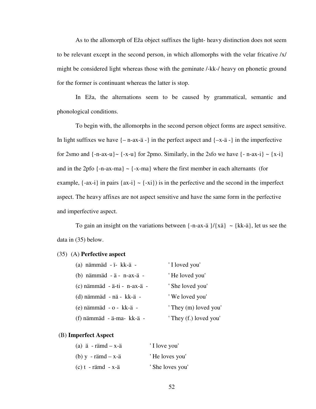As to the allomorph of Eža object suffixes the light- heavy distinction does not seem to be relevant except in the second person, in which allomorphs with the velar fricative /x/ might be considered light whereas those with the geminate /-kk-/ heavy on phonetic ground for the former is continuant whereas the latter is stop.

 In Eža, the alternations seem to be caused by grammatical, semantic and phonological conditions.

 To begin with, the allomorphs in the second person object forms are aspect sensitive. In light suffixes we have  $\{-n-ax-\ddot{a} -\}\$  in the perfect aspect and  $\{-x-\ddot{a} -\}\$  in the imperfective for 2smo and  $\{-n-ax-u\} \sim \{-x-u\}$  for 2pmo. Similarly, in the 2sfo we have  $\{-n-ax-i\} \sim \{x-i\}$ and in the 2pfo  $\{-n-ax-ma\}$  ~  $\{-x-ma\}$  where the first member in each alternants (for example,  $\{-ax-i\}$  in pairs  $\{ax-i\}$  ~  $\{-xi\}$ ) is in the perfective and the second in the imperfect aspect. The heavy affixes are not aspect sensitive and have the same form in the perfective and imperfective aspect.

To gain an insight on the variations between  $\{-n-ax-\ddot{a}\}/\{x\ddot{a}\}$  ~  $\{kk-\ddot{a}\}$ , let us see the data in (35) below.

#### (35) (A) **Perfective aspect**

| (a) nämmäd - ï- kk-ä -         | 'I loved you'          |
|--------------------------------|------------------------|
| (b) nämmäd - ä - n-ax-ä -      | 'He loved you'         |
| $(c)$ nämmäd - ä-ti - n-ax-ä - | ' She loved you'       |
| (d) nämmäd - nä - kk-ä -       | 'We loved you'         |
| $(e)$ nämmäd - o - kk-ä -      | ' They (m) loved you'  |
| (f) nämmäd - ä-ma- kk-ä -      | ' They (f.) loved you' |

#### (B) **Imperfect Aspect**

| (a) $\ddot{a}$ - rämd – x- $\ddot{a}$  | 'I love you'     |
|----------------------------------------|------------------|
| $(b)$ y - rämd – x-ä                   | 'He loves you'   |
| $(c) t - r \text{ and } -x - \text{a}$ | ' She loves you' |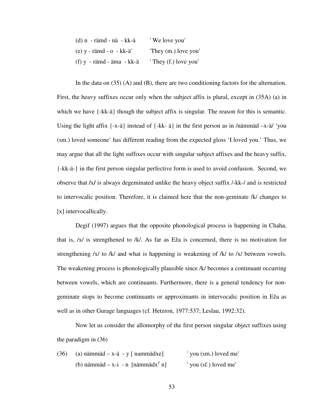| $(d)$ n - rämd - nä - kk-ä  | 'We love you'         |
|-----------------------------|-----------------------|
| $(e)$ y - rämd - o - kk-ä'  | They (m.) love you'   |
| $(f)$ y - rämd - äma - kk-ä | ' They (f.) love you' |

In the data on  $(35)$  (A) and (B), there are two conditioning factors for the alternation. First, the heavy suffixes occur only when the subject affix is plural, except in (35A) (a) in which we have {-kk-ä} though the subject affix is singular. The reason for this is semantic. Using the light affix  $\{-x-\ddot{a}\}$  instead of  $\{-kk-\ddot{a}\}$  in the first person as in /nämmäd  $-x-\ddot{a}$ / 'you (sm.) loved someone' has different reading from the expected gloss 'I loved you.' Thus, we may argue that all the light suffixes occur with singular subject affixes and the heavy suffix, {-kk-ä-} in the first person singular perfective form is used to avoid confusion. Second, we observe that **/**x**/** is always degeminated unlike the heavy object suffix /-kk-/ and is restricted to intervocalic position. Therefore, it is claimed here that the non-geminate /k/ changes to [x] intervocallically.

Degif (1997) argues that the opposite phonological process is happening in Chaha, that is, /x/ is strengthened to /k/. As far as Eža is concerned, there is no motivation for strengthening /x/ to /k/ and what is happening is weakening of /k/ to /x/ between vowels. The weakening process is phonologically plausible since /k/ becomes a continuant occurring between vowels, which are continuants. Furthermore, there is a general tendency for nongeminate stops to become continuants or approximants in intervocalic position in Eža as well as in other Gurage languages (cf. Hetzron, 1977:537; Leslau, 1992:32).

 Now let us consider the allomorphy of the first person singular object suffixes using the paradigm in (36)

| (36) | (a) nämmäd – x-ä – y [ nammädxe]              | 'you (sm.) loved me' |
|------|-----------------------------------------------|----------------------|
|      | (b) nämmäd – x-i - n [nämmädx <sup>y</sup> n] | 'you (sf.) loved me' |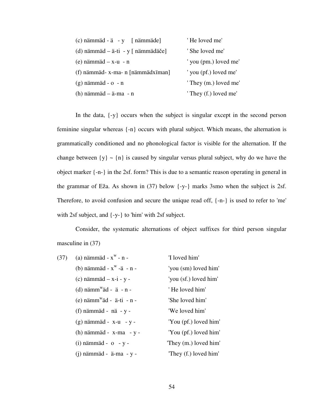| $(c)$ nämmäd - ä - y [ nämmäde]    | 'He loved me'         |
|------------------------------------|-----------------------|
| (d) nämmäd – ä-ti - y [ nämmädäče] | ' She loved me'       |
| $(e)$ nämmäd – x-u - n             | ' you (pm.) loved me' |
| (f) nämmäd- x-ma- n [nämmädxïman]  | ' you (pf.) loved me' |
| $(g)$ nämmäd - $o$ - n             | ' They (m.) loved me' |
| $(h)$ nämmäd – ä-ma - n            | ' They (f.) loved me' |

In the data, {-y} occurs when the subject is singular except in the second person feminine singular whereas {-n} occurs with plural subject. Which means, the alternation is grammatically conditioned and no phonological factor is visible for the alternation. If the change between  $\{y\} \sim \{n\}$  is caused by singular versus plural subject, why do we have the object marker {-n-} in the 2sf. form? This is due to a semantic reason operating in general in the grammar of Eža. As shown in (37) below {-y-} marks 3smo when the subject is 2sf. Therefore, to avoid confusion and secure the unique read off, {-n-} is used to refer to 'me' with 2sf subject, and {-y-} to 'him' with 2sf subject.

 Consider, the systematic alternations of object suffixes for third person singular masculine in  $(37)$ 

| (37) | (a) nämmäd - $x^w$ - n -                   | 'I loved him'         |
|------|--------------------------------------------|-----------------------|
|      | (b) nämmäd - $x^w$ -ä - n -                | 'you (sm) loved him'  |
|      | $(c)$ nämmäd – x-i - y -                   | 'you (sf.) loved him' |
|      | (d) $n\text{aimm}^{\text{w}}$ äd - ä - n - | 'He loved him'        |
|      | $(e)$ nämm <sup>w</sup> äd - ä-ti - n -    | 'She loved him'       |
|      | (f) nämmäd - nä - y -                      | 'We loved him'        |
|      | $(g)$ nämmäd - x-u - y -                   | 'You (pf.) loved him' |
|      | $(h)$ nämmäd - x-ma - y -                  | 'You (pf.) loved him' |
|      | $(i)$ nämmäd - $o$ - $y$ -                 | 'They (m.) loved him' |
|      | $(j)$ nämmäd - ä-ma - y -                  | They (f.) loved him'  |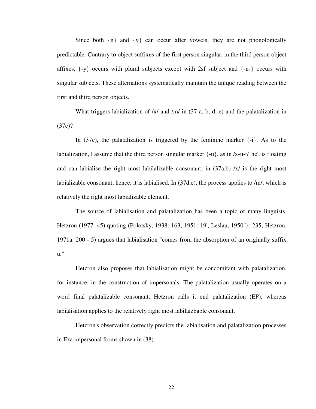Since both  $\{n\}$  and  $\{y\}$  can occur after vowels, they are not phonologically predictable. Contrary to object suffixes of the first person singular, in the third person object affixes,  $\{-y\}$  occurs with plural subjects except with 2sf subject and  $\{-n-\}$  occurs with singular subjects. These alternations systematically maintain the unique reading between the first and third person objects.

What triggers labialization of  $\frac{x}{a}$  and  $\frac{m}{n}$  in (37 a, b, d, e) and the palatalization in (37c)?

In (37c), the palatalization is triggered by the feminine marker  $\{-i\}$ . As to the labialization, I assume that the third person singular marker  $\{-u\}$ , as in /x-u-t/ 'he', is floating and can labialise the right most labilalizable consonant; in  $(37a,b)$  /x/ is the right most labializable consonant, hence, it is labialised. In  $(37d,e)$ , the process applies to /m/, which is relatively the right most labializable element.

 The source of labialisation and palatalization has been a topic of many linguists. Hetzron (1977: 45) quoting (Polotsky, 1938: 163; 1951: 19'; Leslau, 1950 b: 235; Hetzron, 1971a: 200 - 5) argues that labialisation "comes from the absorption of an originally suffix u."

 Hetzron also proposes that labialisation might be concomitant with palatalization, for instance, in the construction of impersonals. The palatalization usually operates on a word final palatalizable consonant, Hetzron calls it end palatalization (EP), whereas labialisation applies to the relatively right most labilaizbable consonant.

 Hetzron's observation correctly predicts the labialisation and palatalization processes in Eža impersonal forms shown in (38).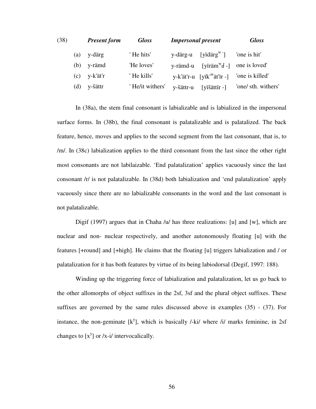| (38) |     | <b>Present form</b> | <b>Gloss</b>    | <b>Impersonal present</b> |                                        | <b>Gloss</b>        |
|------|-----|---------------------|-----------------|---------------------------|----------------------------------------|---------------------|
|      | (a) | y-därg              | 'He hits'       | y-därg-u                  | [yidarg <sup>w-</sup> ]                | 'one is hit'        |
|      | (b) | y-rämd              | 'He loves'      |                           | y-rämd-u [yïräm <sup>w</sup> ď -]      | one is loved'       |
|      | (c) | y-k'ät'r            | 'He kills'      |                           | y-k'ät'r-u [yïk' <sup>w</sup> ät'ïr -] | 'one is killed'     |
|      | (d) | y-šättr             | 'He/it withers' | y-šättr-u                 | [yïšättïr -]                           | 'one/ sth. withers' |

In (38a), the stem final consonant is labializable and is labialized in the impersonal surface forms. In (38b), the final consonant is palatalizable and is palatalized. The back feature, hence, moves and applies to the second segment from the last consonant, that is, to /m/. In (38c) labialization applies to the third consonant from the last since the other right most consonants are not labilaizable. 'End palatalization' applies vacuously since the last consonant /r/ is not palatalizable. In (38d) both labialization and 'end palatalization' apply vacuously since there are no labializable consonants in the word and the last consonant is not palatalizable.

Digif (1997) argues that in Chaha /u/ has three realizations: [u] and [w], which are nuclear and non- nuclear respectively, and another autonomously floating [u] with the features [+round] and [+high]. He claims that the floating [u] triggers labialization and / or palatalization for it has both features by virtue of its being labiodorsal (Degif, 1997: 188).

 Winding up the triggering force of labialization and palatalization, let us go back to the other allomorphs of object suffixes in the 2sf, 3sf and the plural object suffixes. These suffixes are governed by the same rules discussed above in examples (35) - (37). For instance, the non-geminate  $[k^y]$ , which is basically /-ki/ where /i/ marks feminine, in 2sf changes to  $[x^y]$  or /x-i/ intervocalically.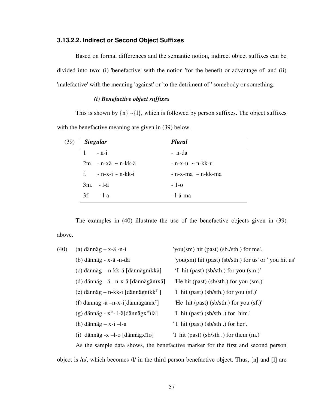#### **3.13.2.2. Indirect or Second Object Suffixes**

 Based on formal differences and the semantic notion, indirect object suffixes can be divided into two: (i) 'benefactive' with the notion 'for the benefit or advantage of' and (ii) 'malefactive' with the meaning 'against' or 'to the detriment of ' somebody or something.

### *(i) Benefactive object suffixes*

This is shown by  $\{n\} \sim \{1\}$ , which is followed by person suffixes. The object suffixes with the benefactive meaning are given in (39) below.

| <b>Singular</b>         | <b>Plural</b>             |
|-------------------------|---------------------------|
| $1 - n-i$               | - n-dä                    |
| $2m. - n-xa$ ~ $n-kk-a$ | $-$ n-x-u $\sim$ n-kk-u   |
| f. $-n-x-i \sim n-kk-i$ | $-$ n-x-ma $\sim$ n-kk-ma |
| $3m. -1\ddot{a}$        | $-1-0$                    |
| $3f.$ $-l-a$            | - l-ä-ma                  |

The examples in (40) illustrate the use of the benefactive objects given in (39)

## above.

| (40) | $(a)$ dännäg – x-ä -n-i                        | 'you(sm) hit (past) (sb./sth.) for me'.               |
|------|------------------------------------------------|-------------------------------------------------------|
|      | (b) dännäg - x-ä -n-dä                         | 'you(sm) hit (past) (sb/sth.) for us' or 'you hit us' |
|      | (c) dännäg – n-kk-ä [dännägnïkkä]              | 'I hit (past) (sb/sth.) for you (sm.)'                |
|      | (d) dännäg - ä - n-x-ä [dännägänïxä]           | 'He hit (past) (sb/sth.) for you (sm.)'               |
|      | (e) dännäg – n-kk-i [dännägnïkk <sup>y</sup> ] | T hit (past) (sb/sth.) for you (sf.)'                 |
|      | (f) dännäg -ä -n-x-i[dännägän $\bar{x}^y$ ]    | 'He hit (past) (sb/sth.) for you (sf.)'               |
|      | (g) dännäg - $x^w$ - 1-ä[dännäg $x^w$ ïlä]     | T hit (past) (sb/sth.) for him.                       |
|      | (h) dännäg $-x-i$ -1-a                         | 'I hit (past) (sb/sth.) for her'.                     |
|      | $(i)$ dännäg -x -l-o [dännägxïlo]              | $\vert$ hit (past) (sb/sth .) for them (m.)'          |
|      |                                                |                                                       |

 As the sample data shows, the benefactive marker for the first and second person object is /n/, which becomes /l/ in the third person benefactive object. Thus, [n] and [l] are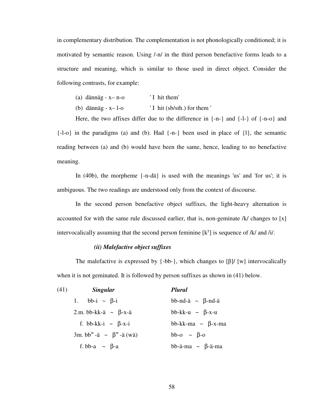in complementary distribution. The complementation is not phonologically conditioned; it is motivated by semantic reason. Using /-n/ in the third person benefactive forms leads to a structure and meaning, which is similar to those used in direct object. Consider the following contrasts, for example:

- (a) dännäg  $-x n o$  ' I hit them'
- (b) dännäg  $-x-1$ -o  $'I$  hit (sb/sth.) for them '

Here, the two affixes differ due to the difference in {-n-} and {-l-} of {-n-o} and  $\{-1\text{-}o\}$  in the paradigms (a) and (b). Had  $\{-n\}$  been used in place of  $\{1\}$ , the semantic reading between (a) and (b) would have been the same, hence, leading to no benefactive meaning.

 In (40b), the morpheme {-n-dä} is used with the meanings 'us' and 'for us'; it is ambiguous. The two readings are understood only from the context of discourse.

 In the second person benefactive object suffixes, the light-heavy alternation is accounted for with the same rule discussed earlier, that is, non-geminate /k/ changes to [x] intervocalically assuming that the second person feminine  $[k^y]$  is sequence of /k/ and /i/.

#### *(ii) Malefactive object suffixes*

The malefactive is expressed by  $\{-bb\}$ , which changes to  $\lceil \beta \rceil / \lceil w \rceil$  intervocalically when it is not geminated. It is followed by person suffixes as shown in (41) below.

| (41) | <b>Singular</b>                            | <b>Plural</b>               |
|------|--------------------------------------------|-----------------------------|
|      | bb-i $\sim \beta$ -i<br>1.                 | bb-nd-ä $\sim \beta$ -nd-ä  |
|      | 2.m. bb-kk-ä ~ $\beta$ -x-ä                | bb-kk-u $\sim \beta$ -x-u   |
|      | f. bb-kk-i $\sim \beta$ -x-i               | bb-kk-ma $\sim \beta$ -x-ma |
|      | 3m. bb <sup>w</sup> -ä ~ $\beta^w$ -ä (wä) | bb-o $\sim \beta$ -o        |
|      | f. bb-a $\sim \beta$ -a                    | bb-ä-ma $\sim \beta$ -ä-ma  |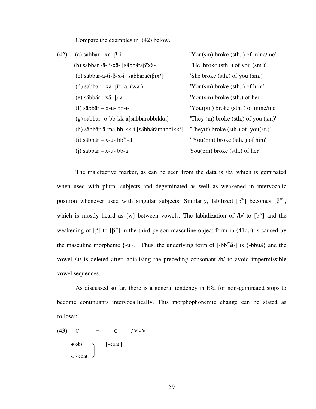Compare the examples in (42) below.

| (42) | (a) säbbär - xä- $\beta$ -i-                           | 'You(sm) broke (sth.) of mine/me'                      |
|------|--------------------------------------------------------|--------------------------------------------------------|
|      | (b) säbbär -ä- $\beta$ -xä- [säbbärä $\beta$ ïxä-]     | 'He broke (sth.) of you (sm.)'                         |
|      | (c) säbbär-ä-ti-β-x-i [säbbäräčïβïx <sup>y</sup> ]     | 'She broke (sth.) of you (sm.)'                        |
|      | (d) säbbär - xä- $\beta^w$ -ä (wä)-                    | $'You$ (sm) broke (sth.) of him'                       |
|      | (e) säbbär - xä- $\beta$ -a-                           | $'You$ (sm) broke (sth.) of her'                       |
|      | (f) säbbär $-x$ -u- bb-i-                              | 'You(pm) broke (sth.) of mine/me'                      |
|      | (g) säbbär -o-bb-kk-ä[säbbärobbïkkä]                   | They $(m)$ broke $(\text{sth.})$ of you $(\text{sm})'$ |
|      | (h) säbbär-ä-ma-bb-kk-i [säbbärämabbïkk <sup>y</sup> ] | They(f) broke (sth.) of you(sf.)'                      |
|      | (i) säbbär – x-u- bb <sup>w</sup> -ä                   | $'$ You(pm) broke (sth.) of him'                       |
|      | $(i)$ säbbär – x-u- bb-a                               | 'You(pm) broke (sth.) of her'                          |
|      |                                                        |                                                        |

The malefactive marker, as can be seen from the data is /b/, which is geminated when used with plural subjects and degeminated as well as weakened in intervocalic position whenever used with singular subjects. Similarly, labilized  $[b^w]$  becomes  $[\beta^w]$ , which is mostly heard as [w] between vowels. The labialization of  $/b/$  to  $[b^w]$  and the weakening of [ $\beta$ ] to  $[\beta^w]$  in the third person masculine object form in (41d,i) is caused by the masculine morpheme  $\{-u\}$ . Thus, the underlying form of  $\{-bbb^w\ddot{a} - j\}$  is  $\{-bbb\ddot{a}\}$  and the vowel /u/ is deleted after labialising the preceding consonant /b/ to avoid impermissible vowel sequences.

 As discussed so far, there is a general tendency in Eža for non-geminated stops to become continuants intervocallically. This morphophonemic change can be stated as follows:

(43) C 
$$
\Rightarrow
$$
 C / V - V  
\n
$$
\begin{pmatrix} \text{F} \text{ obs} \\ \text{- cont.} \end{pmatrix} \qquad [\text{+cont.}]
$$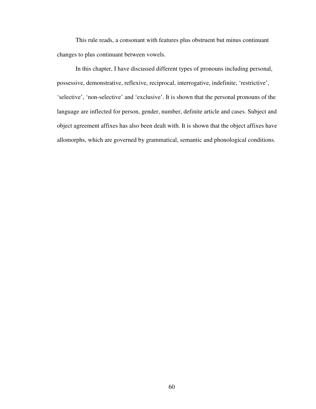This rule reads, a consonant with features plus obstruent but minus continuant changes to plus continuant between vowels.

In this chapter, I have discussed different types of pronouns including personal, possessive, demonstrative, reflexive, reciprocal, interrogative, indefinite, 'restrictive', 'selective', 'non-selective' and 'exclusive'. It is shown that the personal pronouns of the language are inflected for person, gender, number, definite article and cases. Subject and object agreement affixes has also been dealt with. It is shown that the object affixes have allomorphs, which are governed by grammatical, semantic and phonological conditions.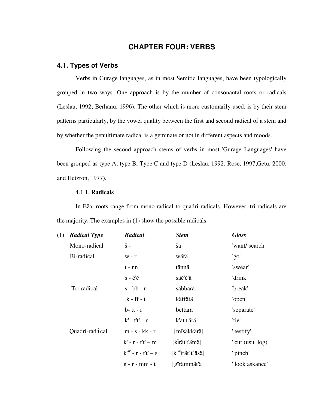# **CHAPTER FOUR: VERBS**

# **4.1. Types of Verbs**

 Verbs in Gurage languages, as in most Semitic languages, have been typologically grouped in two ways. One approach is by the number of consonantal roots or radicals (Leslau, 1992; Berhanu, 1996). The other which is more customarily used, is by their stem patterns particularly, by the vowel quality between the first and second radical of a stem and by whether the penultimate radical is a geminate or not in different aspects and moods.

 Following the second approach stems of verbs in most 'Gurage Languages' have been grouped as type A, type B, Type C and type D (Leslau, 1992; Rose, 1997;Getu, 2000; and Hetzron, 1977).

#### 4.1.1. **Radicals**

 In Eža, roots range from mono-radical to quadri-radicals. However, tri-radicals are the majority. The examples in (1) show the possible radicals.

| (1) | <b>Radical Type</b>         | <b>Radical</b>             | <b>Stem</b>                              | <b>Gloss</b>            |
|-----|-----------------------------|----------------------------|------------------------------------------|-------------------------|
|     | Mono-radical                | $\check{\mathrm{s}}$ -     | šä                                       | 'want/ search'          |
|     | Bi-radical                  | $W - r$                    | wärä                                     | 'go'                    |
|     |                             | $t - nn$                   | tännä                                    | 'swear'                 |
|     |                             | $s - \check{c}'\check{c}'$ | säč'č'ä                                  | 'drink'                 |
|     | Tri-radical                 | $s - bb - r$               | säbbärä                                  | 'break'                 |
|     |                             | $k - ff - t$               | käffätä                                  | 'open'                  |
|     |                             | $b$ -tt - r                | bettärä                                  | 'separate'              |
|     |                             | $k'$ - t't' – r            | k'at't'ärä                               | 'tie'                   |
|     | Quadri-rad <sub>1</sub> cal | $m - s - kk - r$           | [mïsäkkärä]                              | ' testify'              |
|     |                             | $k'$ - $r$ - $t't'$ - m    | [kirät't'ämä]                            | ' cut $($ usu. $log$ )' |
|     |                             | $kw - r - t't' - s$        | $[k^{\text{w}}\text{irat}'t'\text{äsä}]$ | ' pinch'                |
|     |                             | $g - r - mm - t'$          | [gïrämmät'ä]                             | 'look askance'          |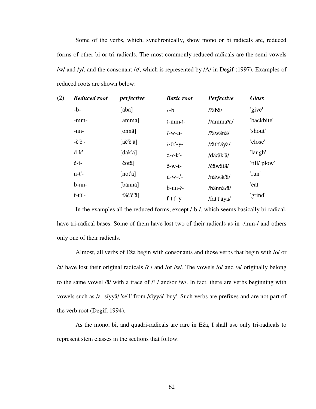Some of the verbs, which, synchronically, show mono or bi radicals are, reduced forms of other bi or tri-radicals. The most commonly reduced radicals are the semi vowels /w**/** and /y**/**, and the consonant /ʔ**/**, which is represented by /A/ in Degif (1997). Examples of reduced roots are shown below:

| (2) | <b>Reduced root</b>       | perfective                         | <b>Basic root</b>        | Perfective  | <b>Gloss</b> |
|-----|---------------------------|------------------------------------|--------------------------|-------------|--------------|
|     | $-b-$                     | [abä]                              | $2-b$                    | /?äbä/      | 'give'       |
|     | -mm-                      | [amma]                             | $2 - mm - 2 -$           | /?ämmä?ä/   | 'backbite'   |
|     | $-nn-$                    | [onnä]                             | $2-w-n-$                 | /?äwänä/    | 'shout'      |
|     | $-\check{C}'\check{C}'$ – | $[a\check{c}'\check{c}'\check{a}]$ | $7-t't'-y-$              | /zät't'äyä/ | 'close'      |
|     | $d-k'$ -                  | [dak'ä]                            | $d - 2 - k' -$           | /däräk'ä/   | 'laugh'      |
|     | $\check{c}$ -t-           | [čotä]                             | $\check{c}$ -w-t-        | /čäwätä/    | 'till/ plow' |
|     | $n-t'$ -                  | [not'ä]                            | $n-w-t'$ -               | /näwät'ä/   | 'run'        |
|     | $b-nn-$                   | [bänna]                            | $b$ -nn- $\frac{2}{3}$ - | /bännä?ä/   | 'eat'        |
|     | $f-t't'-$                 | [fäč'č'ä]                          | $f-t't'-y-$              | /fät't'äyä/ | 'grind'      |

In the examples all the reduced forms, except /-b-/, which seems basically bi-radical, have tri-radical bases. Some of them have lost two of their radicals as in -/mm-/ and others only one of their radicals.

 Almost, all verbs of Eža begin with consonants and those verbs that begin with /o/ or /a/ have lost their original radicals /ʔ / and /or /w/. The vowels /o/ and /a/ originally belong to the same vowel /ä/ with a trace of / $\frac{7}{4}$  and/or /w/. In fact, there are verbs beginning with vowels such as /a -sïyyä/ 'sell' from **/**sïyyä**/** 'buy'. Such verbs are prefixes and are not part of the verb root (Degif, 1994).

 As the mono, bi, and quadri-radicals are rare in Eža, I shall use only tri-radicals to represent stem classes in the sections that follow.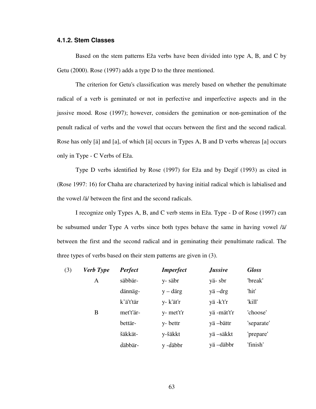#### **4.1.2. Stem Classes**

 Based on the stem patterns Eža verbs have been divided into type A, B, and C by Getu (2000). Rose (1997) adds a type D to the three mentioned.

 The criterion for Getu's classification was merely based on whether the penultimate radical of a verb is geminated or not in perfective and imperfective aspects and in the jussive mood. Rose (1997); however, considers the gemination or non-gemination of the penult radical of verbs and the vowel that occurs between the first and the second radical. Rose has only [ä] and [a], of which [ä] occurs in Types A, B and D verbs whereas [a] occurs only in Type - C Verbs of Eža.

 Type D verbs identified by Rose (1997) for Eža and by Degif (1993) as cited in (Rose 1997: 16) for Chaha are characterized by having initial radical which is labialised and the vowel /ä/ between the first and the second radicals.

 I recognize only Types A, B, and C verb stems in Eža. Type - D of Rose (1997) can be subsumed under Type A verbs since both types behave the same in having vowel /ä/ between the first and the second radical and in geminating their penultimate radical. The three types of verbs based on their stem patterns are given in (3).

| (3) | <b>Verb</b> Type | Perfect   | <b>Imperfect</b>  | <b>Jussive</b> | <b>Gloss</b> |
|-----|------------------|-----------|-------------------|----------------|--------------|
|     | $\mathsf{A}$     | säbbär-   | y-säbr            | yä-sbr         | 'break'      |
|     |                  | dännäg-   | $y - \text{därg}$ | yä-drg         | 'hit'        |
|     |                  | k'ä't'tär | y- k'ät'r         | yä-k't'r       | 'kill'       |
|     | B                | met't'är- | y- met't'r        | yä-mät't'r     | 'choose'     |
|     |                  | bettär-   | y-bettr           | yä –bättr      | 'separate'   |
|     |                  | šäkkät-   | y-šäkkt           | yä –säkkt      | 'prepare'    |
|     |                  | däbbär-   | y -däbbr          | yä-däbbr       | 'finish'     |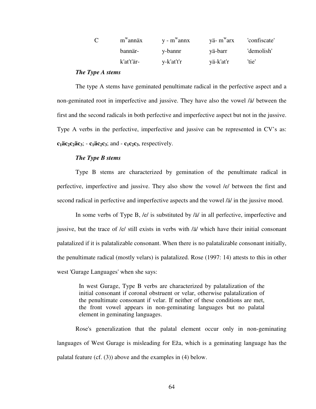| $\mathbf{C}$ | m <sup>w</sup> annäx | y - m <sup>w</sup> annx | $y\ddot{a}$ - m <sup>w</sup> arx confiscate' |            |
|--------------|----------------------|-------------------------|----------------------------------------------|------------|
|              | bannär-              | y-bannr                 | yä-barr                                      | 'demolish' |
|              | k'at't'är-           | y-k'at't'r              | vä-k'at'r                                    | 'tie'      |

#### *The Type A stems*

 The type A stems have geminated penultimate radical in the perfective aspect and a non-geminated root in imperfective and jussive. They have also the vowel /ä/ between the first and the second radicals in both perfective and imperfective aspect but not in the jussive. Type A verbs in the perfective, imperfective and jussive can be represented in CV's as:  $c_1$ **äc**<sub>2</sub>**c**<sub>2</sub> $\ddot{a}$ **3**; - **c**<sub>1</sub>**äc**<sub>2</sub>**c**<sub>3</sub>; and - **c**<sub>1</sub>**c**<sub>2</sub>**c**<sub>3</sub>, respectively.

#### *The Type B stems*

 Type B stems are characterized by gemination of the penultimate radical in perfective, imperfective and jussive. They also show the vowel /e/ between the first and second radical in perfective and imperfective aspects and the vowel /ä/ in the jussive mood.

 In some verbs of Type B, /e/ is substituted by /ä/ in all perfective, imperfective and jussive, but the trace of /e/ still exists in verbs with /ä/ which have their initial consonant palatalized if it is palatalizable consonant. When there is no palatalizable consonant initially, the penultimate radical (mostly velars) is palatalized. Rose (1997: 14) attests to this in other west 'Gurage Languages' when she says:

In west Gurage, Type B verbs are characterized by palatalization of the initial consonant if coronal obstruent or velar, otherwise palatalization of the penultimate consonant if velar. If neither of these conditions are met, the front vowel appears in non-geminating languages but no palatal element in geminating languages.

 Rose's generalization that the palatal element occur only in non-geminating languages of West Gurage is misleading for Eža, which is a geminating language has the palatal feature (cf. (3)) above and the examples in (4) below.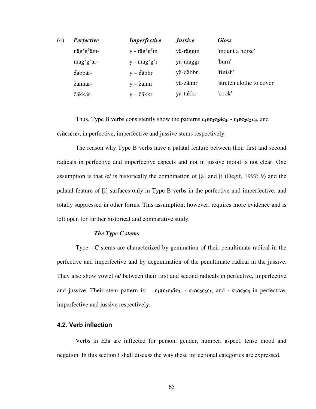| (4) | <b>Perfective</b>                | <i>Imperfective</i>        | <i><b>Jussive</b></i> | <b>Gloss</b>              |
|-----|----------------------------------|----------------------------|-----------------------|---------------------------|
|     | $n\ddot{a}g^{y}g^{y}\ddot{a}m$ - | $y - r\ddot{a}g^{y}g^{y}m$ | yä-räggm              | 'mount a horse'           |
|     | $m\ddot{a}g^{y}g^{y}$ är-        | $y - m\ddot{a}g^{y}g^{y}r$ | yä-mäggr              | 'hurn'                    |
|     | dabbär-                          | $y - d$ äbbr               | yä-däbbr              | 'finish'                  |
|     | žännär-                          | $y - \check{z}$ ännr       | yä-zännr              | 'stretch clothe to cover' |
|     | čäkkär-                          | y – čäkkr                  | yä-täkkr              | 'cook'                    |

Thus, Type B verbs consistently show the patterns  $c_1ec_2c_2\ddot{a}c_3$ ,  $\cdot c_1ec_2c_2\dot{c}_3$ , and **c1äc2c2c3**, in perfective, imperfective and jussive stems respectively.

 The reason why Type B verbs have a palatal feature between their first and second radicals in perfective and imperfective aspects and not in jussive mood is not clear. One assumption is that /e/ is historically the combination of [ä] and [i](Degif, 1997: 9) and the palatal feature of [i] surfaces only in Type B verbs in the perfective and imperfective, and totally suppressed in other forms. This assumption; however, requires more evidence and is left open for further historical and comparative study.

#### *The Type C stems*

 Type - C stems are characterized by gemination of their penultimate radical in the perfective and imperfective and by degemination of the penultimate radical in the jussive. They also show vowel /a/ between their first and second radicals in perfective, imperfective and jussive. Their stem pattern is:  $c_1ac_2c_2ac_3$ ,  $\cdot c_1ac_2c_2c_3$ , and  $\cdot c_1ac_2c_3$  in perfective, imperfective and jussive respectively.

#### **4.2. Verb inflection**

 Verbs in Eža are inflected for person, gender, number, aspect, tense mood and negation. In this section I shall discuss the way these inflectional categories are expressed.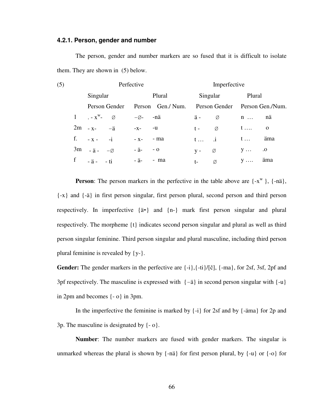#### **4.2.1. Person, gender and number**

 The person, gender and number markers are so fused that it is difficult to isolate them. They are shown in (5) below.

| (5) | Perfective |                          |                    | Imperfective        |                                |  |
|-----|------------|--------------------------|--------------------|---------------------|--------------------------------|--|
|     |            | Singular                 | Plural             | Singular            | Plural                         |  |
|     |            | Person Gender            | Person Gen./Num.   |                     | Person Gender Person Gen./Num. |  |
|     |            | 1 $-x^w$ - $\varnothing$ | $-\varnothing$ -nä | ä-<br>Ø             | nä<br>$n \ldots$               |  |
|     |            | $2m - x - 4$             | $-X$ - $-U$        | Ø<br>$t -$          | $\overline{\mathbf{O}}$        |  |
|     | f.         | $- x - -i$               | $-x-$ - ma         | $t \dots$ $\dot{1}$ | äma<br>$t \ldots$              |  |
|     |            | $3m - a - \emptyset$     | - ä-<br>$-0$       | Ø<br>$V -$          | .0<br>$y \ldots$               |  |
|     | f          | $-\ddot{a}$ - $-\dot{a}$ | - ä- - ma          | Ø<br>$t-$           | äma<br>$V \ldots$              |  |

**Person**: The person markers in the perfective in the table above are  $\{-x^w\}$ ,  $\{-n\ddot{a}\}$ , {-x} and {-ä} in first person singular, first person plural, second person and third person respectively. In imperfective {ä-} and {n-} mark first person singular and plural respectively. The morpheme {t} indicates second person singular and plural as well as third person singular feminine. Third person singular and plural masculine, including third person plural feminine is revealed by {y-}.

**Gender:** The gender markers in the perfective are {-i},{-ti}/[č], {-ma}, for 2sf, 3sf, 2pf and 3pf respectively. The masculine is expressed with  $\{-\ddot{a}\}\$ in second person singular with  $\{-u\}$ in 2pm and becomes {- o} in 3pm.

In the imperfective the feminine is marked by  $\{-i\}$  for 2sf and by  $\{-\text{äma}\}$  for 2p and 3p. The masculine is designated by  $\{-o\}$ .

**Number**: The number markers are fused with gender markers. The singular is unmarked whereas the plural is shown by  $\{-n\ddot{a}\}\$  for first person plural, by  $\{-u\}$  or  $\{-o\}$  for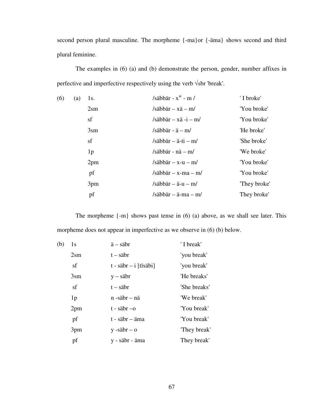second person plural masculine. The morpheme {-ma}or {-äma} shows second and third plural feminine.

 The examples in (6) (a) and (b) demonstrate the person, gender, number affixes in perfective and imperfective respectively using the verb √sbr 'break'.

| (6) | (a) | 1s.             | /säbbär - $x^w$ - m /  | 'I broke'    |
|-----|-----|-----------------|------------------------|--------------|
|     |     | $2\text{sm}$    | /säbbär – $x$ ä – m/   | 'You broke'  |
|     |     | sf              | /säbbär – xä -i – m/   | 'You broke'  |
|     |     | 3 <sub>sm</sub> | /säbbär - $a - m/$     | 'He broke'   |
|     |     | sf              | /säbbär – ä-ti – m/    | 'She broke'  |
|     |     | 1 <sub>p</sub>  | /säbbär - nä $-$ m/    | 'We broke'   |
|     |     | 2pm             | /säbbär – $x-u$ – m/   | 'You broke'  |
|     |     | pf              | $/s$ äbbär – x-ma – m/ | 'You broke'  |
|     |     | 3pm             | /säbbär – ä-u – m/     | "They broke" |
|     |     | pf              | /säbbär – ä-ma – m/    | They broke'  |

The morpheme {-m} shows past tense in (6) (a) above, as we shall see later. This morpheme does not appear in imperfective as we observe in (6) (b) below.

| (b) | 1s              | $\ddot{a}$ – säbr                     | 'I break'    |
|-----|-----------------|---------------------------------------|--------------|
|     | $2\text{sm}$    | $t - s$ äbr                           | 'you break'  |
|     | sf              | $t - s$ äbr $- i$ [tïsäbi]            | 'you break'  |
|     | 3 <sub>sm</sub> | $y - s$ äbr                           | 'He breaks'  |
|     | sf              | $t - s$ äbr                           | 'She breaks' |
|     | 1 <sub>p</sub>  | $n - s$ äbr – nä                      | 'We break'   |
|     | 2pm             | $t - \ddot{\text{sa}}$ br $-\text{o}$ | 'You break'  |
|     | pf              | t - säbr – äma                        | 'You break'  |
|     | 3pm             | $y - s$ äbr – o                       | "They break" |
|     | pf              | y - säbr - äma                        | They break'  |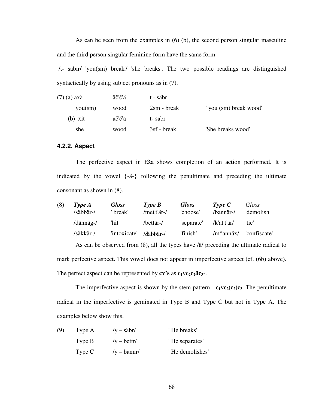As can be seen from the examples in (6) (b), the second person singular masculine and the third person singular feminine form have the same form:

 /t- säbïr**/** 'you(sm) break'/ 'she breaks'. The two possible readings are distinguished syntactically by using subject pronouns as in (7).

| (7) (a) axä | äč'č'ä | t - säbr             |                      |
|-------------|--------|----------------------|----------------------|
| you(sm)     | wood   | $2\text{sm}$ - break | you (sm) break wood' |
| $(b)$ xit   | äč'č'ä | t-säbr               |                      |
| she         | wood   | 3sf - break          | 'She breaks wood'    |

#### **4.2.2. Aspect**

 The perfective aspect in Eža shows completion of an action performed. It is indicated by the vowel {-ä-} following the penultimate and preceding the ultimate consonant as shown in (8).

| (8) | Type A    | <b>Gloss</b> | $Type\ B$   | <b>Gloss</b> | Type C        | Gloss                                                                                               |
|-----|-----------|--------------|-------------|--------------|---------------|-----------------------------------------------------------------------------------------------------|
|     | /säbbär-/ | ' break'     | /met't'är-/ | 'choose'     | /bannär-/     | 'demolish'                                                                                          |
|     | /dännäg-/ | 'hit'        | /bettär-/   | 'separate'   | /k'at't'är/   | 'tie'                                                                                               |
|     | /säkkär-/ | 'intoxicate' | /däbbär-/   | 'finish'     | $/m^w$ annäx/ | 'confiscate'                                                                                        |
|     |           |              |             |              |               | As can be observed from $(8)$ , all the types have / $\ddot{a}$ / preceding the ultimate radical to |

mark perfective aspect. This vowel does not appear in imperfective aspect (cf. (6b) above). The perfect aspect can be represented by  $cv$ 's as  $c_1vc_2c_2\ddot{a}c_3$ .

The imperfective aspect is shown by the stem pattern -  $c_1v c_2(c_2)c_3$ . The penultimate radical in the imperfective is geminated in Type B and Type C but not in Type A. The examples below show this.

| (9) | Type A | $/y - \ddot{\text{s}}$ abr/ | 'He breaks'     |
|-----|--------|-----------------------------|-----------------|
|     | Type B | $/y - bettr/$               | 'He separates'  |
|     | Type C | $/y - bannr/$               | 'He demolishes' |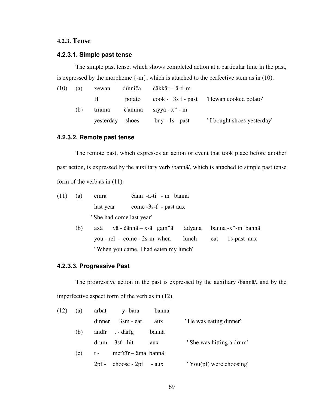# **4.2.3. Tense**

# **4.2.3.1. Simple past tense**

 The simple past tense, which shows completed action at a particular time in the past, is expressed by the morpheme {-m}, which is attached to the perfective stem as in (10).

| (10) | (a) | xewan     | dïnniča | čäkkär – ä-ti-m                              |                            |
|------|-----|-----------|---------|----------------------------------------------|----------------------------|
|      |     | H         | potato  |                                              |                            |
|      | (b) | tïrama    |         | $\check{c}'$ amma sïyyä - x <sup>w</sup> - m |                            |
|      |     | yesterday | shoes   | $buy - 1s - past$                            | 'I bought shoes yesterday' |

# **4.2.3.2. Remote past tense**

 The remote past, which expresses an action or event that took place before another past action, is expressed by the auxiliary verb /bannä/, which is attached to simple past tense form of the verb as in (11).

| $(11)$ (a) |     | emra | čänn -ä-ti - m bannä                         |  |                                       |  |
|------------|-----|------|----------------------------------------------|--|---------------------------------------|--|
|            |     |      | last year come -3s-f - past aux              |  |                                       |  |
|            |     |      | ' She had come last year'                    |  |                                       |  |
|            | (b) |      | $ax\ddot{a}$ yä - čännä – x-ä gam $\ddot{a}$ |  | ädyana banna -x <sup>w</sup> -m bannä |  |

 you - rel - come - 2s-m when lunch eat 1s-past aux ' When you came, I had eaten my lunch'

#### **4.2.3.3. Progressive Past**

 The progressive action in the past is expressed by the auxiliary /bannä/**,** and by the imperfective aspect form of the verb as in (12).

| (12) | (a) |        | ärbat y-bära               | bannä |                            |
|------|-----|--------|----------------------------|-------|----------------------------|
|      |     | dinner | $3\text{sm}$ - eat         | aux   | 'He was eating dinner'     |
|      | (b) |        | andir t - därig            | bannä |                            |
|      |     |        | $drum = 3sf - hit$         | aux   | ' She was hitting a drum'  |
|      | (c) | $t -$  | met't'ïr – äma bannä       |       |                            |
|      |     |        | $2pf - choose - 2pf - aux$ |       | $'$ You(pf) were choosing' |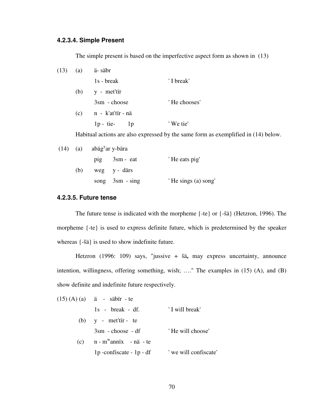#### **4.2.3.4. Simple Present**

The simple present is based on the imperfective aspect form as shown in (13)

| $(13)$ (a) |     | ä-säbr                |              |
|------------|-----|-----------------------|--------------|
|            |     | $1s - break$          | 'I break'    |
|            | (b) | y - met'tir           |              |
|            |     | $3\text{sm}$ - choose | 'He chooses' |
|            | (c) | n - k'at'tïr - nä     |              |
|            |     | $1p - tie-$<br>1p     | 'We tie'     |
|            |     |                       |              |

Habitual actions are also expressed by the same form as exemplified in (14) below.

|     | $(14)$ (a) abäg <sup>y</sup> ar y-bära |                   |                     |
|-----|----------------------------------------|-------------------|---------------------|
|     |                                        | pig 3sm - eat     | 'He eats pig'       |
| (b) |                                        | weg y-därs        |                     |
|     |                                        | song $3sm - sing$ | 'He sings (a) song' |

#### **4.2.3.5. Future tense**

 The future tense is indicated with the morpheme {-te} or {-šä} (Hetzron, 1996). The morpheme {-te} is used to express definite future, which is predetermined by the speaker whereas {-šä} is used to show indefinite future.

Hetzron (1996: 109) says, "jussive + šä**,** may express uncertainty, announce intention, willingness, offering something, wish; …." The examples in (15) (A), and (B) show definite and indefinite future respectively.

| $(15) (A) (a)$ ä - säbir - te     |                       |
|-----------------------------------|-----------------------|
| $1s - break - df$ .               | 'I will break'        |
| (b) $y - met'tir - te$            |                       |
| $3\text{sm}$ - choose - df        | 'He will choose'      |
| (c) $n - m^{\nu}$ annix - nä - te |                       |
| $1p$ -confiscate - $1p$ - df      | ' we will confiscate' |
|                                   |                       |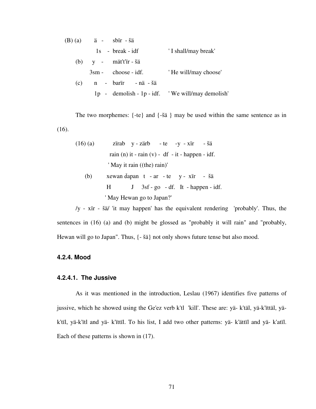|     | $(B)$ (a) $\ddot{a}$ - sbir - šä |                                                  |
|-----|----------------------------------|--------------------------------------------------|
|     | $1s - break - idf$               | 'I shall/may break'                              |
|     | $(b)$ y - mät't'ir - šä          |                                                  |
|     | $3\text{sm}$ - choose - idf.     | 'He will/may choose'                             |
| (c) | n - barïr - nä - šä              |                                                  |
|     |                                  | 1p - demolish - 1p - idf. 'We will/may demolish' |

The two morphemes: {-te} and {-šä } may be used within the same sentence as in (16).

| (16) (a)                                                                         | zirab $y - z \ddot{a}r$   | - te $-y - x\ddot{r}$ | - šä |
|----------------------------------------------------------------------------------|---------------------------|-----------------------|------|
| rain (n) it $- \operatorname{rain}(v) - df - it - \operatorname{happen} - idf$ . |                           |                       |      |
| ' May it rain ((the) rain)'                                                      |                           |                       |      |
| (b)                                                                              | xewan dapan $t - ar - te$ | $y - x\ddot{r}$       | - šä |

$$
H \tJ 3sf - go - df. It - happen - idf.
$$

' May Hewan go to Japan?'

 /y - xïr - šä/ 'it may happen' has the equivalent rendering 'probably'. Thus, the sentences in (16) (a) and (b) might be glossed as "probably it will rain" and "probably, Hewan will go to Japan". Thus, {- šä} not only shows future tense but also mood.

# **4.2.4. Mood**

## **4.2.4.1. The Jussive**

 As it was mentioned in the introduction, Leslau (1967) identifies five patterns of jussive, which he showed using the Ge'ez verb k'tl 'kill'. These are: yä- k'täl, yä-k'ïttäl, yäk'tïl, yä-k'ïtl and yä- k'ïttïl. To his list, I add two other patterns: yä- k'ättïl and yä- k'atïl. Each of these patterns is shown in (17).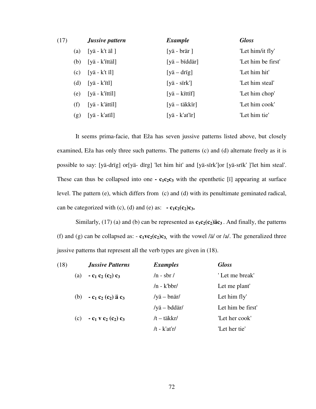| (17) |     | <b>Jussive pattern</b>       | <b>Example</b>                 | <b>Gloss</b>       |
|------|-----|------------------------------|--------------------------------|--------------------|
|      | (a) | [yä - k't äl]                | [yä - $bra$ r]                 | 'Let him/it fly'   |
|      | (b) | $[ya - k'{'i}ttä']$          | [ <i>y</i> ä – <i>b</i> iddär] | 'Let him be first' |
|      | (c) | $[yä - k'ti]$                | $[ya - drig]$                  | 'Let him hit'      |
|      | (d) | [ <i>y</i> ä – <i>k</i> 'it] | $[ya - sirk']$                 | 'Let him steal'    |
|      | (e) | $[ya - k'$ ittil]            | [ <i>y</i> ä – kittif]         | 'Let him chop'     |
|      | (f) | $[ya - k'ättil]$             | $[ya - takkir]$                | 'Let him cook'     |
|      | (g) | $[yä - k'atil]$              | $[ya - k'at'ir]$               | 'Let him tie'      |

It seems prima-facie, that Eža has seven jussive patterns listed above, but closely examined, Eža has only three such patterns. The patterns (c) and (d) alternate freely as it is possible to say: [yä-drïg] or[yä- dïrg] 'let him hit' and [yä-sïrk']or [yä-srïk' ]'let him steal'. These can thus be collapsed into one  $\cdot$   $c_1c_2c_3$  with the epenthetic [i] appearing at surface level. The pattern (e), which differs from (c) and (d) with its penultimate geminated radical, can be categorized with (c), (d) and (e) as:  $\cdot$  **c**<sub>1</sub>**c**<sub>2</sub>(**c**<sub>2</sub>)**c**<sub>3</sub>**.** 

Similarly, (17) (a) and (b) can be represented as  $c_1c_2(c_2)$  *a* $c_3$ . And finally, the patterns (f) and (g) can be collapsed as:  $-\mathbf{c}_1 \mathbf{v} \mathbf{c}_2(\mathbf{c}_2) \mathbf{c}_3$ , with the vowel /ä/ or /a/. The generalized three jussive patterns that represent all the verb types are given in (18).

| (18) |     | <b>Jussive Patterns</b>                                | <b>Examples</b>      | <b>Gloss</b>      |
|------|-----|--------------------------------------------------------|----------------------|-------------------|
|      | (a) | $-c_1$ c <sub>2</sub> (c <sub>2</sub> ) c <sub>3</sub> | $/n - sbr/$          | 'Let me break'    |
|      |     |                                                        | $/n - k'$ bbr/       | Let me plant'     |
|      | (b) | $-c_1 c_2 (c_2)$ ä $c_3$                               | /yä – $bnär/$        | Let him fly'      |
|      |     |                                                        | /yä – bddär/         | Let him be first' |
|      | (c) | $-c_1$ v $c_2$ $(c_2)$ $c_3$                           | $/t - t\ddot{a}kkr/$ | 'Let her cook'    |
|      |     |                                                        | $/t - k'at'r/$       | 'Let her tie'     |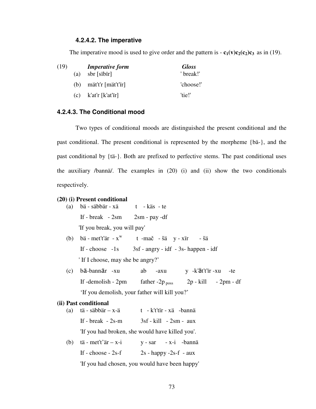#### **4.2.4.2. The imperative**

The imperative mood is used to give order and the pattern is  $-\mathbf{c}_1(\mathbf{v})\mathbf{c}_2(\mathbf{c}_2)\mathbf{c}_3$  as in (19).

| (19) |     | <b>Imperative form</b>              | <b>Gloss</b> |
|------|-----|-------------------------------------|--------------|
|      | (a) | sbr [sibir]                         | ' break!'    |
|      |     | (b) mät't'r $[m\ddot{a}t'\ddot{r}]$ | 'choose!'    |
|      |     | (c) $k'at'r [k'at'ir]$              | 'tie!'       |

#### **4.2.4.3. The Conditional mood**

 Two types of conditional moods are distinguished the present conditional and the past conditional. The present conditional is represented by the morpheme {bä-}, and the past conditional by {tä-}. Both are prefixed to perfective stems. The past conditional uses the auxiliary /bannä/. The examples in (20) (i) and (ii) show the two conditionals respectively.

#### **(20) (i) Present conditional**

|     | (a) bä - säbbär - xä t - käs - te      |                                                   |  |
|-----|----------------------------------------|---------------------------------------------------|--|
|     | If - break - $2sm$ - $2sm$ - $pay$ -df |                                                   |  |
|     | 'If you break, you will pay'           |                                                   |  |
| (b) |                                        | bä - met't'är - $x^w$ t -mač - šä y - xïr<br>- šä |  |

If - choose  $-1s$  3sf - angry - idf  $-3s$ - happen - idf ' If I choose, may she be angry?'

 (c) bä-bannär -xu ab -axu y -k'ät't'ïr -xu -te If -demolish -  $2pm$  father - $2p_{poss}$  2p - kill -  $2pm$  - df 'If you demolish, your father will kill you?'

#### **(ii) Past conditional**

| (a) | $t$ ä - säbbär – x-ä                    | t - k't'tir - xä -bannä                         |
|-----|-----------------------------------------|-------------------------------------------------|
|     | If - break $-2s$ -m                     | $3sf$ - kill - $2sm$ - $aux$                    |
|     |                                         | 'If you had broken, she would have killed you'. |
| (b) | $t\ddot{a}$ - met't' $\ddot{a}r - x$ -i | $y - sar$ - $x-i$ -bannä                        |
|     | If - choose $-2s-f$                     | $2s$ - happy -2s-f - aux                        |

'If you had chosen, you would have been happy'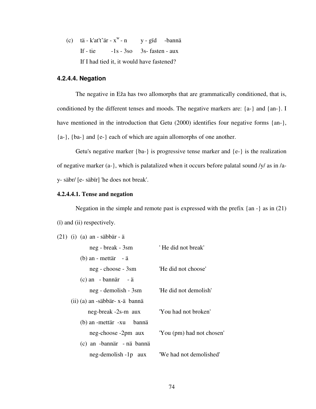(c)  $t\ddot{a} - k'at't'\ddot{a}r - x^w - n$  y - gïd -bannä If - tie  $-1s - 3so$  3s- fasten - aux If I had tied it, it would have fastened?

### **4.2.4.4. Negation**

 The negative in Eža has two allomorphs that are grammatically conditioned, that is, conditioned by the different tenses and moods. The negative markers are: {a-} and {an-}. I have mentioned in the introduction that Getu (2000) identifies four negative forms {an-}, {a-}, {ba-} and {e-} each of which are again allomorphs of one another.

 Getu's negative marker {ba-} is progressive tense marker and {e-} is the realization of negative marker (a-}, which is palatalized when it occurs before palatal sound /y/ as in /ay- säbr/ [e- säbïr] 'he does not break'.

### **4.2.4.4.1. Tense and negation**

 Negation in the simple and remote past is expressed with the prefix {an -} as in (21) (ï) and (ii) respectively.

| $(21)$ (i) (a) an - säbbär - ä |                           |
|--------------------------------|---------------------------|
| neg - break - 3sm              | 'He did not break'        |
| $(b)$ an - mettär - ä          |                           |
| neg - choose - 3sm             | 'He did not choose'       |
| $(c)$ an - bannär - ä          |                           |
| neg - demolish - 3sm           | 'He did not demolish'     |
| (ii) (a) an -säbbär- x-ä bannä |                           |
| neg-break -2s-m aux            | 'You had not broken'      |
| (b) an -mettär -xu bannä       |                           |
| neg-choose -2pm aux            | 'You (pm) had not chosen' |
| (c) an -bannär - nä bannä      |                           |
| neg-demolish -1p aux           | 'We had not demolished'   |
|                                |                           |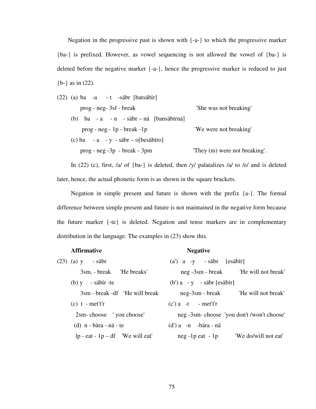Negation in the progressive past is shown with {-a-} to which the progressive marker {ba-} is prefixed. However, as vowel sequencing is not allowed the vowel of {ba-} is deleted before the negative marker {-a-}, hence the progressive marker is reduced to just {b-} as in (22).

| (22) (a) ba -a -t -säbr [batsäbir]         |                              |
|--------------------------------------------|------------------------------|
| prog - neg-3sf - break                     | 'She was not breaking'       |
| (b) $ba - a - n - s$ äbr – nä [bansäbirnä] |                              |
| $prog - neg - lp - break - lp$             | 'We were not breaking'       |
| (c) ba - a - y - säbr – o[besäbiro]        |                              |
| $prog - neg -3p - break - 3pm$             | They (m) were not breaking'. |
|                                            |                              |

In (22) (c), first,  $|a|$  of  $\{ba-\}\$ is deleted, then  $|y|$  palatalizes  $|a|$  to  $|e|$  and is deleted later, hence, the actual phonetic form is as shown in the square brackets.

 Negation in simple present and future is shown with the prefix {a-}. The formal difference between simple present and future is not maintained in the negative form because the future marker {-te} is deleted. Negation and tense markers are in complementary distribution in the language. The examples in (23) show this.

# Affirmative **Negative Negative**

| $(23)$ (a) y - säbr               | $(a')$ a -y - säbr $[es\ddot{a}\dot{b}\ddot{r}]$ |
|-----------------------------------|--------------------------------------------------|
| 3sm, - break 'He breaks'          | neg -3sm - break He will not break               |
| $(b)$ y - säbir -te               | $(b')$ a - y - säbr [esäbir]                     |
| 3sm - break -df 'He will break    |                                                  |
| $(c)$ t - met't'r                 | $(c')$ a -t - met't'r                            |
| 2sm-choose 'you choose'           | neg -3sm-choose 'you don't /won't choose'        |
| $(d)$ n - bära - nä - te          | $(d')$ a -n -bära - nä                           |
| $lp - eat - lp - df$ We will eat' | "We do/will not eat"<br>$neg$ -1p eat -1p        |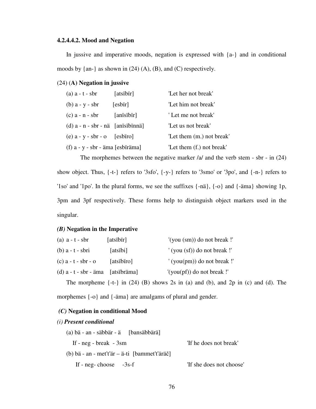#### **4.2.4.4.2. Mood and Negation**

|                                                                     | In justive and imperative moods, negation is expressed with $\{a\}$ and in conditional |  |  |  |  |  |
|---------------------------------------------------------------------|----------------------------------------------------------------------------------------|--|--|--|--|--|
| moods by $\{an-\}$ as shown in (24) (A), (B), and (C) respectively. |                                                                                        |  |  |  |  |  |

#### (24) (**A) Negation in jussive**

| $(a)$ a - t - sbr                   | [atsibir]  | 'Let her not break'       |
|-------------------------------------|------------|---------------------------|
| $(b)$ a - y - sbr                   | [esbir]    | 'Let him not break'       |
| $(c)$ a - n - sbr                   | [anisibir] | 'Let me not break'        |
| $(d)$ a - n - sbr - nä [anisibinnä] |            | 'Let us not break'        |
| $(e)$ a - y - sbr - o [esbiro]      |            | 'Let them (m.) not break' |
| $(f)$ a - y - sbr - äma [esbiräma]  |            | 'Let them (f.) not break' |

 The morphemes between the negative marker /a/ and the verb stem - sbr - in (24) show object. Thus, {-t-} refers to '3sfo', {-y-} refers to '3smo' or '3po', and {-n-} refers to '1so' and '1po'. In the plural forms, we see the suffixes {-nä}, {-o} and {-äma} showing 1p, 3pm and 3pf respectively. These forms help to distinguish object markers used in the singular.

#### *(B)* **Negation in the Imperative**

| (a) $a - t - sbr$       | [atsïbïr]   | '(you (sm)) do not break !'  |
|-------------------------|-------------|------------------------------|
| $(b)$ a - t - sbri      | [atsibi]    | '(you (sf)) do not break!'   |
| $(c)$ a - t - sbr - o   | [atsibiro]  | $'(you(pm))$ do not break !' |
| $(d)$ a - t - sbr - äma | [atsibräma] | $'(you(pf))$ do not break !' |

The morpheme  $\{-t\}$  in (24) (B) shows 2s in (a) and (b), and 2p in (c) and (d). The morphemes {-o} and {-äma} are amalgams of plural and gender.

#### *(C)* **Negation in conditional Mood**

#### *(i) Present conditional*

| $(a)$ bä - an - säbbär - ä [bansäbbärä]       |                          |
|-----------------------------------------------|--------------------------|
| If - $neg$ - $break$ - $3sm$                  | 'If he does not break'   |
| (b) bä - an - met't'är – ä-ti [bammet't'äräč] |                          |
| If - $neg$ -choose -3s-f                      | 'If she does not choose' |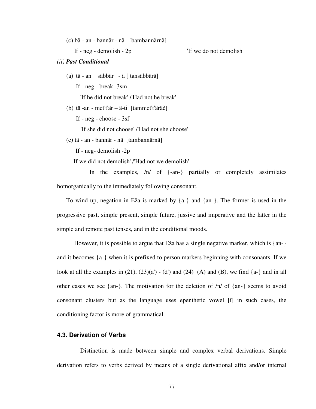(c) bä - an - bannär - nä [bambannärnä]

If - neg - demolish - 2p 'If we do not demolish'

#### *(ii) Past Conditional*

(a) tä - an säbbär - ä [ tansäbbärä]

If - neg - break -3sm

'If he did not break' /'Had not he break'

(b) tä -an - met't'är – ä-ti [tammet't'äräč]

If - neg - choose - 3sf

'If she did not choose' /'Had not she choose'

(c) tä - an - bannär - nä [tambannärnä]

If - neg- demolish -2p

'If we did not demolish' /'Had not we demolish'

 In the examples, /n/ of {-an-} partially or completely assimilates homorganically to the immediately following consonant.

To wind up, negation in Eža is marked by  ${a-\}$  and  ${an-\}$ . The former is used in the progressive past, simple present, simple future, jussive and imperative and the latter in the simple and remote past tenses, and in the conditional moods.

 However, it is possible to argue that Eža has a single negative marker, which is {an-} and it becomes {a-} when it is prefixed to person markers beginning with consonants. If we look at all the examples in  $(21)$ ,  $(23)(a') - (d')$  and  $(24)$   $(A)$  and  $(B)$ , we find  $\{a-\}$  and in all other cases we see {an-}. The motivation for the deletion of  $/n/$  of {an-} seems to avoid consonant clusters but as the language uses epenthetic vowel [ï] in such cases, the conditioning factor is more of grammatical.

#### **4.3. Derivation of Verbs**

 Distinction is made between simple and complex verbal derivations. Simple derivation refers to verbs derived by means of a single derivational affix and/or internal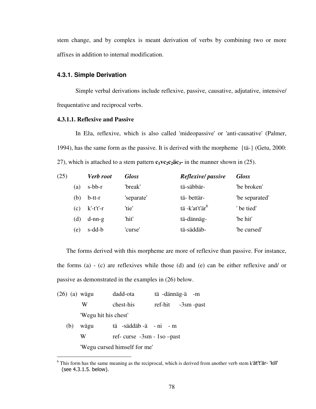stem change, and by complex is meant derivation of verbs by combining two or more affixes in addition to internal modification.

#### **4.3.1. Simple Derivation**

 Simple verbal derivations include reflexive, passive, causative, adjutative, intensive/ frequentative and reciprocal verbs.

#### **4.3.1.1. Reflexive and Passive**

 In Eža, reflexive, which is also called 'mideopassive' or 'anti-causative' (Palmer, 1994), has the same form as the passive. It is derived with the morpheme {tä-} (Getu, 2000: 27), which is attached to a stem pattern  $c_1 \nu c_2 c_2 \ddot{a} c_3$  in the manner shown in (25).

| (25) |     | Verb root    | <b>Gloss</b> | Reflexive/passive          | <b>Gloss</b>   |
|------|-----|--------------|--------------|----------------------------|----------------|
|      | (a) | $s$ -bb- $r$ | 'break'      | tä-säbbär-                 | 'be broken'    |
|      | (b) | $b$ -tt-r    | 'separate'   | tä-bettär-                 | "be separated" |
|      | (c) | $k'-t't'-r$  | 'tie'        | tä -k'at't'är <sup>6</sup> | ' be tied'     |
|      | (d) | $d-nn-g$     | 'hit'        | tä-dännäg-                 | 'be hit'       |
|      | (e) | s-dd-b       | 'curse'      | tä-säddäb-                 | "be cursed"    |

 The forms derived with this morpheme are more of reflexive than passive. For instance, the forms (a) - (c) are reflexives while those (d) and (e) can be either reflexive and/ or passive as demonstrated in the examples in (26) below.

| (26) (a) wägu |                      | dadd-ota                      | tä-dännäg-ä-m        |  |
|---------------|----------------------|-------------------------------|----------------------|--|
|               | W                    | chest-his                     | $ref-hit -3sm -past$ |  |
|               | 'Wegu hit his chest' |                               |                      |  |
| (b)           | wägu                 | tä -säddäb -ä - ni - m        |                      |  |
|               | W                    | ref-curse $-3sm - 1so - past$ |                      |  |
|               |                      | 'Wegu cursed himself for me'  |                      |  |

 $\overline{a}$ 

<sup>&</sup>lt;sup>6</sup> This form has the same meaning as the reciprocal, which is derived from another verb stem k'ät't'är- 'kill' (see 4.3.1.5. below).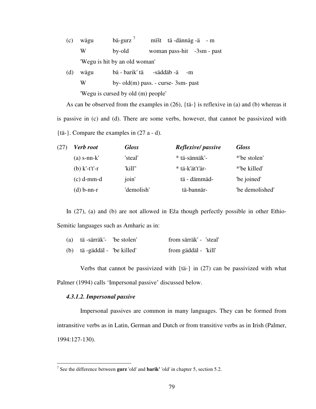| (c) | wägu           | $b\ddot{a}$ -gurz <sup>7</sup> |                               | mišt tä-dännäg-ä - m       |
|-----|----------------|--------------------------------|-------------------------------|----------------------------|
|     | W              | by-old                         |                               | woman pass-hit -3sm - past |
|     |                | 'Wegu is hit by an old woman'  |                               |                            |
|     | $W\ddot{a}$ on |                                | - hä - harik' tä - -säddäh -ä |                            |

| w | wagu | va - valin ta<br>-sauuav -a<br>$-111$     |
|---|------|-------------------------------------------|
|   | W    | $by$ - old $(m)$ pass. - curse- 3sm- past |
|   |      | 'Wegu is cursed by old (m) people'        |

 As can be observed from the examples in (26), {tä-} is reflexive in (a) and (b) whereas it is passive in (c) and (d). There are some verbs, however, that cannot be passivized with {tä-}. Compare the examples in (27 a - d).

| (27) | <b>Verb</b> root | <b>Gloss</b> | Reflexive/passive | <b>Gloss</b>    |
|------|------------------|--------------|-------------------|-----------------|
|      | $(a)$ s-nn- $k'$ | 'steal'      | * tä-sännäk'-     | *'be stolen'    |
|      | (b) $k'-t't'-r$  | 'kill"       | * tä-k'ät't'är-   | *'be killed'    |
|      | $(c)$ d-mm-d     | join'        | tä - dämmäd-      | "be joined"     |
|      | $(d)$ b-nn-r     | 'demolish'   | tä-bannär-        | "be demolished" |

 In (27), (a) and (b) are not allowed in Eža though perfectly possible in other Ethio-Semitic languages such as Amharic as in:

|  | (a) tä -särräk'- "be stolen" | from särräk' - 'steal' |
|--|------------------------------|------------------------|
|  | (b) tä -gäddäl - 'be killed' | from gäddäl - 'kill'   |

 Verbs that cannot be passivized with {tä-} in (27) can be passivized with what Palmer (1994) calls 'Impersonal passive' discussed below.

#### *4.3.1.2. Impersonal passive*

 Impersonal passives are common in many languages. They can be formed from intransitive verbs as in Latin, German and Dutch or from transitive verbs as in Irish (Palmer, 1994:127-130).

 7 See the difference between **gurz** 'old' and **barik'** 'old' in chapter 5, section 5.2.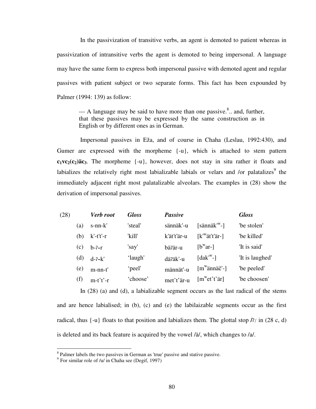In the passivization of transitive verbs, an agent is demoted to patient whereas in passivization of intransitive verbs the agent is demoted to being impersonal. A language may have the same form to express both impersonal passive with demoted agent and regular passives with patient subject or two separate forms. This fact has been expounded by Palmer (1994: 139) as follow:

 $-$ -- A language may be said to have more than one passive.<sup>8</sup>.. and, further, that these passives may be expressed by the same construction as in English or by different ones as in German.

 Impersonal passives in Eža, and of course in Chaha (Leslau, 1992:430), and Gumer are expressed with the morpheme {-u}, which is attached to stem pattern  $c_1v c_2(c_2)$  ac<sub>3</sub>. The morpheme  $\{-u\}$ , however, does not stay in situ rather it floats and labializes the relatively right most labializable labials or velars and /or palatalizes $^9$  the immediately adjacent right most palatalizable alveolars. The examples in (28) show the derivation of impersonal passives.

| (28) |     | Verb root     | <b>Gloss</b> | <b>Passive</b> |                                          | <b>Gloss</b>    |
|------|-----|---------------|--------------|----------------|------------------------------------------|-----------------|
|      | (a) | $s$ -nn- $k'$ | 'steal'      | sännäk'-u      | $[s\ddot{a}nn\ddot{a}k^w-]$              | "be stolen"     |
|      | (b) | $k'-t't'-r$   | 'kill'       | k'ät't'är-u    | $[kw$ ät't'är-]                          | 'be killed'     |
|      | (c) | $b-2-r$       | 'say'        | bä?är-u        | $[b^{\rm w}$ ar-]                        | 'It is said'    |
|      | (d) | $d-2-k'$      | 'laugh'      | dä?äk'-u       | $\lceil$ dak' <sup>w</sup> -1            | 'It is laughed' |
|      | (e) | $m-nn-t'$     | 'peel'       | männät'-u      | $[m^{\mathrm{w}}\ddot{\text{a}}$ nnäč'-] | 'be peeled'     |
|      | (f) | $m-t't'-r$    | 'choose'     | met't'är-u     | [m <sup>w</sup> et't'ar]                 | 'be choosen'    |

 In (28) (a) and (d), a labializable segment occurs as the last radical of the stems and are hence labialised; in (b), (c) and (e) the labilaizable segments occur as the first radical, thus  $\{-u\}$  floats to that position and labializes them. The glottal stop  $\hbar$  in (28 c, d) is deleted and its back feature is acquired by the vowel /ä/, which changes to /a/.

l

<sup>&</sup>lt;sup>8</sup> Palmer labels the two passives in German as 'true' passive and stative passive.

<sup>9</sup> For similar role of /u/ in Chaha see (Degif, 1997)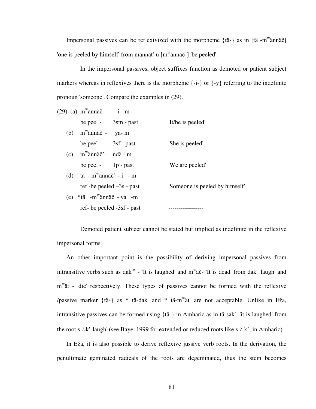Impersonal passives can be reflexivized with the morpheme  $\{\text{tä-}\}\$ as in  $\text{tä -m}^{\text{w}}\text{ännäč}$ 'one is peeled by himself' from männät'-u [m<sup>w</sup>ännäč-] 'be peeled'.

 In the impersonal passives, object suffixes function as demoted or patient subject markers whereas in reflexives there is the morpheme {-i-} or {-y} referring to the indefinite pronoun 'someone'. Compare the examples in (29).

| $(29)$ (a) m <sup>w</sup> ännäč' - i - m          |                              |
|---------------------------------------------------|------------------------------|
| be peel - 3sm - past                              | 'It/he is peeled'            |
| (b) $m^{\prime\prime}$ ännäč' - ya-m              |                              |
| be peel - 3sf - past                              | 'She is peeled'              |
| $(c)$ m <sup>w</sup> ännäč <sup>3</sup> - ndä - m |                              |
| be peel - $1p$ - past                             | 'We are peeled'              |
| (d) tä - $m^{\text{w}}$ ännäč' - i - m            |                              |
| ref -be peeled $-3s$ - past                       | Someone is peeled by himself |
| (e) $*$ tä -m <sup>w</sup> ännäč' - ya -m         |                              |
| ref-be peeled -3sf - past                         |                              |

 Demoted patient subject cannot be stated but implied as indefinite in the reflexive impersonal forms.

 An other important point is the possibility of deriving impersonal passives from intransitive verbs such as dak<sup>'w</sup> - 'It is laughed' and  $m^w$   $\ddot{a}$  completed' from dak' 'laugh' and m<sup>w</sup>ät - 'die' respectively. These types of passives cannot be formed with the reflexive /passive marker {tä-} as  $*$  tä-dak' and  $*$  tä-m<sup>w</sup>ät' are not acceptable. Unlike in Eža, intransitive passives can be formed using {tä-} in Amharic as in tä-sak'- 'it is laughed' from the root s-7-k' 'laugh' (see Baye, 1999 for extended or reduced roots like s-7-k', in Amharic).

 In Eža, it is also possible to derive reflexive jussive verb roots. In the derivation, the penultimate geminated radicals of the roots are degeminated, thus the stem becomes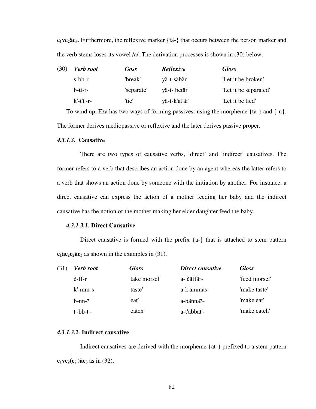**c1vc2äc3**. Furthermore, the reflexive marker {tä-} that occurs between the person marker and the verb stems loses its vowel /ä/. The derivation processes is shown in (30) below:

| (30) | <b>Verb</b> root | <b>Goss</b> | <b>Reflexive</b> | <b>Gloss</b>          |
|------|------------------|-------------|------------------|-----------------------|
|      | $s$ -bb-r        | 'break'     | yä-t-säbär       | 'Let it be broken'    |
|      | $b$ -tt-r-       | 'separate'  | yä-t- betär      | "Let it be separated" |
|      | $k'-t't'-r-$     | 'tie'       | yä-t-k'at'är'    | "Let it be tied"      |

 To wind up, Eža has two ways of forming passives: using the morpheme {tä-} and {-u}. The former derives mediopassive or reflexive and the later derives passive proper.

#### *4.3.1.3.* **Causative**

 There are two types of causative verbs, 'direct' and 'indirect' causatives. The former refers to a verb that describes an action done by an agent whereas the latter refers to a verb that shows an action done by someone with the initiation by another. For instance, a direct causative can express the action of a mother feeding her baby and the indirect causative has the notion of the mother making her elder daughter feed the baby.

#### *4.3.1.3.1.* **Direct Causative**

Direct causative is formed with the prefix  ${a-}$  that is attached to stem pattern  $c_1$ **äc**<sub>2</sub> $c_2$ **äc**<sub>3</sub> as shown in the examples in (31).

| (31 | <b>Verb</b> root       | <b>Gloss</b>  | Direct causative | <b>Gloss</b>  |
|-----|------------------------|---------------|------------------|---------------|
|     | $\check{c}$ -ff-r      | 'take morsel' | a- čäffär-       | 'feed morsel' |
|     | $k'$ -mm-s             | 'taste'       | a-k'ämmäs-       | 'make taste'  |
|     | $h$ -nn- $\frac{2}{3}$ | 'eat'         | a-bännä?-        | 'make eat'    |
|     | $t'-bb-t'-$            | 'catch'       | a-t'äbbät'-      | 'make catch'  |

# *4.3.1.3.2.* **Indirect causative**

 Indirect causatives are derived with the morpheme {at-} prefixed to a stem pattern  $c_1$ **vc**<sub>2</sub> $(c_2)$ **äc**<sub>3</sub> as in (32).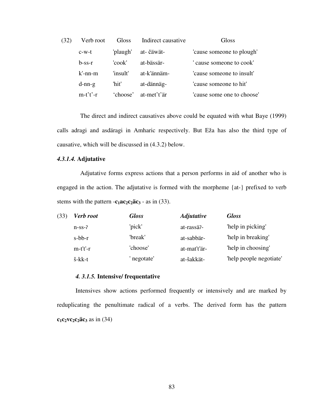| (32) | Verb root  | Gloss    | Indirect causative | Gloss                      |
|------|------------|----------|--------------------|----------------------------|
|      | $c-w-t$    | 'plaugh' | at- čäwät-         | 'cause someone to plough'  |
|      | $b$ -ss-r  | 'cook'   | at-bässär-         | cause someone to cook'     |
|      | $k'$ -nn-m | 'insult' | at-k'ännäm-        | 'cause someone to insult'  |
|      | $d-nn-g$   | 'hit'    | at-dännäg-         | 'cause someone to hit'     |
|      | $m-t't'-r$ | 'choose' | at-met't'är        | 'cause some one to choose' |

 The direct and indirect causatives above could be equated with what Baye (1999) calls adragi and asdäragi in Amharic respectively. But Eža has also the third type of causative, which will be discussed in (4.3.2) below.

# *4.3.1.4.* **Adjutative**

 Adjutative forms express actions that a person performs in aid of another who is engaged in the action. The adjutative is formed with the morpheme {at-} prefixed to verb stems with the pattern  $-\mathbf{c}_1 \mathbf{a} \mathbf{c}_2 \mathbf{c}_2 \mathbf{a} \mathbf{c}_3 - \mathbf{a} \sin(33)$ .

| (33) | Verb root               | <b>Gloss</b> | <b>Adjutative</b> | <b>Gloss</b>            |
|------|-------------------------|--------------|-------------------|-------------------------|
|      | $n$ -ss- $\overline{c}$ | 'pick'       | at-rassä?-        | 'help in picking'       |
|      | $s$ -bb- $r$            | 'break'      | at-sabbär-        | "help in breaking"      |
|      | $m-t't'-r$              | 'choose'     | at-mat't'är-      | 'help in choosing'      |
|      | š-kk-t                  | negotate'    | at-šakkät-        | 'help people negotiate' |

#### *4. 3.1.5.* **Intensive/ frequentative**

 Intensives show actions performed frequently or intensively and are marked by reduplicating the penultimate radical of a verbs. The derived form has the pattern  $c_1c_2vc_2c_2\ddot{a}c_3$  as in (34)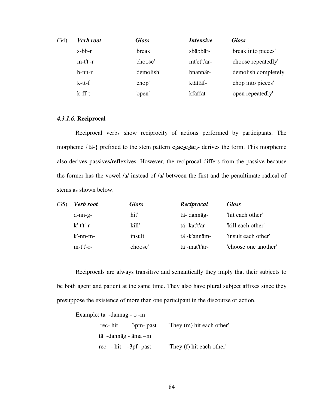| (34) | <b>Verb</b> root | <b>Gloss</b> | <i>Intensive</i> | <b>Gloss</b>          |
|------|------------------|--------------|------------------|-----------------------|
|      | $s$ -bb- $r$     | 'break'      | sbäbbär-         | 'break into pieces'   |
|      | $m-t't'-r$       | 'choose'     | mt'et't'är-      | 'choose repeatedly'   |
|      | $b-nn-r$         | 'demolish'   | bnannär-         | 'demolish completely' |
|      | $k-t-t$          | 'chop'       | ktättäf-         | 'chop into pieces'    |
|      | $k$ -ff-t        | 'open'       | kfäffät-         | 'open repeatedly'     |

#### *4.3.1.6.* **Reciprocal**

 Reciprocal verbs show reciprocity of actions performed by participants. The morpheme {tä-} prefixed to the stem pattern **c1ac2c2äc3-** derives the form. This morpheme also derives passives/reflexives. However, the reciprocal differs from the passive because the former has the vowel /a/ instead of /ä/ between the first and the penultimate radical of stems as shown below.

| (35) | <b>Verb</b> root | <b>Gloss</b> | Reciprocal    | <b>Gloss</b>         |
|------|------------------|--------------|---------------|----------------------|
|      | $d-nn-g-$        | 'hit'        | tä-dannäg-    | 'hit each other'     |
|      | $k'-t't'-r-$     | 'kill'       | tä-kat't'är-  | "kill each other"    |
|      | $k'$ -nn-m-      | 'insult'     | tä -k'annäm-  | 'insult each other'  |
|      | $m-t't'-r-$      | 'choose'     | tä -mat't'är- | 'choose one another' |

Reciprocals are always transitive and semantically they imply that their subjects to be both agent and patient at the same time. They also have plural subject affixes since they presuppose the existence of more than one participant in the discourse or action.

 Example: tä -dannäg - o -m rec- hit 3pm- past 'They (m) hit each other' tä -dannäg - äma –m rec - hit -3pf- past 'They (f) hit each other'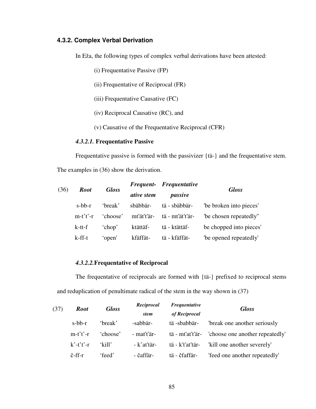# **4.3.2. Complex Verbal Derivation**

In Eža, the following types of complex verbal derivations have been attested:

- (i) Frequentative Passive (FP)
- (ii) Frequentative of Reciprocal (FR)
- (iii) Frequentative Causative (FC)
- (iv) Reciprocal Causative (RC), and
- (v) Causative of the Frequentative Reciprocal (CFR)

#### *4.3.2.1.* **Frequentative Passive**

Frequentative passive is formed with the passivizer {tä-} and the frequentative stem.

The examples in (36) show the derivation.

| (36) | <b>Root</b> | <b>Gloss</b> |                   | Frequent- Frequentative | <b>Gloss</b>            |
|------|-------------|--------------|-------------------|-------------------------|-------------------------|
|      |             |              | <i>ative</i> stem | passive                 |                         |
|      | $s$ -bb-r   | 'break'      | sbäbbär-          | tä - sbäbbär-           | "be broken into pieces" |
|      | $m-t't'-r$  | 'choose'     | mt'ät't'är-       | tä - mt'ät't'är-        | 'be chosen repeatedly"  |
|      | k-tt-f      | 'chop'       | ktättäf-          | tä - ktättäf-           | be chopped into pieces' |
|      | $k$ -ff-t   | 'open'       | kfäffät-          | tä - kfäffät-           | "be opened repeatedly"  |

## *4.3.2.2.***Frequentative of Reciprocal**

 The frequentative of reciprocals are formed with {tä-} prefixed to reciprocal stems and reduplication of penultimate radical of the stem in the way shown in (37)

| (37) | <b>Root</b>       | <b>Gloss</b> | Reciprocal            | Frequentative    | <b>Gloss</b>                    |  |
|------|-------------------|--------------|-----------------------|------------------|---------------------------------|--|
|      |                   |              | of Reciprocal<br>stem |                  |                                 |  |
|      | $s$ -bb-r         | 'break'      | -sabbär-              | tä -sbabbär-     | break one another seriously     |  |
|      | $m-t't'-r$        | 'choose'     | - mat't'är-           | tä - mt'at't'är- | 'choose one another repeatedly' |  |
|      | $k'-t't'-r$       | 'kill'       | - k'at'tär-           | tä - k't'at'tär- | "kill one another severely"     |  |
|      | $\check{c}$ -ff-r | 'feed'       | - čaffär-             | tä - čfaffär-    | 'feed one another repeatedly'   |  |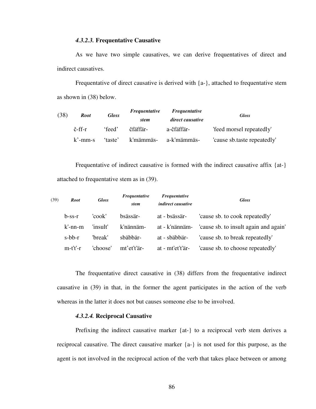#### *4.3.2.3.* **Frequentative Causative**

 As we have two simple causatives, we can derive frequentatives of direct and indirect causatives.

 Frequentative of direct causative is derived with {a-}, attached to frequentative stem as shown in (38) below.

| (38) | <b>Root</b> | <b>Gloss</b> | <i>Frequentative</i> | <i>Frequentative</i> | <b>Gloss</b>                |
|------|-------------|--------------|----------------------|----------------------|-----------------------------|
|      |             |              | stem                 | direct causative     |                             |
|      | č-ff-r      | 'feed'       | čfäffär-             | a-čfäffär-           | 'feed morsel repeatedly'    |
|      | $k'$ -mm-s  | 'taste'      | k'mämmäs-            | -a-k'mämmäs          | 'cause sb.taste repeatedly' |

Frequentative of indirect causative is formed with the indirect causative affix {at-} attached to frequentative stem as in (39).

| (39) | <b>Root</b>  | <b>Gloss</b> | Frequentative<br>stem | Frequentative<br><i>indirect causative</i> | <b>Gloss</b>                          |
|------|--------------|--------------|-----------------------|--------------------------------------------|---------------------------------------|
|      | $b$ -ss- $r$ | 'cook'       | bsässär-              | at - bsässär-                              | 'cause sb. to cook repeatedly'        |
|      | $k'$ -nn-m   | 'insult'     | k'nännäm-             | at - k'nännäm-                             | 'cause sb. to insult again and again' |
|      | $s$ -bb- $r$ | 'break'      | sbäbbär-              | at - sbäbbär-                              | 'cause sb. to break repeatedly'       |
|      | $m-t't'-r$   | 'choose'     | mt'et't'är-           | at - mt'et't'är-                           | 'cause sb. to choose repeatedly'      |

The frequentative direct causative in (38) differs from the frequentative indirect causative in (39) in that, in the former the agent participates in the action of the verb whereas in the latter it does not but causes someone else to be involved.

#### *4.3.2.4.* **Reciprocal Causative**

 Prefixing the indirect causative marker {at-} to a reciprocal verb stem derives a reciprocal causative. The direct causative marker {a-} is not used for this purpose, as the agent is not involved in the reciprocal action of the verb that takes place between or among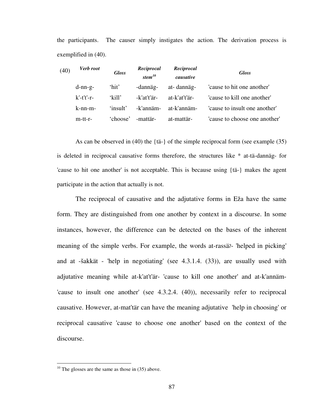the participants. The causer simply instigates the action. The derivation process is exemplified in (40).

| (40) | Verb root    | <b>Gloss</b> | Reciprocal<br>stem $^{10}$ | Reciprocal<br>causative | <b>Gloss</b>                  |
|------|--------------|--------------|----------------------------|-------------------------|-------------------------------|
|      | $d-nn-g-$    | 'hit'        | -dannäg-                   | at-dannäg-              | 'cause to hit one another'    |
|      | $k'-t't'-r-$ | 'kill'       | -k'at't'är-                | at-k'at't'är-           | 'cause to kill one another'   |
|      | $k-nn-m-$    | 'insult'     | -k'annäm-                  | at-k'annäm-             | 'cause to insult one another' |
|      | $m$ -tt-r-   | 'choose'     | -mattär-                   | at-mattär-              | 'cause to choose one another' |

As can be observed in (40) the {tä-} of the simple reciprocal form (see example (35) is deleted in reciprocal causative forms therefore, the structures like \* at-tä-dannäg- for 'cause to hit one another' is not acceptable. This is because using {tä-} makes the agent participate in the action that actually is not.

The reciprocal of causative and the adjutative forms in Eža have the same form. They are distinguished from one another by context in a discourse. In some instances, however, the difference can be detected on the bases of the inherent meaning of the simple verbs. For example, the words at-rassä $\alpha$ - 'helped in picking' and at -šakkät - 'help in negotiating' (see 4.3.1.4. (33)), are usually used with adjutative meaning while at-k'at't'är- 'cause to kill one another' and at-k'annäm- 'cause to insult one another' (see 4.3.2.4. (40)), necessarily refer to reciprocal causative. However, at-mat'tär can have the meaning adjutative 'help in choosing' or reciprocal causative 'cause to choose one another' based on the context of the discourse.

 $\overline{a}$ 

 $10$  The glosses are the same as those in (35) above.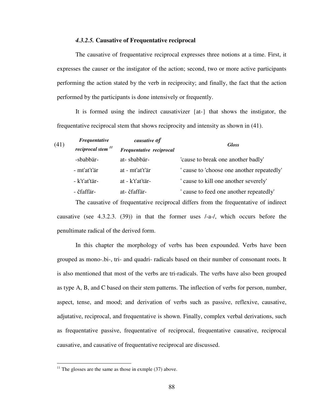#### *4.3.2.5.* **Causative of Frequentative reciprocal**

 The causative of frequentative reciprocal expresses three notions at a time. First, it expresses the causer or the instigator of the action; second, two or more active participants performing the action stated by the verb in reciprocity; and finally, the fact that the action performed by the participants is done intensively or frequently.

 It is formed using the indirect causativizer {at-} that shows the instigator, the frequentative reciprocal stem that shows reciprocity and intensity as shown in (41).

| Frequentative           | causative of             | <b>Gloss</b>                             |  |
|-------------------------|--------------------------|------------------------------------------|--|
| reciprocal stem $^{11}$ | Frequentative reciprocal |                                          |  |
| -sbabbär-               | at-sbabbär-              | 'cause to break one another badly'       |  |
| - mt'at't'är            | at - mt'at't'är          | cause to 'choose one another repeatedly' |  |
| - k't'at'tär-           | at - k't'at'tär-         | cause to kill one another severely'      |  |
| - čfaffär-              | at- čfaffär-             | cause to feed one another repeatedly'    |  |
|                         |                          |                                          |  |

 The causative of frequentative reciprocal differs from the frequentative of indirect causative (see 4.3.2.3. (39)) in that the former uses /-a-/, which occurs before the penultimate radical of the derived form.

 In this chapter the morphology of verbs has been expounded. Verbs have been grouped as mono-.bi-, tri- and quadri- radicals based on their number of consonant roots. It is also mentioned that most of the verbs are tri-radicals. The verbs have also been grouped as type A, B, and C based on their stem patterns. The inflection of verbs for person, number, aspect, tense, and mood; and derivation of verbs such as passive, reflexive, causative, adjutative, reciprocal, and frequentative is shown. Finally, complex verbal derivations, such as frequentative passive, frequentative of reciprocal, frequentative causative, reciprocal causative, and causative of frequentative reciprocal are discussed.

 $\overline{a}$ 

 $11$  The glosses are the same as those in exmple (37) above.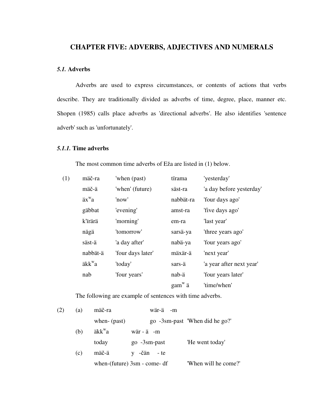# **CHAPTER FIVE: ADVERBS, ADJECTIVES AND NUMERALS**

# *5.1.* **Adverbs**

 Adverbs are used to express circumstances, or contents of actions that verbs describe. They are traditionally divided as adverbs of time, degree, place, manner etc. Shopen (1985) calls place adverbs as 'directional adverbs'. He also identifies 'sentence adverb' such as 'unfortunately'.

# *5.1.1.* **Time adverbs**

The most common time adverbs of Eža are listed in (1) below.

| (1) | mäč-ra             | 'when (past)      | tïrama    | 'yesterday'              |
|-----|--------------------|-------------------|-----------|--------------------------|
|     | mäč-ä              | 'when' (future)   | säst-ra   | 'a day before yesterday' |
|     | $ax^{\mathbf{w}}a$ | 'now'             | nabbät-ra | 'four days ago'          |
|     | gäbbat             | 'evening'         | amst-ra   | 'five days ago'          |
|     | k'irärä            | 'morning'         | em-ra     | 'last year'              |
|     | nägä               | 'tomorrow'        | sarsä-ya  | 'three years ago'        |
|     | säst-ä             | 'a day after'     | nabä-ya   | 'four years ago'         |
|     | nabbät-ä           | 'four days later' | mäxär-ä   | 'next year'              |
|     | äkk <sup>w</sup> a | 'today'           | sars-ä    | 'a year after next year' |
|     | nab                | 'four years'      | nab-ä     | 'four years later'       |
|     |                    |                   | $gam^w$ ä | 'time/when'              |
|     |                    |                   |           |                          |

The following are example of sentences with time adverbs.

| (2) | (a) | mäč-ra             | wär-ä -m                       |                                |
|-----|-----|--------------------|--------------------------------|--------------------------------|
|     |     | when-(past)        |                                | go -3sm-past 'When did he go?' |
|     | (b) | äkk <sup>w</sup> a | $w\ddot{a}r - \ddot{a}$ -m     |                                |
|     |     | today              | $go -3sm-past$                 | 'He went today'                |
|     | (c) | mäč-ä              | v -čän - te                    |                                |
|     |     |                    | when- $(future)$ 3sm - come-df | "When will he come?"           |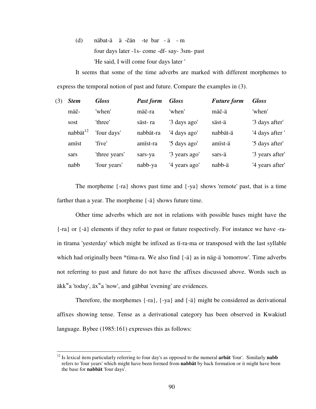(d) näbat-ä ä -čän -te bar - ä - m four days later -1s- come -df- say- 3sm- past 'He said, I will come four days later '

It seems that some of the time adverbs are marked with different morphemes to express the temporal notion of past and future. Compare the examples in (3).

| (3) | <b>Stem</b>          | <b>Gloss</b>  | <b>Past form</b> | <b>Gloss</b>  | <b>Future form</b> | <b>Gloss</b>    |
|-----|----------------------|---------------|------------------|---------------|--------------------|-----------------|
|     | mäč-                 | 'when'        | mäč-ra           | 'when'        | mäč-ä              | 'when'          |
|     | sost                 | 'three'       | säst-ra          | '3 days ago'  | säst-ä             | '3 days after'  |
|     | nabbät <sup>12</sup> | 'four days'   | nabbät-ra        | '4 days ago'  | nabbät-ä           | '4 days after ' |
|     | amist                | 'five'        | amist-ra         | '5 days ago'  | amist-ä            | '5 days after'  |
|     | sars                 | 'three years' | sars-ya          | '3 years ago' | sars-ä             | '3 years after' |
|     | nabb                 | 'four years'  | nabb-ya          | '4 years ago' | nabb-ä             | '4 years after' |

The morpheme {-ra} shows past time and {-ya} shows 'remote' past, that is a time farther than a year. The morpheme {-ä} shows future time.

 Other time adverbs which are not in relations with possible bases might have the {-ra} or {-ä} elements if they refer to past or future respectively. For instance we have -rain tïrama 'yesterday' which might be infixed as tï-ra-ma or transposed with the last syllable which had originally been \*tima-ra. We also find  $\{-\ddot{a}\}\$ as in näg-ä 'tomorrow'. Time adverbs not referring to past and future do not have the affixes discussed above. Words such as äkk<sup>w</sup>a 'today', äx<sup>w</sup>a 'now', and gäbbat 'evening' are evidences.

 Therefore, the morphemes {-ra}, {-ya} and {-ä} might be considered as derivational affixes showing tense. Tense as a derivational category has been observed in Kwakiutl language. Bybee (1985:161) expresses this as follows:

 $\overline{a}$ 

<sup>12</sup> Is lexical item particularly referring to four day's as opposed to the numeral **arbät** 'four'. Similarly **nabb** refers to 'four years' which might have been formed from **nabbät** by back formation or it might have been the base for **nabbät** 'four days'.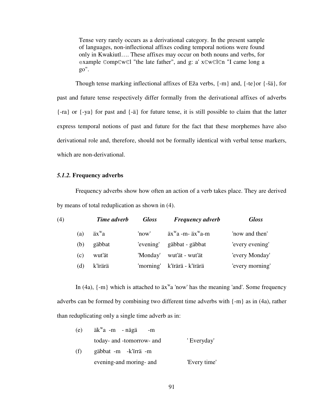Tense very rarely occurs as a derivational category. In the present sample of languages, non-inflectional affixes coding temporal notions were found only in Kwakiutl…. These affixes may occur on both nouns and verbs, for example ЄompЄwЄl "the late father", and g: a' xЄwЄlЄn "I came long a go".

Though tense marking inflectional affixes of Eža verbs, {-m} and, {-te}or {-šä}, for past and future tense respectively differ formally from the derivational affixes of adverbs {-ra} or {-ya} for past and {-ä} for future tense, it is still possible to claim that the latter express temporal notions of past and future for the fact that these morphemes have also derivational role and, therefore, should not be formally identical with verbal tense markers, which are non-derivational.

#### *5.1.2.* **Frequency adverbs**

 Frequency adverbs show how often an action of a verb takes place. They are derived by means of total reduplication as shown in (4).

| (4) |     | Time adverb        | <b>Gloss</b> | <b>Frequency adverb</b>                      | <b>Gloss</b>    |
|-----|-----|--------------------|--------------|----------------------------------------------|-----------------|
|     | (a) | $ax^{\mathbf{w}}a$ | 'now'        | $ax^{\mathbf{w}}a$ -m- $ax^{\mathbf{w}}a$ -m | 'now and then'  |
|     | (b) | gäbbat             | 'evening'    | gäbbat - gäbbat                              | 'every evening' |
|     | (c) | wut'ät             | 'Monday'     | wut'ät - wut'ät                              | 'every Monday'  |
|     | (d) | k'irärä            |              | 'morning' k'ïrärä - k'ïrärä                  | 'every morning' |

In (4a),  $\{-m\}$  which is attached to  $\ddot{a}x^{\text{w}}a$  'now' has the meaning 'and'. Some frequency adverbs can be formed by combining two different time adverbs with {-m} as in (4a), rather than reduplicating only a single time adverb as in:

| (e) | $ak^{\omega}a$ -m - nägä<br>-m |              |
|-----|--------------------------------|--------------|
|     | today- and -tomorrow- and      | ' Everyday'  |
| (f) | gäbbat -m -k'irrä -m           |              |
|     | evening-and moring- and        | 'Every time' |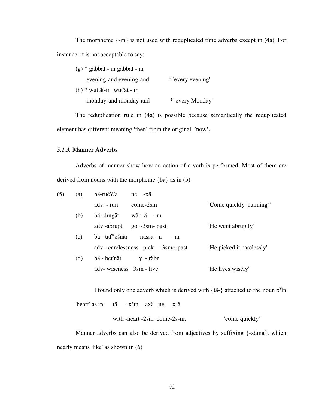The morpheme {-m} is not used with reduplicated time adverbs except in (4a). For instance, it is not acceptable to say:

| $(g)$ * gäbbät - m gäbbat - m |                   |
|-------------------------------|-------------------|
| evening-and evening-and       | * 'every evening' |
| $(h)$ * wut'ät-m wut'ät - m   |                   |
| monday-and monday-and         | * 'every Monday'  |

 The reduplication rule in (4a) is possible because semantically the reduplicated element has different meaning **'**then**'** from the original **'**now**'.** 

### *5.1.3.* **Manner Adverbs**

Adverbs of manner show how an action of a verb is performed. Most of them are derived from nouns with the morpheme {bä} as in (5)

| (5) | (a) | bä-ruč'č'a<br>$ne$ $-x\ddot{a}$                            |                           |
|-----|-----|------------------------------------------------------------|---------------------------|
|     |     | adv. - run<br>$come-2sm$                                   | 'Come quickly (running)'  |
|     | (b) | bä- dingät<br>wär-ä-m                                      |                           |
|     |     | adv -abrupt<br>$go -3sm - past$                            | 'He went abruptly'        |
|     | (c) | $b\ddot{a}$ - taf <sup>w</sup> ešnär<br>nässa - n<br>$-$ m |                           |
|     |     | adv - carelessness pick -3smo-past                         | 'He picked it carelessly' |
|     | (d) | bä - bet'nät<br>y - räbr                                   |                           |
|     |     | adv-wiseness 3sm - live                                    | 'He lives wisely'         |

I found only one adverb which is derived with  $\{\text{t\ddot{a}}\}$  attached to the noun  $x^y$  in

```
'heart' as in: tä - x^yïn - axä ne -x-ä
```
with -heart -2sm come-2s-m,  $\blacksquare$ 'come quickly'

 Manner adverbs can also be derived from adjectives by suffixing {-xäma}, which nearly means 'like' as shown in (6)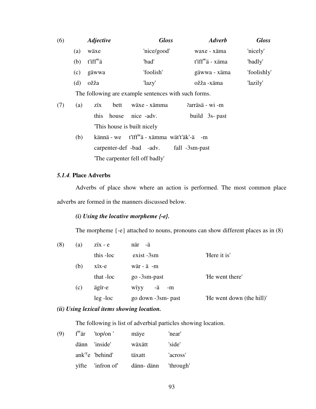| (6) |     | <i><b>Adjective</b></i> | <b>Gloss</b> | <b>Adverb</b>               | <b>Gloss</b> |
|-----|-----|-------------------------|--------------|-----------------------------|--------------|
|     | (a) | wäxe                    | 'nice/good'  | waxe - xäma                 | 'nicely'     |
|     | (b) | $t$ 'iff $\ddot{r}$ a   | 'bad'        | t'iff <sup>w</sup> ä - xäma | 'badly'      |
|     | (c) | gäwwa                   | 'foolish'    | gäwwa - xäma                | 'foolishly'  |
|     | (d) | ožža                    | 'lazy'       | ožža -xäma                  | 'lazily'     |

The following are example sentences with such forms.

| (7) | (a) | zix bett wäxe - xämma                                  | ?arräsä - wi -m   |
|-----|-----|--------------------------------------------------------|-------------------|
|     |     | this house nice -adv.                                  | build $3s$ - past |
|     |     | This house is built nicely                             |                   |
|     | (h) | kännä - we t'iff <sup>w</sup> ä - xämma wät't'äk'-ä -m |                   |
|     |     |                                                        |                   |

 carpenter-def -bad -adv. fall -3sm-past 'The carpenter fell off badly'

## *5.1.4.* **Place Adverbs**

 Adverbs of place show where an action is performed. The most common place adverbs are formed in the manners discussed below.

# *(i) Using the locative morpheme {-e}.*

The morpheme {-e} attached to nouns, pronouns can show different places as in (8)

| (8) | (a) | $\overline{z}$ ix - e | när -ä                      |                           |
|-----|-----|-----------------------|-----------------------------|---------------------------|
|     |     | this -loc             | exist -3sm                  | 'Here it is'              |
|     | (b) | xix-e                 | $w\ddot{a}r - \ddot{a} - m$ |                           |
|     |     | that -loc             | go -3sm-past                | 'He went there'           |
|     | (c) | ägir-e                | -ä<br>wïyy<br>-m            |                           |
|     |     | $leg$ -loc            | go down -3sm- past          | 'He went down (the hill)' |
|     |     |                       |                             |                           |

#### *(ii) Using lexical items showing location.*

The following is list of adverbial particles showing location.

| (9) | $f^{\text{w}}\ddot{a}r$ 'top/on' | mäye       | 'near'    |
|-----|----------------------------------|------------|-----------|
|     | dänn 'inside'                    | wäxätt     | 'side'    |
|     | ank <sup>'y</sup> e 'behind'     | täxatt     | 'across'  |
|     | yifte 'infron of'                | dänn- dänn | 'through' |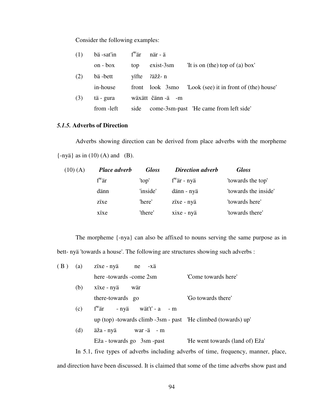Consider the following examples:

| (1) | $b\ddot{a}$ -sat'in $f^{\text{w}}\ddot{a}r$ |       | när - ä          |                                                         |
|-----|---------------------------------------------|-------|------------------|---------------------------------------------------------|
|     | $\alpha - \beta$                            | top   | $exist-3sm$      | 'It is on (the) top of (a) box'                         |
| (2) | bä-bett                                     | vifte | ?äžž- n          |                                                         |
|     | in-house                                    |       |                  | front look 3smo 'Look (see) it in front of (the) house' |
| (3) | tä - gura                                   |       | wäxätt čänn-ä -m |                                                         |
|     | from -left                                  | side  |                  | come-3sm-past 'He came from left side'                  |

# *5.1.5.* **Adverbs of Direction**

 Adverbs showing direction can be derived from place adverbs with the morpheme  $\{-ny\ddot{a}\}\text{ as in (10) (A) and (B).}$ 

| $(10)$ (A) | Place adverb   | <b>Gloss</b> | <b>Direction adverb</b> | <b>Gloss</b>         |
|------------|----------------|--------------|-------------------------|----------------------|
|            | $f^{\rm w}$ är | 'top'        | $f^{\rm w}$ är - nyä    | 'towards the top'    |
|            | dänn           | 'inside'     | dänn - nyä              | 'towards the inside' |
|            | zixe           | 'here'       | zïxe - nyä              | 'towards here'       |
|            | xixe           | 'there'      | xixe - nyä              | 'towards there'      |

The morpheme {-nya} can also be affixed to nouns serving the same purpose as in bett- nyä 'towards a house'. The following are structures showing such adverbs :

| (B) | (a) | zïxe - nyä ne -xä                                             |                                                                                    |
|-----|-----|---------------------------------------------------------------|------------------------------------------------------------------------------------|
|     |     | here -towards -come 2sm                                       | 'Come towards here'                                                                |
|     | (b) | xïxe - nyä<br>wär                                             |                                                                                    |
|     |     | there-towards go                                              | 'Go towards there'                                                                 |
|     | (c) | $f^{w}$ är - nyä wät't' - a - m                               |                                                                                    |
|     |     | up (top) -towards climb -3sm - past 'He climbed (towards) up' |                                                                                    |
|     | (d) |                                                               |                                                                                    |
|     |     | Eža - towards go 3sm - past                                   | 'He went towards (land of) Eža'                                                    |
|     |     |                                                               | In 5.1, five types of adverbs including adverbs of time, frequency, manner, place, |
|     |     |                                                               |                                                                                    |

and direction have been discussed. It is claimed that some of the time adverbs show past and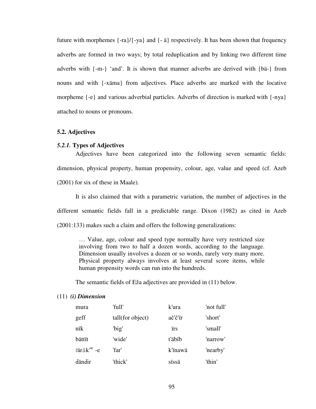future with morphemes  $\{-ra\}/\{-ya\}$  and  $\{-\ddot{a}\}$  respectively. It has been shown that frequency adverbs are formed in two ways; by total reduplication and by linking two different time adverbs with {-m-} 'and'. It is shown that manner adverbs are derived with {bä-} from nouns and with {-xäma} from adjectives. Place adverbs are marked with the locative morpheme  $\{-e\}$  and various adverbial particles. Adverbs of direction is marked with  $\{-nya\}$ attached to nouns or pronouns.

#### **5.2. Adjectives**

#### *5.2.1.* **Types of Adjectives**

 Adjectives have been categorized into the following seven semantic fields: dimension, physical property, human propensity, colour, age, value and speed (cf. Azeb (2001) for six of these in Maale).

 It is also claimed that with a parametric variation, the number of adjectives in the different semantic fields fall in a predictable range. Dixon (1982) as cited in Azeb (2001:133) makes such a claim and offers the following generalizations:

… Value, age, colour and speed type normally have very restricted size involving from two to half a dozen words, according to the language. Dimension usually involves a dozen or so words, rarely very many more. Physical property always involves at least several score items, while human propensity words can run into the hundreds.

The semantic fields of Eža adjectives are provided in (11) below.

#### (11) *(i) Dimension*

| mura                      | 'full'           | k'ura      | 'not full' |
|---------------------------|------------------|------------|------------|
| geff                      | tall(for object) | ač'č'ïr    | 'short'    |
| nïk                       | 'big'            | <i>irs</i> | 'small'    |
| bättït                    | 'wide'           | t'äbïb     | 'narrow'   |
| $7$ äräk' <sup>w</sup> -e | 'far'            | k'inawä    | 'nearby'   |
| dändir                    | 'thick'          | sissä      | 'thin'     |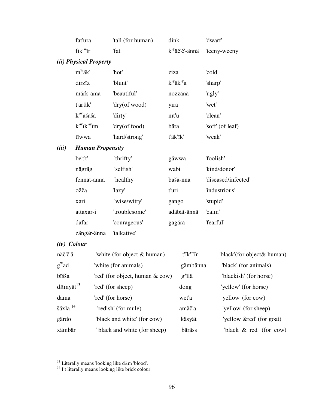|       | fat'ura                                                 | 'tall (for human) | dink                                     | 'dwarf'             |
|-------|---------------------------------------------------------|-------------------|------------------------------------------|---------------------|
|       | fik' <sup>w</sup> ir                                    | 'fat'             | k <sup>'y</sup> äč'č'-ännä               | 'teeny-weeny'       |
|       | (ii) Physical Property                                  |                   |                                          |                     |
|       | $m^{\rm w}$ äk'                                         | 'hot'             | ziza                                     | 'cold'              |
|       | dirziz                                                  | 'blunt'           | $k^{\prime}$ ä $k^{\prime}{}^{\prime}$ a | 'sharp'             |
|       | märk-ama                                                | 'beautiful'       | nozzänä                                  | 'ugly'              |
|       | t'äräk'                                                 | 'dry(of wood)     | yira                                     | 'wet'               |
|       | k' <sup>w</sup> äšaša                                   | 'dirty'           | nït'u                                    | 'clean'             |
|       | $k^{\prime\prime\prime}$ ik' $^{\prime\prime\prime}$ im | 'dry(of food)     | bära                                     | 'soft' (of leaf)    |
|       | tïwwa                                                   | 'hard/strong'     | t'äk'ïk'                                 | 'weak'              |
| (iii) | <b>Human Propensity</b>                                 |                   |                                          |                     |
|       | be't't'                                                 | 'thrifty'         | gäwwa                                    | 'foolish'           |
|       | nägräg                                                  | 'selfish'         | wabi                                     | 'kind/donor'        |
|       | fennät-ännä                                             | 'healthy'         | bašä-nnä                                 | 'diseased/infected' |
|       | ožža                                                    | 'lazy'            | t'uri                                    | 'industrious'       |
|       | xari                                                    | 'wise/witty'      | gango                                    | 'stupid'            |
|       | attaxar-i                                               | 'troublesome'     | adäbät-ännä                              | 'calm'              |
|       | dafar                                                   | 'courageous'      | gagära                                   | 'fearful'           |
|       | zängär-änna                                             | 'talkative'       |                                          |                     |
|       | (iv) Colour                                             |                   |                                          |                     |

| näč'č'ä                               | 'white (for object & human)     | $t''ik'''$ ir | 'black'(for object& human) |
|---------------------------------------|---------------------------------|---------------|----------------------------|
| $g^{\rm w}$ ad                        | 'white (for animals)            | gämbänna      | 'black' (for animals)      |
| bišša                                 | 'red' (for object, human & cow) | $g^{y}$ ilä   | 'blackish' (for horse)     |
| $d$ ämyät $^{13}$                     | 'red' (for sheep)               | dong          | 'yellow' (for horse)       |
| dama                                  | 'red' (for horse)               | wet'a         | 'yellow' (for cow)         |
| $\check{\text{s}}$ äxla <sup>14</sup> | 'redish' (for mule)             | amäč'a        | 'yellow' (for sheep)       |
| gärdo                                 | 'black and white' (for cow)     | käsyät        | 'yellow &red' (for goat)   |
| xämbär                                | black and white (for sheep)     | bäräss        | "black $\&$ red" (for cow) |

 $\overline{a}$ 

<sup>&</sup>lt;sup>13</sup> Literally means 'looking like däm 'blood'.

<sup>&</sup>lt;sup>14</sup> I t literally means looking like brick colour.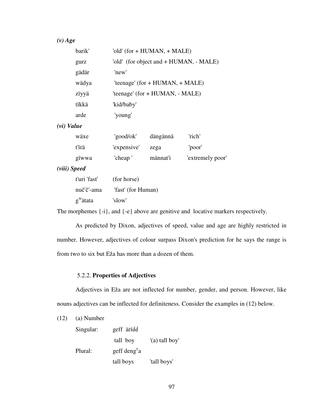# *(v) Age*

| barik'     | 'old' $(for + HUMAN, + MALE)$          |
|------------|----------------------------------------|
| gurz       | 'old' (for object and + HUMAN, - MALE) |
| gädär      | 'new'                                  |
| wädya      | 'teenage' (for $+$ HUMAN, $+$ MALE)    |
| ziyyä      | 'teenage' (for + HUMAN, - MALE)        |
| tïkkä      | 'kid/baby'                             |
| arde       | 'young'                                |
| (vi) Value |                                        |

| wäxe  | 'good/ok'        | dängännä | 'rich'           |
|-------|------------------|----------|------------------|
| t'irä | 'expensive' zega |          | 'poor'           |
| gïwwa | 'cheap'          | männat'i | 'extremely poor' |

# *(viii) Speed*

| t'uri 'fast'         | (for horse)        |
|----------------------|--------------------|
| nuč'č'-ama           | 'fast' (for Human) |
| g <sup>w</sup> ätata | 'slow'             |

The morphemes {-i}, and {-e} above are genitive and locative markers respectively.

 As predicted by Dixon, adjectives of speed, value and age are highly restricted in number. However, adjectives of colour surpass Dixon's prediction for he says the range is from two to six but Eža has more than a dozen of them.

#### 5.2.2. **Properties of Adjectives**

 Adjectives in Eža are not inflected for number, gender, and person. However, like nouns adjectives can be inflected for definiteness. Consider the examples in (12) below.

| (12) | (a) Number |
|------|------------|
|------|------------|

| Singular: | geff äridd               |                |
|-----------|--------------------------|----------------|
|           | tall boy                 | '(a) tall boy' |
| Plural:   | geff deng <sup>y</sup> a |                |
|           | tall boys                | 'tall boys'    |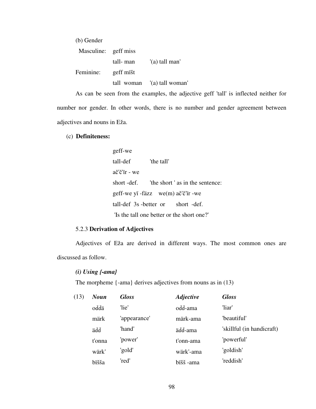| (b) Gender           |           |                             |
|----------------------|-----------|-----------------------------|
| Masculine: geff miss |           |                             |
|                      | tall- man | '(a) tall man'              |
| Feminine:            | geff mišt |                             |
|                      |           | tall woman '(a) tall woman' |

 As can be seen from the examples, the adjective geff 'tall' is inflected neither for number nor gender. In other words, there is no number and gender agreement between adjectives and nouns in Eža.

### (c) **Definiteness:**

geff-we tall-def 'the tall' ač'č'ïr - we short -def. The short ' as in the sentence: geff-we yï -fäzz we(m) ač'č'ïr -we tall-def 3s -better or short -def. 'Is the tall one better or the short one?'

#### 5.2.3 **Derivation of Adjectives**

 Adjectives of Eža are derived in different ways. The most common ones are discussed as follow.

#### *(i) Using {-ama}*

The morpheme {-ama} derives adjectives from nouns as in (13)

| (13) | <b>Noun</b> | <b>Gloss</b> | <b>Adjective</b> | <b>Gloss</b>              |
|------|-------------|--------------|------------------|---------------------------|
|      | oddä        | 'lie'        | odd-ama          | 'liar'                    |
|      | märk        | 'appearance' | märk-ama         | "beautiful"               |
|      | äďď         | 'hand'       | äďď-ama          | 'skillful (in handicraft) |
|      | t'onna      | 'power'      | t'onn-ama        | 'powerful'                |
|      | wärk'       | 'gold'       | wärk'-ama        | 'goldish'                 |
|      | bïšša       | 'red'        | bïšš -ama        | 'reddish'                 |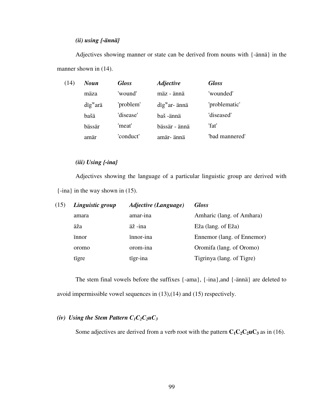## *(ii) using {-ännä}*

 Adjectives showing manner or state can be derived from nouns with {-ännä} in the manner shown in (14).

| (14) | <b>Noun</b>                    | <b>Gloss</b> | <b>Adjective</b>                         | <b>Gloss</b>   |
|------|--------------------------------|--------------|------------------------------------------|----------------|
|      | mäza                           | 'wound'      | mäz - ännä                               | 'wounded'      |
|      | $\text{d}$ ig <sup>w</sup> arä | 'problem'    | $\text{d} \text{ig}^{\text{w}}$ ar- ännä | 'problematic'  |
|      | bašä                           | 'disease'    | baš -ännä                                | 'diseased'     |
|      | bässär                         | 'meat'       | bässär - ännä                            | 'fat'          |
|      | amär                           | 'conduct'    | amär- ännä                               | 'bad mannered' |

## *(iii) Using {-ina}*

 Adjectives showing the language of a particular linguistic group are derived with {-ina} in the way shown in (15).

| (15) | Linguistic group | Adjective (Language) | <b>Gloss</b>               |
|------|------------------|----------------------|----------------------------|
|      | amara            | amar-ina             | Amharic (lang. of Amhara)  |
|      | äža              | äž-ina               | Eža (lang. of Eža)         |
|      | innor            | innor-ina            | Ennemor (lang. of Ennemor) |
|      | oromo            | orom-ina             | Oromifa (lang. of Oromo)   |
|      | tigre            | tigr-ina             | Tigrinya (lang. of Tigre)  |

The stem final vowels before the suffixes {-ama}, {-ina},and {-ännä} are deleted to avoid impermissible vowel sequences in (13),(14) and (15) respectively.

### *(iv)* Using the Stem Pattern  $C_1C_2C_2\mu C_3$

Some adjectives are derived from a verb root with the pattern  $C_1C_2C_2\mathbf{u}C_3$  as in (16).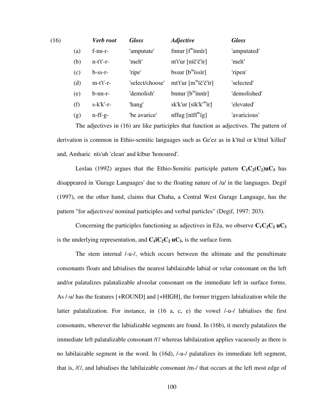| (16) |     | <b>Verb</b> root | <b>Gloss</b>    | <b>Adjective</b>                       | <b>Gloss</b> |
|------|-----|------------------|-----------------|----------------------------------------|--------------|
|      | (a) | $f$ -nn-r-       | 'amputate'      | fnnur $[f^{\text{w}}$ innir]           | 'amputated'  |
|      | (b) | $n-t't'-r-$      | 'melt'          | nt't'ur [nïč'č'ïr]                     | 'melt'       |
|      | (c) | $b$ -ss-r-       | 'ripe'          | $bssur [bw$ issir]                     | 'ripen'      |
|      | (d) | $m-t't'-r-$      | 'select/choose' | $m't'ur [m''i\check{c}'\check{c}'i'r]$ | 'selected'   |
|      | (e) | $b-nn-r-$        | 'demolish'      | bnnur $[b^{\text{w}}$ innir            | 'demolished' |
|      | (f) | $s-k'k'-r-$      | 'hang'          | sk'k'ur [sïk'k' <sup>w</sup> ïr]       | 'elevated'   |
|      | (g) | $n$ -ff-g-       | 'be avarice'    | nffug [niff <sup>w</sup> ig]           | 'avaricious' |

The adjectives in (16) are like participles that function as adjectives. The pattern of derivation is common in Ethio-semitic languages such as Ge'ez as in k'ïtul or k'ïttul 'killed' and, Amharic nïs'uh 'clean' and kïbur 'honoured'.

Leslau (1992) argues that the Ethio-Semitic participle pattern  $C_1C_2(C_2)$ uC<sub>3</sub> has disappeared in 'Gurage Languages' due to the floating nature of /u/ in the languages. Degif (1997), on the other hand, claims that Chaha, a Central West Gurage Language, has the pattern "for adjectives/ nominal participles and verbal particles" (Degif, 1997: 203).

Concerning the participles functioning as adjectives in Eža, we observe  $C_1C_2C_2 \mathbf{u}C_3$ is the underlying representation, and  $C_1$ **i** $C_2$  $C_2$ **u** $C_3$ , is the surface form.

 The stem internal /-u-/, which occurs between the ultimate and the penultimate consonants floats and labialises the nearest labilaizable labial or velar consonant on the left and/or palatalizes palatalizable alveolar consonant on the immediate left in surface forms. As /-u/ has the features [+ROUND] and [+HIGH], the former triggers labialization while the latter palatalization. For instance, in (16 a, c, e) the vowel /-u-/ labialises the first consonants, wherever the labializable segments are found. In (16b), it merely palatalizes the immediate left palatalizable consonant /t'/ whereas labilaization applies vacuously as there is no labilaizable segment in the word. In (16d), /-u-/ palatalizes its immediate left segment, that is, /t'/, and labialises the labilaizable consonant /m-/ that occurs at the left most edge of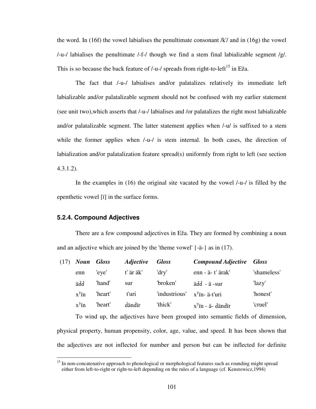the word. In (16f) the vowel labialises the penultimate consonant  $/k$  and in (16g) the vowel  $/$ -u- $/$  labialises the penultimate  $/$ -f- $/$  though we find a stem final labializable segment  $/g/$ . This is so because the back feature of  $/$ -u- $/$  spreads from right-to-left<sup>15</sup> in Eža.

 The fact that /-u-/ labialises and/or palatalizes relatively its immediate left labializable and/or palatalizable segment should not be confused with my earlier statement (see unit two),which asserts that /-u-/ labialises and /or palatalizes the right most labializable and/or palatalizable segment. The latter statement applies when /-u/ is suffixed to a stem while the former applies when  $\lambda$ -u- $\lambda$  is stem internal. In both cases, the direction of labialization and/or palatalization feature spread(s) uniformly from right to left (see section 4.3.1.2).

 In the examples in (16) the original site vacated by the vowel /-u-/ is filled by the epenthetic vowel [ï] in the surface forms.

#### **5.2.4. Compound Adjectives**

 $\overline{a}$ 

 There are a few compound adjectives in Eža. They are formed by combining a noun and an adjective which are joined by the 'theme vowel' {-ä-} as in (17).

| <b>Compound Adjective</b>   | <b>Gloss</b> |
|-----------------------------|--------------|
| enn - ä- t' ärak'           | 'shameless'  |
| ädd - ä -sur                | 'lazy'       |
| $x^y$ in- ä-t'uri           | 'honest'     |
| $x^{\gamma}$ in - ä- dändir | 'cruel'      |
|                             |              |

To wind up, the adjectives have been grouped into semantic fields of dimension, physical property, human propensity, color, age, value, and speed. It has been shown that the adjectives are not inflected for number and person but can be inflected for definite

<sup>&</sup>lt;sup>15</sup> In non-concatenative approach to phonological or morphological features such as rounding might spread either from left-to-right or right-to-left depending on the rules of a language (cf. Kenstowicz,1994)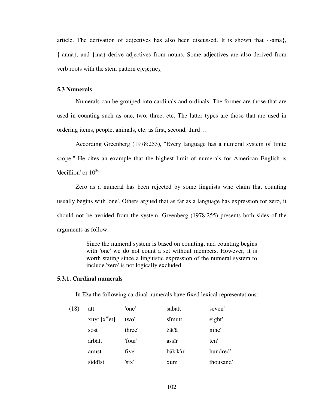article. The derivation of adjectives has also been discussed. It is shown that {-ama}, {-ännä}, and {ina} derive adjectives from nouns. Some adjectives are also derived from verb roots with the stem pattern  $c_1c_2c_2\mu c_3$ .

### **5.3 Numerals**

Numerals can be grouped into cardinals and ordinals. The former are those that are used in counting such as one, two, three, etc. The latter types are those that are used in ordering items, people, animals, etc. as first, second, third….

 According Greenberg (1978:253), "Every language has a numeral system of finite scope." He cites an example that the highest limit of numerals for American English is 'decillion' or  $10^{36}$ 

 Zero as a numeral has been rejected by some linguists who claim that counting usually begins with 'one'. Others argued that as far as a language has expression for zero, it should not be avoided from the system. Greenberg (1978:255) presents both sides of the arguments as follow:

> Since the numeral system is based on counting, and counting begins with 'one' we do not count a set without members. However, it is worth stating since a linguistic expression of the numeral system to include 'zero' is not logically excluded.

#### **5.3.1. Cardinal numerals**

In Eža the following cardinal numerals have fixed lexical representations:

| (18) | att           | 'one'  | säbatt   | 'seven'    |
|------|---------------|--------|----------|------------|
|      | xuyt $[xwet]$ | two'   | simutt   | 'eight'    |
|      | sost          | three' | žät'ä    | 'nine'     |
|      | arbätt        | 'four' | assir    | 'ten'      |
|      | amist         | five'  | bäk'k'ïr | 'hundred'  |
|      | siddist       | 'six'  | xum      | 'thousand' |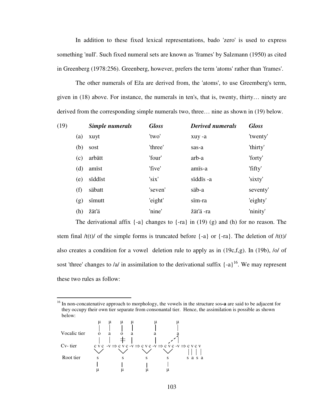In addition to these fixed lexical representations, bado 'zero' is used to express something 'null'. Such fixed numeral sets are known as 'frames' by Salzmann (1950) as cited in Greenberg (1978:256). Greenberg, however, prefers the term 'atoms' rather than 'frames'.

 The other numerals of Eža are derived from, the 'atoms', to use Greemberg's term, given in (18) above. For instance, the numerals in ten's, that is, twenty, thirty… ninety are derived from the corresponding simple numerals two, three… nine as shown in (19) below.

| (19) |     | Simple numerals | <b>Gloss</b> | <b>Derived numerals</b> | <b>Gloss</b> |
|------|-----|-----------------|--------------|-------------------------|--------------|
|      | (a) | xuyt            | 'two'        | xuy-a                   | 'twenty'     |
|      | (b) | sost            | 'three'      | sas-a                   | 'thirty'     |
|      | (c) | arbätt          | 'four'       | arb-a                   | 'forty'      |
|      | (d) | amist           | 'five'       | amis-a                  | 'fifty'      |
|      | (e) | sïddist         | 'six'        | sïddïs -a               | 'sixty'      |
|      | (f) | säbatt          | 'seven'      | säb-a                   | seventy'     |
|      | (g) | simutt          | 'eight'      | sïm-ra                  | 'eighty'     |
|      | (h) | žäťä            | 'nine'       | žäťä-ra                 | 'ninity'     |
|      |     |                 |              |                         |              |

The derivational affix  $\{-a\}$  changes to  $\{-ra\}$  in (19) (g) and (h) for no reason. The stem final  $/t(t)/$  of the simple forms is truncated before  $\{-a\}$  or  $\{-ra\}$ . The deletion of  $/t(t)/$ also creates a condition for a vowel deletion rule to apply as in (19c,f,g). In (19b), /o/ of sost 'three' changes to /a/ in assimilation to the derivational suffix  $\{-a\}^{16}$ . We may represent these two rules as follow:

<sup>16</sup> In non-concatenative approach to morphology, the vowels in the structure sos**-a** are said to be adjacent for they occupy their own tier separate from consonantal tier. Hence, the assimilation is possible as shown below:



 $\overline{a}$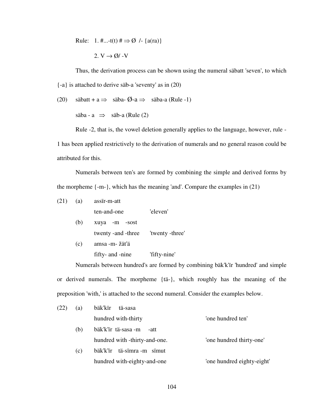Rule: 1. #...-t(t)  $\sharp \Rightarrow \emptyset$  /- {a(ra)}

2. V 
$$
\rightarrow \emptyset
$$
 / -V

 Thus, the derivation process can be shown using the numeral säbatt 'seven', to which {-a} is attached to derive säb-a 'seventy' as in (20)

(20) säbatt + 
$$
a \Rightarrow
$$
 säba- $\emptyset$ - $a \Rightarrow$  säba-a (Rule -1)

säba - a  $\implies$  säb-a (Rule (2)

 Rule -2, that is, the vowel deletion generally applies to the language, however, rule - 1 has been applied restrictively to the derivation of numerals and no general reason could be attributed for this.

 Numerals between ten's are formed by combining the simple and derived forms by the morpheme  $\{-m-\}$ , which has the meaning 'and'. Compare the examples in (21)

| (21) | (a) | assir-m-att                           |          |  |
|------|-----|---------------------------------------|----------|--|
|      |     | ten-and-one                           | 'eleven' |  |
|      | (b) | xuya -m -sost                         |          |  |
|      |     | twenty - and - three 'twenty - three' |          |  |
|      |     |                                       |          |  |

(c) amsa -m- žät'ä

fifty- and -nine 'fifty-nine'

 Numerals between hundred's are formed by combining bäk'k'ïr 'hundred' and simple or derived numerals. The morpheme {tä-}, which roughly has the meaning of the preposition 'with,' is attached to the second numeral. Consider the examples below.

| (22) | (a) | bäk'kïr<br>tä-sasa            |                            |
|------|-----|-------------------------------|----------------------------|
|      |     | hundred with-thirty           | 'one hundred ten'          |
|      | (b) | bäk'k'ïr tä-sasa -m<br>-att   |                            |
|      |     | hundred with -thirty-and-one. | 'one hundred thirty-one'   |
|      | (c) | bäk'k'ir tä-simra-m simut     |                            |
|      |     | hundred with-eighty-and-one   | 'one hundred eighty-eight' |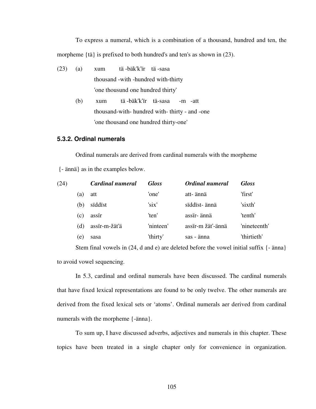To express a numeral, which is a combination of a thousand, hundred and ten, the morpheme {tä} is prefixed to both hundred's and ten's as shown in (23).

- (23) (a) xum tä -bäk'k'ïr tä -sasa thousand -with -hundred with-thirty 'one thousund one hundred thirty'
	- (b) xum tä -bäk'k'ïr tä-sasa -m -att thousand-with- hundred with- thirty - and -one 'one thousand one hundred thirty-one'

## **5.3.2. Ordinal numerals**

 Ordinal numerals are derived from cardinal numerals with the morpheme {- ännä} as in the examples below.

| (24) |              | Cardinal numeral | <b>Gloss</b> | Ordinal numeral  | <b>Gloss</b> |
|------|--------------|------------------|--------------|------------------|--------------|
|      | (a)          | att              | 'one'        | att- ännä        | 'first'      |
|      | (b)          | siddist          | 'six'        | siddist- ännä    | 'sixth'      |
|      | (c)          | assir            | 'ten'        | assir- ännä      | 'tenth'      |
|      | (d)          | assir-m-žät'ä    | 'ninteen'    | assir-m žäť-ännä | 'nineteenth' |
|      | $\epsilon$ ) | sasa             | 'thirty'     | sas - änna       | 'thirtieth'  |

 Stem final vowels in (24, d and e) are deleted before the vowel initial suffix {- änna} to avoid vowel sequencing.

 In 5.3, cardinal and ordinal numerals have been discussed. The cardinal numerals that have fixed lexical representations are found to be only twelve. The other numerals are derived from the fixed lexical sets or 'atoms'. Ordinal numerals aer derived from cardinal numerals with the morpheme {-änna}.

 To sum up, I have discussed adverbs, adjectives and numerals in this chapter. These topics have been treated in a single chapter only for convenience in organization.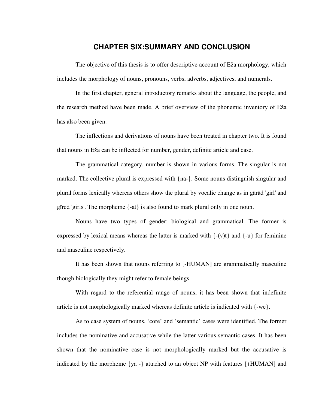## **CHAPTER SIX:SUMMARY AND CONCLUSION**

 The objective of this thesis is to offer descriptive account of Eža morphology, which includes the morphology of nouns, pronouns, verbs, adverbs, adjectives, and numerals.

 In the first chapter, general introductory remarks about the language, the people, and the research method have been made. A brief overview of the phonemic inventory of Eža has also been given.

 The inflections and derivations of nouns have been treated in chapter two. It is found that nouns in Eža can be inflected for number, gender, definite article and case.

 The grammatical category, number is shown in various forms. The singular is not marked. The collective plural is expressed with {nä-}. Some nouns distinguish singular and plural forms lexically whereas others show the plural by vocalic change as in gäräd 'girl' and gired 'girls'. The morpheme  $\{-at\}$  is also found to mark plural only in one noun.

 Nouns have two types of gender: biological and grammatical. The former is expressed by lexical means whereas the latter is marked with  $\{-v(t)\}\$  and  $\{-u\}\$  for feminine and masculine respectively.

 It has been shown that nouns referring to [-HUMAN] are grammatically masculine though biologically they might refer to female beings.

 With regard to the referential range of nouns, it has been shown that indefinite article is not morphologically marked whereas definite article is indicated with {-we}.

 As to case system of nouns, 'core' and 'semantic' cases were identified. The former includes the nominative and accusative while the latter various semantic cases. It has been shown that the nominative case is not morphologically marked but the accusative is indicated by the morpheme {yä -} attached to an object NP with features [+HUMAN] and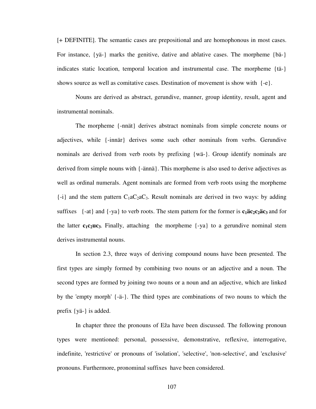[+ DEFINITE]. The semantic cases are prepositional and are homophonous in most cases. For instance, {yä-} marks the genitive, dative and ablative cases. The morpheme {bä-} indicates static location, temporal location and instrumental case. The morpheme {tä-} shows source as well as comitative cases. Destination of movement is show with  $\{-e\}$ .

 Nouns are derived as abstract, gerundive, manner, group identity, result, agent and instrumental nominals.

 The morpheme {-nnät} derives abstract nominals from simple concrete nouns or adjectives, while {-innär} derives some such other nominals from verbs. Gerundive nominals are derived from verb roots by prefixing {wä-}. Group identify nominals are derived from simple nouns with {-ännä}. This morpheme is also used to derive adjectives as well as ordinal numerals. Agent nominals are formed from verb roots using the morpheme  $\{-i\}$  and the stem pattern  $C_1aC_2aC_3$ . Result nominals are derived in two ways: by adding suffixes  $\{-x\}$  and  $\{-y\}$  to verb roots. The stem pattern for the former is  $c_1\ddot{a}c_2c_2\ddot{a}c_3$  and for the latter  $c_1c_2uc_3$ . Finally, attaching the morpheme  $\{-ya\}$  to a gerundive nominal stem derives instrumental nouns.

 In section 2.3, three ways of deriving compound nouns have been presented. The first types are simply formed by combining two nouns or an adjective and a noun. The second types are formed by joining two nouns or a noun and an adjective, which are linked by the 'empty morph' {-ä-}. The third types are combinations of two nouns to which the prefix {yä-} is added.

 In chapter three the pronouns of Eža have been discussed. The following pronoun types were mentioned: personal, possessive, demonstrative, reflexive, interrogative, indefinite, 'restrictive' or pronouns of 'isolation', 'selective', 'non-selective', and 'exclusive' pronouns. Furthermore, pronominal suffixes have been considered.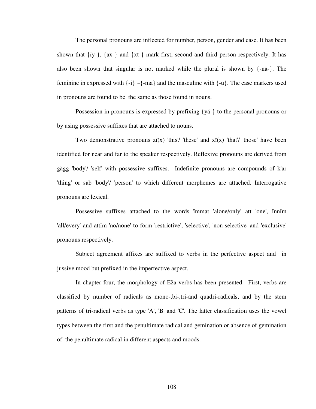The personal pronouns are inflected for number, person, gender and case. It has been shown that  $\{i\mathbf{y}\}$ ,  $\{ax\}$  and  $\{xt\}$  mark first, second and third person respectively. It has also been shown that singular is not marked while the plural is shown by {-nä-}. The feminine in expressed with  $\{-i\} \sim \{-ma\}$  and the masculine with  $\{-u\}$ . The case markers used in pronouns are found to be the same as those found in nouns.

 Possession in pronouns is expressed by prefixing {yä-} to the personal pronouns or by using possessive suffixes that are attached to nouns.

Two demonstrative pronouns  $\chi$ i(x) 'this'/ 'these' and  $\chi$ i(x) 'that'/ 'those' have been identified for near and far to the speaker respectively. Reflexive pronouns are derived from gägg 'body'/ 'self' with possessive suffixes. Indefinite pronouns are compounds of k'ar 'thing' or säb 'body'/ 'person' to which different morphemes are attached. Interrogative pronouns are lexical.

 Possessive suffixes attached to the words ïmmat 'alone/only' att 'one', ïnnïm 'all/every' and attïm 'no/none' to form 'restrictive', 'selective', 'non-selective' and 'exclusive' pronouns respectively.

 Subject agreement affixes are suffixed to verbs in the perfective aspect and in jussive mood but prefixed in the imperfective aspect.

 In chapter four, the morphology of Eža verbs has been presented. First, verbs are classified by number of radicals as mono-,bi-,tri-and quadri-radicals, and by the stem patterns of tri-radical verbs as type 'A', 'B' and 'C'. The latter classification uses the vowel types between the first and the penultimate radical and gemination or absence of gemination of the penultimate radical in different aspects and moods.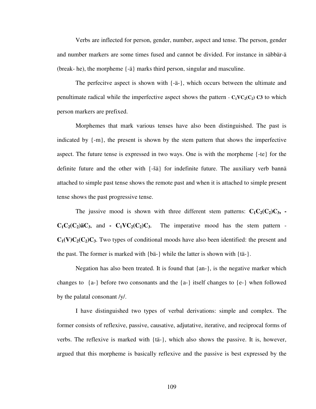Verbs are inflected for person, gender, number, aspect and tense. The person, gender and number markers are some times fused and cannot be divided. For instance in säbbär-ä (break- he), the morpheme {-ä} marks third person, singular and masculine.

 The perfecitve aspect is shown with {-ä-}, which occurs between the ultimate and penultimate radical while the imperfective aspect shows the pattern  $-C_1VC_2(C_2)$  C3 to which person markers are prefixed.

 Morphemes that mark various tenses have also been distinguished. The past is indicated by  $\{-m\}$ , the present is shown by the stem pattern that shows the imperfective aspect. The future tense is expressed in two ways. One is with the morpheme {-te} for the definite future and the other with {-šä} for indefinite future. The auxiliary verb bannä attached to simple past tense shows the remote past and when it is attached to simple present tense shows the past progressive tense.

The jussive mood is shown with three different stem patterns:  $C_1C_2(C_2)C_3$ , - $C_1C_2(C_2)\ddot{a}C_3$ , and **-**  $C_1VC_2(C_2)C_3$ . The imperative mood has the stem pattern - $C_1(V)C_2(C_2)C_3$ . Two types of conditional moods have also been identified: the present and the past. The former is marked with {bä-} while the latter is shown with {tä-}.

Negation has also been treated. It is found that  $\{an-\}$ , is the negative marker which changes to  ${a-\}$  before two consonants and the  ${a-\}$  itself changes to  ${e-\}$  when followed by the palatal consonant /y/.

 I have distinguished two types of verbal derivations: simple and complex. The former consists of reflexive, passive, causative, adjutative, iterative, and reciprocal forms of verbs. The reflexive is marked with {tä-}, which also shows the passive. It is, however, argued that this morpheme is basically reflexive and the passive is best expressed by the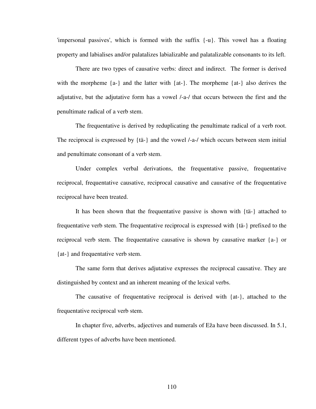'impersonal passives', which is formed with the suffix {-u}. This vowel has a floating property and labialises and/or palatalizes labializable and palatalizable consonants to its left.

 There are two types of causative verbs: direct and indirect. The former is derived with the morpheme  ${a-}$  and the latter with  ${at-}$ . The morpheme  ${at-}$  also derives the adjutative, but the adjutative form has a vowel /-a-/ that occurs between the first and the penultimate radical of a verb stem.

 The frequentative is derived by reduplicating the penultimate radical of a verb root. The reciprocal is expressed by {tä-} and the vowel /-a-/ which occurs between stem initial and penultimate consonant of a verb stem.

 Under complex verbal derivations, the frequentative passive, frequentative reciprocal, frequentative causative, reciprocal causative and causative of the frequentative reciprocal have been treated.

 It has been shown that the frequentative passive is shown with {tä-} attached to frequentative verb stem. The frequentative reciprocal is expressed with {tä-} prefixed to the reciprocal verb stem. The frequentative causative is shown by causative marker {a-} or {at-} and frequentative verb stem.

 The same form that derives adjutative expresses the reciprocal causative. They are distinguished by context and an inherent meaning of the lexical verbs.

 The causative of frequentative reciprocal is derived with {at-}, attached to the frequentative reciprocal verb stem.

 In chapter five, adverbs, adjectives and numerals of Eža have been discussed. In 5.1, different types of adverbs have been mentioned.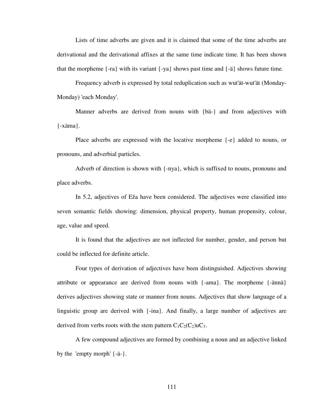Lists of time adverbs are given and it is claimed that some of the time adverbs are derivational and the derivational affixes at the same time indicate time. It has been shown that the morpheme  $\{-ra\}$  with its variant  $\{-ya\}$  shows past time and  $\{-\ddot{a}\}$  shows future time.

 Frequency adverb is expressed by total reduplication such as wut'ät-wut'ät (Monday-Monday) 'each Monday'.

Manner adverbs are derived from nouns with {bä-} and from adjectives with {-xäma}.

 Place adverbs are expressed with the locative morpheme {-e} added to nouns, or pronouns, and adverbial particles.

 Adverb of direction is shown with {-nya}, which is suffixed to nouns, pronouns and place adverbs.

 In 5.2, adjectives of Eža have been considered. The adjectives were classified into seven semantic fields showing: dimension, physical property, human propensity, colour, age, value and speed.

 It is found that the adjectives are not inflected for number, gender, and person but could be inflected for definite article.

 Four types of derivation of adjectives have been distinguished. Adjectives showing attribute or appearance are derived from nouns with {-ama}. The morpheme {-ännä} derives adjectives showing state or manner from nouns. Adjectives that show language of a linguistic group are derived with {-ina}. And finally, a large number of adjectives are derived from verbs roots with the stem pattern  $C_1C_2(C_2)$ u $C_3$ .

 A few compound adjectives are formed by combining a noun and an adjective linked by the 'empty morph' {-ä-}.

111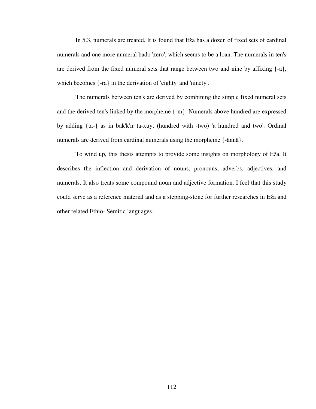In 5.3, numerals are treated. It is found that Eža has a dozen of fixed sets of cardinal numerals and one more numeral bado 'zero', which seems to be a loan. The numerals in ten's are derived from the fixed numeral sets that range between two and nine by affixing {-a}, which becomes {-ra} in the derivation of 'eighty' and 'ninety'.

 The numerals between ten's are derived by combining the simple fixed numeral sets and the derived ten's linked by the morpheme {-m}. Numerals above hundred are expressed by adding {tä-} as in bäk'k'ïr tä-xuyt (hundred with -two) 'a hundred and two'. Ordinal numerals are derived from cardinal numerals using the morpheme {-ännä}.

To wind up, this thesis attempts to provide some insights on morphology of Eža. It describes the inflection and derivation of nouns, pronouns, adverbs, adjectives, and numerals. It also treats some compound noun and adjective formation. I feel that this study could serve as a reference material and as a stepping-stone for further researches in Eža and other related Ethio- Semitic languages.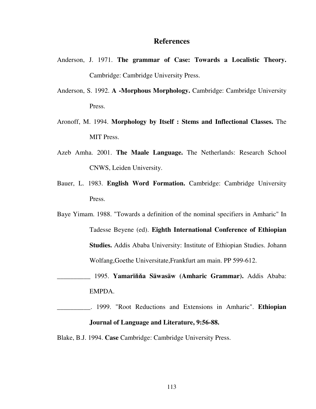## **References**

- Anderson, J. 1971. **The grammar of Case: Towards a Localistic Theory.** Cambridge: Cambridge University Press.
- Anderson, S. 1992. **A -Morphous Morphology.** Cambridge: Cambridge University Press.
- Aronoff, M. 1994. **Morphology by Itself : Stems and Inflectional Classes.** The MIT Press.
- Azeb Amha. 2001. **The Maale Language.** The Netherlands: Research School CNWS, Leiden University.
- Bauer, L. 1983. **English Word Formation.** Cambridge: Cambridge University Press.
- Baye Yimam. 1988. "Towards a definition of the nominal specifiers in Amharic" In Tadesse Beyene (ed). **Eighth International Conference of Ethiopian Studies.** Addis Ababa University: Institute of Ethiopian Studies. Johann Wolfang,Goethe Universitate,Frankfurt am main. PP 599-612.
	- \_\_\_\_\_\_\_\_\_\_ 1995. **Yamarï**ňň**a Säwasäw (Amharic Grammar).** Addis Ababa: EMPDA.
- \_\_\_\_\_\_\_\_\_\_. 1999. "Root Reductions and Extensions in Amharic". **Ethiopian Journal of Language and Literature, 9:56-88.**

Blake, B.J. 1994. **Case** Cambridge: Cambridge University Press.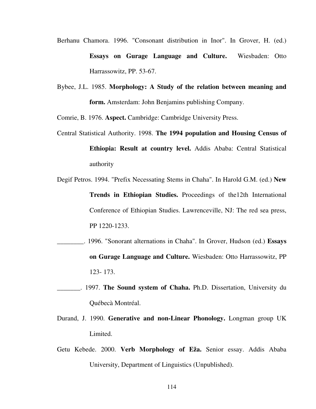- Berhanu Chamora. 1996. "Consonant distribution in Inor". In Grover, H. (ed.) **Essays on Gurage Language and Culture.** Wiesbaden: Otto Harrassowitz, PP. 53-67.
- Bybee, J.L. 1985. **Morphology: A Study of the relation between meaning and form.** Amsterdam: John Benjamins publishing Company.

Comrie, B. 1976. **Aspect.** Cambridge: Cambridge University Press.

- Central Statistical Authority. 1998. **The 1994 population and Housing Census of Ethiopia: Result at country level.** Addis Ababa: Central Statistical authority
- Degif Petros. 1994. "Prefix Necessating Stems in Chaha". In Harold G.M. (ed.) **New Trends in Ethiopian Studies.** Proceedings of the12th International Conference of Ethiopian Studies. Lawrenceville, NJ: The red sea press, PP 1220-1233.
- \_\_\_\_\_\_\_\_. 1996. "Sonorant alternations in Chaha". In Grover, Hudson (ed.) **Essays on Gurage Language and Culture.** Wiesbaden: Otto Harrassowitz, PP 123- 173.
- \_\_\_\_\_\_\_. 1997. **The Sound system of Chaha.** Ph.D. Dissertation, University du Québecà Montréal.
- Durand, J. 1990. **Generative and non-Linear Phonology.** Longman group UK Limited.
- Getu Kebede. 2000. **Verb Morphology of Eža.** Senior essay. Addis Ababa University, Department of Linguistics (Unpublished).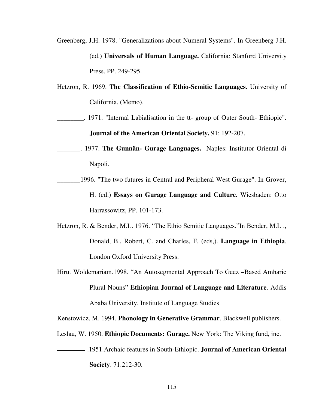- Greenberg, J.H. 1978. "Generalizations about Numeral Systems". In Greenberg J.H. (ed.) **Universals of Human Language.** California: Stanford University Press. PP. 249-295.
- Hetzron, R. 1969. **The Classification of Ethio-Semitic Languages.** University of California. (Memo).
- \_\_\_\_\_\_\_\_. 1971. "Internal Labialisation in the tt- group of Outer South- Ethiopic". **Journal of the American Oriental Society.** 91: 192-207.
- \_\_\_\_\_\_\_. 1977. **The Gunnän- Gurage Languages.** Naples: Institutor Oriental di Napoli.
- 1996. "The two futures in Central and Peripheral West Gurage". In Grover, H. (ed.) **Essays on Gurage Language and Culture.** Wiesbaden: Otto Harrassowitz, PP. 101-173.
- Hetzron, R. & Bender, M.L. 1976. "The Ethio Semitic Languages."In Bender, M.L ., Donald, B., Robert, C. and Charles, F. (eds,). **Language in Ethiopia**. London Oxford University Press.
- Hirut Woldemariam.1998. "An Autosegmental Approach To Geez –Based Amharic Plural Nouns" **Ethiopian Journal of Language and Literature**. Addis Ababa University. Institute of Language Studies

Kenstowicz, M. 1994. **Phonology in Generative Grammar**. Blackwell publishers.

- Leslau, W. 1950. **Ethiopic Documents: Gurage.** New York: The Viking fund, inc.
- .1951.Archaic features in South-Ethiopic. **Journal of American Oriental Society**. 71:212-30.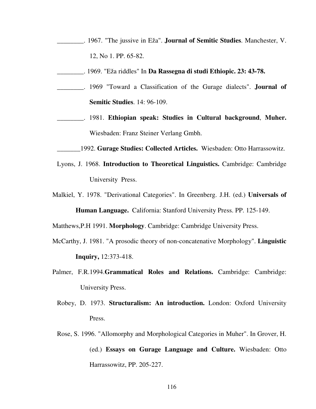- \_\_\_\_\_\_\_\_. 1967. "The jussive in Eža". **Journal of Semitic Studies**. Manchester, V. 12, No 1. PP. 65-82.
- \_\_\_\_\_\_\_\_. 1969. "Eža riddles" In **Da Rassegna di studi Ethiopic. 23: 43-78.**
- \_\_\_\_\_\_\_\_. 1969 "Toward a Classification of the Gurage dialects". **Journal of Semitic Studies**. 14: 96-109.
- \_\_\_\_\_\_\_\_. 1981. **Ethiopian speak: Studies in Cultural background**, **Muher.** Wiesbaden: Franz Steiner Verlang Gmbh.

\_\_\_\_\_\_\_1992. **Gurage Studies: Collected Articles.** Wiesbaden: Otto Harrassowitz.

- Lyons, J. 1968. **Introduction to Theoretical Linguistics.** Cambridge: Cambridge University Press.
- Malkiel, Y. 1978. "Derivational Categories". In Greenberg. J.H. (ed.) **Universals of Human Language.** California: Stanford University Press. PP. 125-149.

Matthews,P.H 1991. **Morphology**. Cambridge: Cambridge University Press.

- McCarthy, J. 1981. "A prosodic theory of non-concatenative Morphology". **Linguistic Inquiry,** 12:373-418.
- Palmer, F.R.1994.**Grammatical Roles and Relations.** Cambridge: Cambridge: University Press.
	- Robey, D. 1973. **Structuralism: An introduction.** London: Oxford University Press.
	- Rose, S. 1996. "Allomorphy and Morphological Categories in Muher". In Grover, H. (ed.) **Essays on Gurage Language and Culture.** Wiesbaden: Otto Harrassowitz, PP. 205-227.